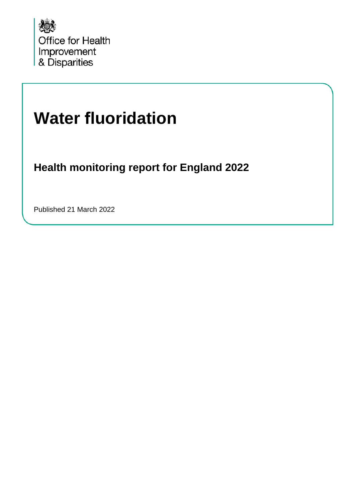

# **Water fluoridation**

**Health monitoring report for England 2022**

Published 21 March 2022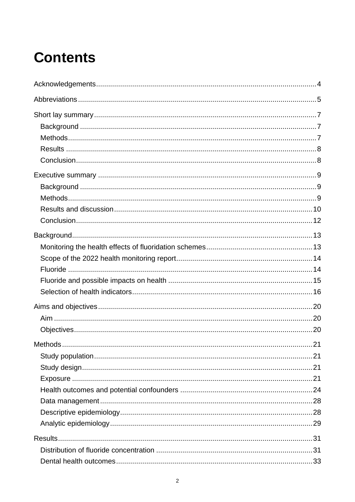# **Contents**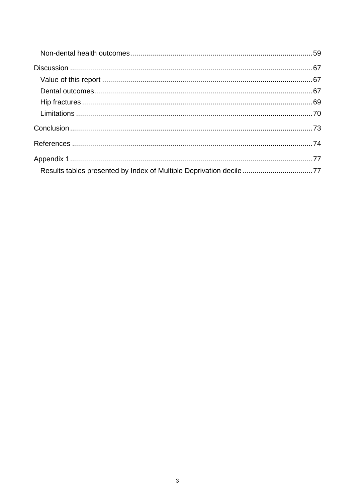| Results tables presented by Index of Multiple Deprivation decile77 |
|--------------------------------------------------------------------|
|                                                                    |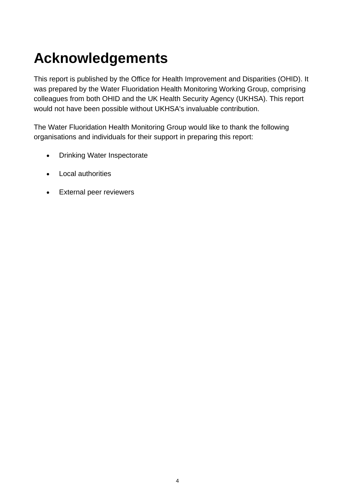# <span id="page-3-0"></span>**Acknowledgements**

This report is published by the Office for Health Improvement and Disparities (OHID). It was prepared by the Water Fluoridation Health Monitoring Working Group, comprising colleagues from both OHID and the UK Health Security Agency (UKHSA). This report would not have been possible without UKHSA's invaluable contribution.

The Water Fluoridation Health Monitoring Group would like to thank the following organisations and individuals for their support in preparing this report:

- Drinking Water Inspectorate
- Local authorities
- External peer reviewers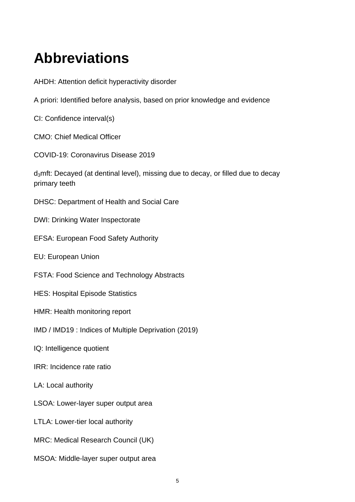# <span id="page-4-0"></span>**Abbreviations**

AHDH: Attention deficit hyperactivity disorder

A priori: Identified before analysis, based on prior knowledge and evidence

CI: Confidence interval(s)

CMO: Chief Medical Officer

COVID-19: Coronavirus Disease 2019

d<sub>3</sub>mft: Decayed (at dentinal level), missing due to decay, or filled due to decay primary teeth

DHSC: Department of Health and Social Care

DWI: Drinking Water Inspectorate

EFSA: European Food Safety Authority

EU: European Union

FSTA: Food Science and Technology Abstracts

HES: Hospital Episode Statistics

HMR: Health monitoring report

IMD / IMD19 : Indices of Multiple Deprivation (2019)

IQ: Intelligence quotient

IRR: Incidence rate ratio

LA: Local authority

LSOA: Lower-layer super output area

LTLA: Lower-tier local authority

MRC: Medical Research Council (UK)

MSOA: Middle-layer super output area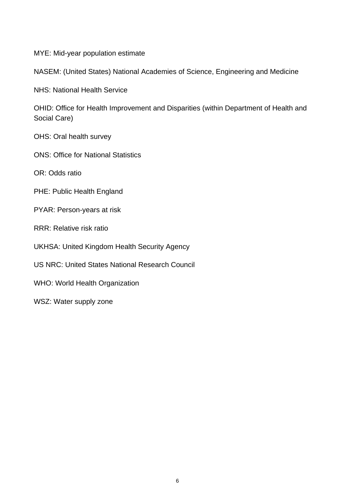MYE: Mid-year population estimate

NASEM: (United States) National Academies of Science, Engineering and Medicine

NHS: National Health Service

OHID: Office for Health Improvement and Disparities (within Department of Health and Social Care)

OHS: Oral health survey

ONS: Office for National Statistics

OR: Odds ratio

PHE: Public Health England

PYAR: Person-years at risk

RRR: Relative risk ratio

UKHSA: United Kingdom Health Security Agency

US NRC: United States National Research Council

WHO: World Health Organization

WSZ: Water supply zone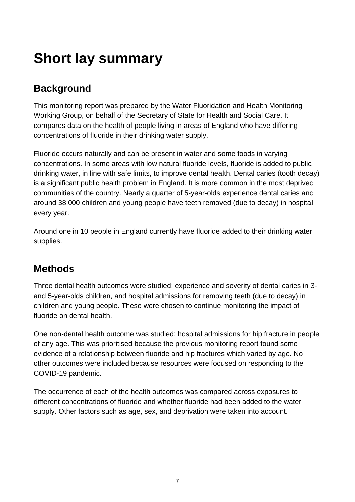# <span id="page-6-0"></span>**Short lay summary**

## <span id="page-6-1"></span>**Background**

This monitoring report was prepared by the Water Fluoridation and Health Monitoring Working Group, on behalf of the Secretary of State for Health and Social Care. It compares data on the health of people living in areas of England who have differing concentrations of fluoride in their drinking water supply.

Fluoride occurs naturally and can be present in water and some foods in varying concentrations. In some areas with low natural fluoride levels, fluoride is added to public drinking water, in line with safe limits, to improve dental health. Dental caries (tooth decay) is a significant public health problem in England. It is more common in the most deprived communities of the country. Nearly a quarter of 5-year-olds experience dental caries and around 38,000 children and young people have teeth removed (due to decay) in hospital every year.

Around one in 10 people in England currently have fluoride added to their drinking water supplies.

## <span id="page-6-2"></span>**Methods**

Three dental health outcomes were studied: experience and severity of dental caries in 3 and 5-year-olds children, and hospital admissions for removing teeth (due to decay) in children and young people. These were chosen to continue monitoring the impact of fluoride on dental health.

One non-dental health outcome was studied: hospital admissions for hip fracture in people of any age. This was prioritised because the previous monitoring report found some evidence of a relationship between fluoride and hip fractures which varied by age. No other outcomes were included because resources were focused on responding to the COVID-19 pandemic.

The occurrence of each of the health outcomes was compared across exposures to different concentrations of fluoride and whether fluoride had been added to the water supply. Other factors such as age, sex, and deprivation were taken into account.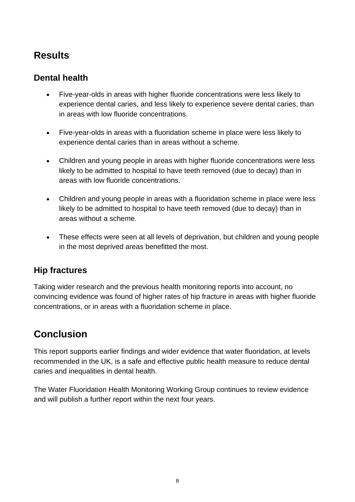## <span id="page-7-0"></span>**Results**

#### **Dental health**

- Five-year-olds in areas with higher fluoride concentrations were less likely to experience dental caries, and less likely to experience severe dental caries, than in areas with low fluoride concentrations.
- Five-year-olds in areas with a fluoridation scheme in place were less likely to experience dental caries than in areas without a scheme.
- Children and young people in areas with higher fluoride concentrations were less likely to be admitted to hospital to have teeth removed (due to decay) than in areas with low fluoride concentrations.
- Children and young people in areas with a fluoridation scheme in place were less likely to be admitted to hospital to have teeth removed (due to decay) than in areas without a scheme.
- These effects were seen at all levels of deprivation, but children and young people in the most deprived areas benefitted the most.

### **Hip fractures**

Taking wider research and the previous health monitoring reports into account, no convincing evidence was found of higher rates of hip fracture in areas with higher fluoride concentrations, or in areas with a fluoridation scheme in place.

## <span id="page-7-1"></span>**Conclusion**

This report supports earlier findings and wider evidence that water fluoridation, at levels recommended in the UK, is a safe and effective public health measure to reduce dental caries and inequalities in dental health.

The Water Fluoridation Health Monitoring Working Group continues to review evidence and will publish a further report within the next four years.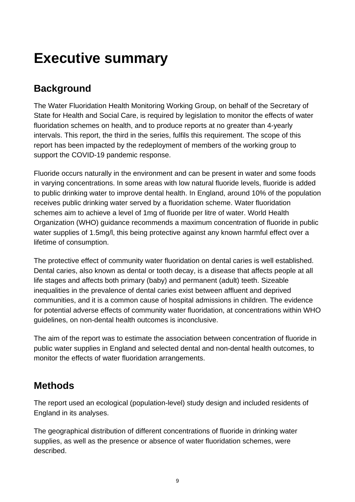## <span id="page-8-0"></span>**Executive summary**

## <span id="page-8-1"></span>**Background**

The Water Fluoridation Health Monitoring Working Group, on behalf of the Secretary of State for Health and Social Care, is required by legislation to monitor the effects of water fluoridation schemes on health, and to produce reports at no greater than 4-yearly intervals. This report, the third in the series, fulfils this requirement. The scope of this report has been impacted by the redeployment of members of the working group to support the COVID-19 pandemic response.

Fluoride occurs naturally in the environment and can be present in water and some foods in varying concentrations. In some areas with low natural fluoride levels, fluoride is added to public drinking water to improve dental health. In England, around 10% of the population receives public drinking water served by a fluoridation scheme. Water fluoridation schemes aim to achieve a level of 1mg of fluoride per litre of water. World Health Organization (WHO) guidance recommends a maximum concentration of fluoride in public water supplies of 1.5mg/l, this being protective against any known harmful effect over a lifetime of consumption.

The protective effect of community water fluoridation on dental caries is well established. Dental caries, also known as dental or tooth decay, is a disease that affects people at all life stages and affects both primary (baby) and permanent (adult) teeth. Sizeable inequalities in the prevalence of dental caries exist between affluent and deprived communities, and it is a common cause of hospital admissions in children. The evidence for potential adverse effects of community water fluoridation, at concentrations within WHO guidelines, on non-dental health outcomes is inconclusive.

The aim of the report was to estimate the association between concentration of fluoride in public water supplies in England and selected dental and non-dental health outcomes, to monitor the effects of water fluoridation arrangements.

## <span id="page-8-2"></span>**Methods**

The report used an ecological (population-level) study design and included residents of England in its analyses.

The geographical distribution of different concentrations of fluoride in drinking water supplies, as well as the presence or absence of water fluoridation schemes, were described.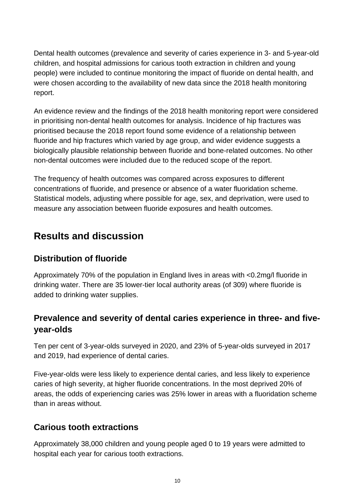Dental health outcomes (prevalence and severity of caries experience in 3- and 5-year-old children, and hospital admissions for carious tooth extraction in children and young people) were included to continue monitoring the impact of fluoride on dental health, and were chosen according to the availability of new data since the 2018 health monitoring report.

An evidence review and the findings of the 2018 health monitoring report were considered in prioritising non-dental health outcomes for analysis. Incidence of hip fractures was prioritised because the 2018 report found some evidence of a relationship between fluoride and hip fractures which varied by age group, and wider evidence suggests a biologically plausible relationship between fluoride and bone-related outcomes. No other non-dental outcomes were included due to the reduced scope of the report.

The frequency of health outcomes was compared across exposures to different concentrations of fluoride, and presence or absence of a water fluoridation scheme. Statistical models, adjusting where possible for age, sex, and deprivation, were used to measure any association between fluoride exposures and health outcomes.

### <span id="page-9-0"></span>**Results and discussion**

### **Distribution of fluoride**

Approximately 70% of the population in England lives in areas with <0.2mg/l fluoride in drinking water. There are 35 lower-tier local authority areas (of 309) where fluoride is added to drinking water supplies.

#### **Prevalence and severity of dental caries experience in three- and fiveyear-olds**

Ten per cent of 3-year-olds surveyed in 2020, and 23% of 5-year-olds surveyed in 2017 and 2019, had experience of dental caries.

Five-year-olds were less likely to experience dental caries, and less likely to experience caries of high severity, at higher fluoride concentrations. In the most deprived 20% of areas, the odds of experiencing caries was 25% lower in areas with a fluoridation scheme than in areas without.

#### **Carious tooth extractions**

Approximately 38,000 children and young people aged 0 to 19 years were admitted to hospital each year for carious tooth extractions.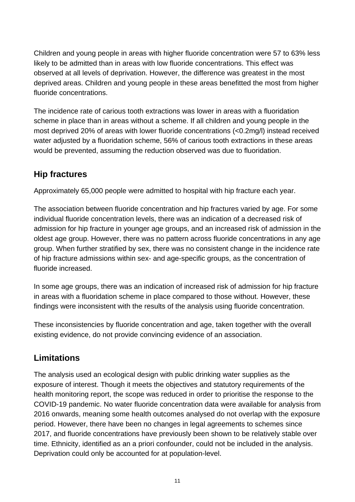Children and young people in areas with higher fluoride concentration were 57 to 63% less likely to be admitted than in areas with low fluoride concentrations. This effect was observed at all levels of deprivation. However, the difference was greatest in the most deprived areas. Children and young people in these areas benefitted the most from higher fluoride concentrations.

The incidence rate of carious tooth extractions was lower in areas with a fluoridation scheme in place than in areas without a scheme. If all children and young people in the most deprived 20% of areas with lower fluoride concentrations (<0.2mg/l) instead received water adjusted by a fluoridation scheme, 56% of carious tooth extractions in these areas would be prevented, assuming the reduction observed was due to fluoridation.

### **Hip fractures**

Approximately 65,000 people were admitted to hospital with hip fracture each year.

The association between fluoride concentration and hip fractures varied by age. For some individual fluoride concentration levels, there was an indication of a decreased risk of admission for hip fracture in younger age groups, and an increased risk of admission in the oldest age group. However, there was no pattern across fluoride concentrations in any age group. When further stratified by sex, there was no consistent change in the incidence rate of hip fracture admissions within sex- and age-specific groups, as the concentration of fluoride increased.

In some age groups, there was an indication of increased risk of admission for hip fracture in areas with a fluoridation scheme in place compared to those without. However, these findings were inconsistent with the results of the analysis using fluoride concentration.

These inconsistencies by fluoride concentration and age, taken together with the overall existing evidence, do not provide convincing evidence of an association.

### **Limitations**

The analysis used an ecological design with public drinking water supplies as the exposure of interest. Though it meets the objectives and statutory requirements of the health monitoring report, the scope was reduced in order to prioritise the response to the COVID-19 pandemic. No water fluoride concentration data were available for analysis from 2016 onwards, meaning some health outcomes analysed do not overlap with the exposure period. However, there have been no changes in legal agreements to schemes since 2017, and fluoride concentrations have previously been shown to be relatively stable over time. Ethnicity, identified as an a priori confounder, could not be included in the analysis. Deprivation could only be accounted for at population-level.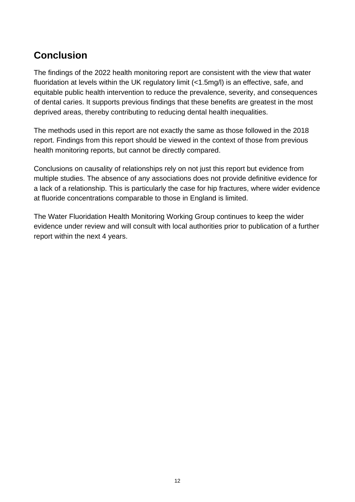## <span id="page-11-0"></span>**Conclusion**

The findings of the 2022 health monitoring report are consistent with the view that water fluoridation at levels within the UK regulatory limit (<1.5mg/l) is an effective, safe, and equitable public health intervention to reduce the prevalence, severity, and consequences of dental caries. It supports previous findings that these benefits are greatest in the most deprived areas, thereby contributing to reducing dental health inequalities.

The methods used in this report are not exactly the same as those followed in the 2018 report. Findings from this report should be viewed in the context of those from previous health monitoring reports, but cannot be directly compared.

Conclusions on causality of relationships rely on not just this report but evidence from multiple studies. The absence of any associations does not provide definitive evidence for a lack of a relationship. This is particularly the case for hip fractures, where wider evidence at fluoride concentrations comparable to those in England is limited.

The Water Fluoridation Health Monitoring Working Group continues to keep the wider evidence under review and will consult with local authorities prior to publication of a further report within the next 4 years.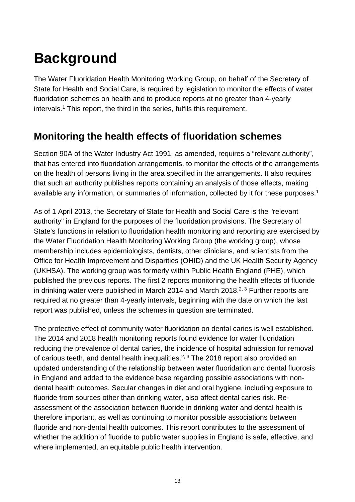# <span id="page-12-0"></span>**Background**

The Water Fluoridation Health Monitoring Working Group, on behalf of the Secretary of State for Health and Social Care, is required by legislation to monitor the effects of water fluoridation schemes on health and to produce reports at no greater than 4-yearly intervals.1 This report, the third in the series, fulfils this requirement.

## <span id="page-12-1"></span>**Monitoring the health effects of fluoridation schemes**

Section 90A of the Water Industry Act 1991, as amended, requires a "relevant authority". that has entered into fluoridation arrangements, to monitor the effects of the arrangements on the health of persons living in the area specified in the arrangements. It also requires that such an authority publishes reports containing an analysis of those effects, making available any information, or summaries of information, collected by it for these purposes.<sup>1</sup>

As of 1 April 2013, the Secretary of State for Health and Social Care is the "relevant authority" in England for the purposes of the fluoridation provisions. The Secretary of State's functions in relation to fluoridation health monitoring and reporting are exercised by the Water Fluoridation Health Monitoring Working Group (the working group), whose membership includes epidemiologists, dentists, other clinicians, and scientists from the Office for Health Improvement and Disparities (OHID) and the UK Health Security Agency (UKHSA). The working group was formerly within Public Health England (PHE), which published the previous reports. The first 2 reports monitoring the health effects of fluoride in drinking water were published in March 2014 and March 2018.<sup>2, 3</sup> Further reports are required at no greater than 4-yearly intervals, beginning with the date on which the last report was published, unless the schemes in question are terminated.

The protective effect of community water fluoridation on dental caries is well established. The 2014 and 2018 health monitoring reports found evidence for water fluoridation reducing the prevalence of dental caries, the incidence of hospital admission for removal of carious teeth, and dental health inequalities.<sup>2, 3</sup> The 2018 report also provided an updated understanding of the relationship between water fluoridation and dental fluorosis in England and added to the evidence base regarding possible associations with nondental health outcomes. Secular changes in diet and oral hygiene, including exposure to fluoride from sources other than drinking water, also affect dental caries risk. Reassessment of the association between fluoride in drinking water and dental health is therefore important, as well as continuing to monitor possible associations between fluoride and non-dental health outcomes. This report contributes to the assessment of whether the addition of fluoride to public water supplies in England is safe, effective, and where implemented, an equitable public health intervention.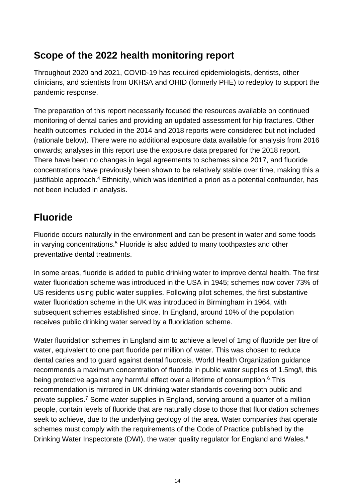## <span id="page-13-0"></span>**Scope of the 2022 health monitoring report**

Throughout 2020 and 2021, COVID-19 has required epidemiologists, dentists, other clinicians, and scientists from UKHSA and OHID (formerly PHE) to redeploy to support the pandemic response.

The preparation of this report necessarily focused the resources available on continued monitoring of dental caries and providing an updated assessment for hip fractures. Other health outcomes included in the 2014 and 2018 reports were considered but not included (rationale below). There were no additional exposure data available for analysis from 2016 onwards; analyses in this report use the exposure data prepared for the 2018 report. There have been no changes in legal agreements to schemes since 2017, and fluoride concentrations have previously been shown to be relatively stable over time, making this a justifiable approach.<sup>4</sup> Ethnicity, which was identified a priori as a potential confounder, has not been included in analysis.

### <span id="page-13-1"></span>**Fluoride**

Fluoride occurs naturally in the environment and can be present in water and some foods in varying concentrations.<sup>5</sup> Fluoride is also added to many toothpastes and other preventative dental treatments.

In some areas, fluoride is added to public drinking water to improve dental health. The first water fluoridation scheme was introduced in the USA in 1945; schemes now cover 73% of US residents using public water supplies. Following pilot schemes, the first substantive water fluoridation scheme in the UK was introduced in Birmingham in 1964, with subsequent schemes established since. In England, around 10% of the population receives public drinking water served by a fluoridation scheme.

Water fluoridation schemes in England aim to achieve a level of 1mg of fluoride per litre of water, equivalent to one part fluoride per million of water. This was chosen to reduce dental caries and to guard against dental fluorosis. World Health Organization guidance recommends a maximum concentration of fluoride in public water supplies of 1.5mg/l, this being protective against any harmful effect over a lifetime of consumption.<sup>6</sup> This recommendation is mirrored in UK drinking water standards covering both public and private supplies.7 Some water supplies in England, serving around a quarter of a million people, contain levels of fluoride that are naturally close to those that fluoridation schemes seek to achieve, due to the underlying geology of the area. Water companies that operate schemes must comply with the requirements of the Code of Practice published by the Drinking Water Inspectorate (DWI), the water quality regulator for England and Wales.<sup>8</sup>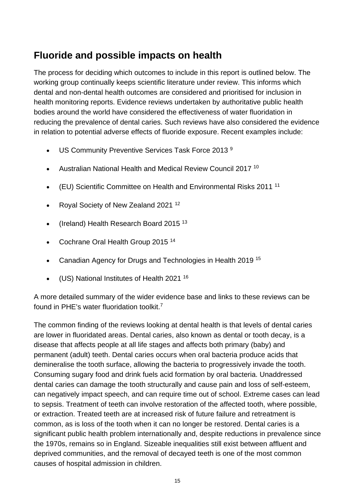## <span id="page-14-0"></span>**Fluoride and possible impacts on health**

The process for deciding which outcomes to include in this report is outlined below. The working group continually keeps scientific literature under review. This informs which dental and non-dental health outcomes are considered and prioritised for inclusion in health monitoring reports. Evidence reviews undertaken by authoritative public health bodies around the world have considered the effectiveness of water fluoridation in reducing the prevalence of dental caries. Such reviews have also considered the evidence in relation to potential adverse effects of fluoride exposure. Recent examples include:

- US Community Preventive Services Task Force 2013<sup>9</sup>
- Australian National Health and Medical Review Council 2017 10
- (EU) Scientific Committee on Health and Environmental Risks 2011 11
- Royal Society of New Zealand 2021 12
- (Ireland) Health Research Board 2015 13
- Cochrane Oral Health Group 2015<sup>14</sup>
- Canadian Agency for Drugs and Technologies in Health 2019 15
- (US) National Institutes of Health 2021 16

A more detailed summary of the wider evidence base and links to these reviews can be found in PHE's water fluoridation toolkit.7

The common finding of the reviews looking at dental health is that levels of dental caries are lower in fluoridated areas. Dental caries, also known as dental or tooth decay, is a disease that affects people at all life stages and affects both primary (baby) and permanent (adult) teeth. Dental caries occurs when oral bacteria produce acids that demineralise the tooth surface, allowing the bacteria to progressively invade the tooth. Consuming sugary food and drink fuels acid formation by oral bacteria. Unaddressed dental caries can damage the tooth structurally and cause pain and loss of self-esteem, can negatively impact speech, and can require time out of school. Extreme cases can lead to sepsis. Treatment of teeth can involve restoration of the affected tooth, where possible, or extraction. Treated teeth are at increased risk of future failure and retreatment is common, as is loss of the tooth when it can no longer be restored. Dental caries is a significant public health problem internationally and, despite reductions in prevalence since the 1970s, remains so in England. Sizeable inequalities still exist between affluent and deprived communities, and the removal of decayed teeth is one of the most common causes of hospital admission in children.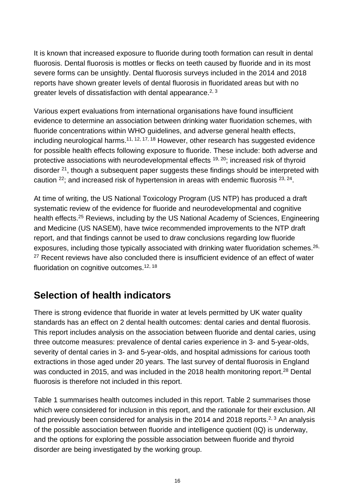It is known that increased exposure to fluoride during tooth formation can result in dental fluorosis. Dental fluorosis is mottles or flecks on teeth caused by fluoride and in its most severe forms can be unsightly. Dental fluorosis surveys included in the 2014 and 2018 reports have shown greater levels of dental fluorosis in fluoridated areas but with no greater levels of dissatisfaction with dental appearance.<sup>2, 3</sup>

Various expert evaluations from international organisations have found insufficient evidence to determine an association between drinking water fluoridation schemes, with fluoride concentrations within WHO guidelines, and adverse general health effects, including neurological harms.<sup>11, 12, 17, 18</sup> However, other research has suggested evidence for possible health effects following exposure to fluoride. These include: both adverse and protective associations with neurodevelopmental effects  $19, 20$ ; increased risk of thyroid disorder <sup>21</sup>, though a subsequent paper suggests these findings should be interpreted with caution 22; and increased risk of hypertension in areas with endemic fluorosis 23, 24.

At time of writing, the US National Toxicology Program (US NTP) has produced a draft systematic review of the evidence for fluoride and neurodevelopmental and cognitive health effects.<sup>25</sup> Reviews, including by the US National Academy of Sciences, Engineering and Medicine (US NASEM), have twice recommended improvements to the NTP draft report, and that findings cannot be used to draw conclusions regarding low fluoride exposures, including those typically associated with drinking water fluoridation schemes.<sup>26,</sup> <sup>27</sup> Recent reviews have also concluded there is insufficient evidence of an effect of water fluoridation on cognitive outcomes.<sup>12, 18</sup>

### <span id="page-15-0"></span>**Selection of health indicators**

There is strong evidence that fluoride in water at levels permitted by UK water quality standards has an effect on 2 dental health outcomes: dental caries and dental fluorosis. This report includes analysis on the association between fluoride and dental caries, using three outcome measures: prevalence of dental caries experience in 3- and 5-year-olds, severity of dental caries in 3- and 5-year-olds, and hospital admissions for carious tooth extractions in those aged under 20 years. The last survey of dental fluorosis in England was conducted in 2015, and was included in the 2018 health monitoring report.<sup>28</sup> Dental fluorosis is therefore not included in this report.

Table 1 summarises health outcomes included in this report. Table 2 summarises those which were considered for inclusion in this report, and the rationale for their exclusion. All had previously been considered for analysis in the 2014 and 2018 reports.<sup>2, 3</sup> An analysis of the possible association between fluoride and intelligence quotient (IQ) is underway, and the options for exploring the possible association between fluoride and thyroid disorder are being investigated by the working group.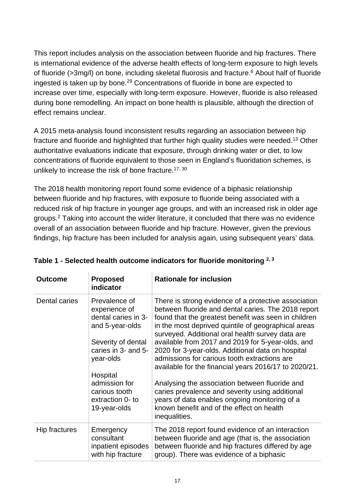This report includes analysis on the association between fluoride and hip fractures. There is international evidence of the adverse health effects of long-term exposure to high levels of fluoride (>3mg/l) on bone, including skeletal fluorosis and fracture.6 About half of fluoride ingested is taken up by bone.29 Concentrations of fluoride in bone are expected to increase over time, especially with long-term exposure. However, fluoride is also released during bone remodelling. An impact on bone health is plausible, although the direction of effect remains unclear.

A 2015 meta-analysis found inconsistent results regarding an association between hip fracture and fluoride and highlighted that further high quality studies were needed.<sup>13</sup> Other authoritative evaluations indicate that exposure, through drinking water or diet, to low concentrations of fluoride equivalent to those seen in England's fluoridation schemes, is unlikely to increase the risk of bone fracture.<sup>17, 30</sup>

The 2018 health monitoring report found some evidence of a biphasic relationship between fluoride and hip fractures, with exposure to fluoride being associated with a reduced risk of hip fracture in younger age groups, and with an increased risk in older age groups.2 Taking into account the wider literature, it concluded that there was no evidence overall of an association between fluoride and hip fracture. However, given the previous findings, hip fracture has been included for analysis again, using subsequent years' data.

| <b>Outcome</b> | <b>Proposed</b><br>indicator                                                                                                                                                     | <b>Rationale for inclusion</b>                                                                                                                                                                                                                                                                                                                                                                                                                                                                                                                                                                         |
|----------------|----------------------------------------------------------------------------------------------------------------------------------------------------------------------------------|--------------------------------------------------------------------------------------------------------------------------------------------------------------------------------------------------------------------------------------------------------------------------------------------------------------------------------------------------------------------------------------------------------------------------------------------------------------------------------------------------------------------------------------------------------------------------------------------------------|
| Dental caries  | Prevalence of<br>experience of<br>dental caries in 3-<br>and 5-year-olds<br>Severity of dental<br>caries in 3- and 5-<br>year-olds<br>Hospital<br>admission for<br>carious tooth | There is strong evidence of a protective association<br>between fluoride and dental caries. The 2018 report<br>found that the greatest benefit was seen in children<br>in the most deprived quintile of geographical areas<br>surveyed. Additional oral health survey data are<br>available from 2017 and 2019 for 5-year-olds, and<br>2020 for 3-year-olds. Additional data on hospital<br>admissions for carious tooth extractions are<br>available for the financial years 2016/17 to 2020/21.<br>Analysing the association between fluoride and<br>caries prevalence and severity using additional |
|                | extraction 0- to<br>19-year-olds                                                                                                                                                 | years of data enables ongoing monitoring of a<br>known benefit and of the effect on health<br>inequalities.                                                                                                                                                                                                                                                                                                                                                                                                                                                                                            |
| Hip fractures  | Emergency<br>consultant<br>inpatient episodes<br>with hip fracture                                                                                                               | The 2018 report found evidence of an interaction<br>between fluoride and age (that is, the association<br>between fluoride and hip fractures differed by age<br>group). There was evidence of a biphasic                                                                                                                                                                                                                                                                                                                                                                                               |

#### **Table 1 - Selected health outcome indicators for fluoride monitoring 2, 3**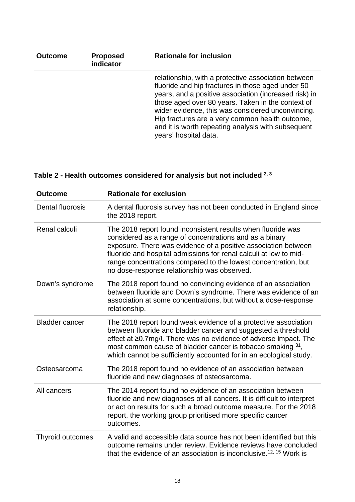| <b>Outcome</b> | <b>Proposed</b><br>indicator | <b>Rationale for inclusion</b>                                                                                                                                                                                                                                                                                                                                                                                |
|----------------|------------------------------|---------------------------------------------------------------------------------------------------------------------------------------------------------------------------------------------------------------------------------------------------------------------------------------------------------------------------------------------------------------------------------------------------------------|
|                |                              | relationship, with a protective association between<br>fluoride and hip fractures in those aged under 50<br>years, and a positive association (increased risk) in<br>those aged over 80 years. Taken in the context of<br>wider evidence, this was considered unconvincing.<br>Hip fractures are a very common health outcome,<br>and it is worth repeating analysis with subsequent<br>years' hospital data. |

## **Table 2 - Health outcomes considered for analysis but not included 2, 3**

| <b>Outcome</b>        | <b>Rationale for exclusion</b>                                                                                                                                                                                                                                                                                                                                                  |
|-----------------------|---------------------------------------------------------------------------------------------------------------------------------------------------------------------------------------------------------------------------------------------------------------------------------------------------------------------------------------------------------------------------------|
| Dental fluorosis      | A dental fluorosis survey has not been conducted in England since<br>the 2018 report.                                                                                                                                                                                                                                                                                           |
| Renal calculi         | The 2018 report found inconsistent results when fluoride was<br>considered as a range of concentrations and as a binary<br>exposure. There was evidence of a positive association between<br>fluoride and hospital admissions for renal calculi at low to mid-<br>range concentrations compared to the lowest concentration, but<br>no dose-response relationship was observed. |
| Down's syndrome       | The 2018 report found no convincing evidence of an association<br>between fluoride and Down's syndrome. There was evidence of an<br>association at some concentrations, but without a dose-response<br>relationship.                                                                                                                                                            |
| <b>Bladder cancer</b> | The 2018 report found weak evidence of a protective association<br>between fluoride and bladder cancer and suggested a threshold<br>effect at ≥0.7mg/l. There was no evidence of adverse impact. The<br>most common cause of bladder cancer is tobacco smoking 31,<br>which cannot be sufficiently accounted for in an ecological study.                                        |
| Osteosarcoma          | The 2018 report found no evidence of an association between<br>fluoride and new diagnoses of osteosarcoma.                                                                                                                                                                                                                                                                      |
| All cancers           | The 2014 report found no evidence of an association between<br>fluoride and new diagnoses of all cancers. It is difficult to interpret<br>or act on results for such a broad outcome measure. For the 2018<br>report, the working group prioritised more specific cancer<br>outcomes.                                                                                           |
| Thyroid outcomes      | A valid and accessible data source has not been identified but this<br>outcome remains under review. Evidence reviews have concluded<br>that the evidence of an association is inconclusive. <sup>12, 15</sup> Work is                                                                                                                                                          |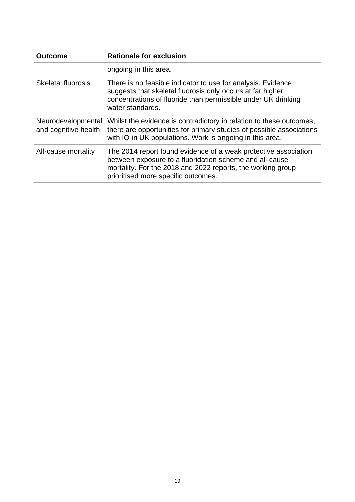| <b>Outcome</b>                             | <b>Rationale for exclusion</b>                                                                                                                                                                                                   |
|--------------------------------------------|----------------------------------------------------------------------------------------------------------------------------------------------------------------------------------------------------------------------------------|
|                                            | ongoing in this area.                                                                                                                                                                                                            |
| <b>Skeletal fluorosis</b>                  | There is no feasible indicator to use for analysis. Evidence<br>suggests that skeletal fluorosis only occurs at far higher<br>concentrations of fluoride than permissible under UK drinking<br>water standards.                  |
| Neurodevelopmental<br>and cognitive health | Whilst the evidence is contradictory in relation to these outcomes,<br>there are opportunities for primary studies of possible associations<br>with IQ in UK populations. Work is ongoing in this area.                          |
| All-cause mortality                        | The 2014 report found evidence of a weak protective association<br>between exposure to a fluoridation scheme and all-cause<br>mortality. For the 2018 and 2022 reports, the working group<br>prioritised more specific outcomes. |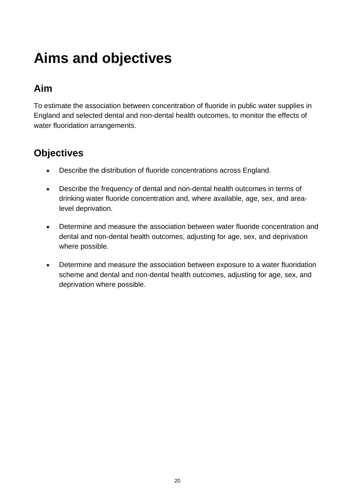# <span id="page-19-0"></span>**Aims and objectives**

## <span id="page-19-1"></span>**Aim**

To estimate the association between concentration of fluoride in public water supplies in England and selected dental and non-dental health outcomes, to monitor the effects of water fluoridation arrangements.

## <span id="page-19-2"></span>**Objectives**

- Describe the distribution of fluoride concentrations across England.
- Describe the frequency of dental and non-dental health outcomes in terms of drinking water fluoride concentration and, where available, age, sex, and arealevel deprivation.
- Determine and measure the association between water fluoride concentration and dental and non-dental health outcomes, adjusting for age, sex, and deprivation where possible.
- Determine and measure the association between exposure to a water fluoridation scheme and dental and non-dental health outcomes, adjusting for age, sex, and deprivation where possible.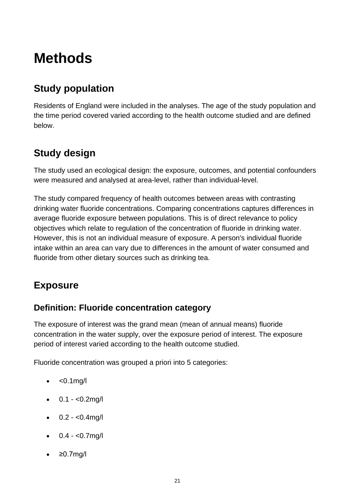## <span id="page-20-0"></span>**Methods**

## <span id="page-20-1"></span>**Study population**

Residents of England were included in the analyses. The age of the study population and the time period covered varied according to the health outcome studied and are defined below.

## <span id="page-20-2"></span>**Study design**

The study used an ecological design: the exposure, outcomes, and potential confounders were measured and analysed at area-level, rather than individual-level.

The study compared frequency of health outcomes between areas with contrasting drinking water fluoride concentrations. Comparing concentrations captures differences in average fluoride exposure between populations. This is of direct relevance to policy objectives which relate to regulation of the concentration of fluoride in drinking water. However, this is not an individual measure of exposure. A person's individual fluoride intake within an area can vary due to differences in the amount of water consumed and fluoride from other dietary sources such as drinking tea.

## <span id="page-20-3"></span>**Exposure**

### **Definition: Fluoride concentration category**

The exposure of interest was the grand mean (mean of annual means) fluoride concentration in the water supply, over the exposure period of interest. The exposure period of interest varied according to the health outcome studied.

Fluoride concentration was grouped a priori into 5 categories:

- $\bullet \quad <0.1$ mg/l
- $\bullet$  0.1 <0.2mg/l
- $\bullet$  0.2 <0.4mg/l
- $\bullet$  0.4 <0.7mg/l
- ≥0.7mg/l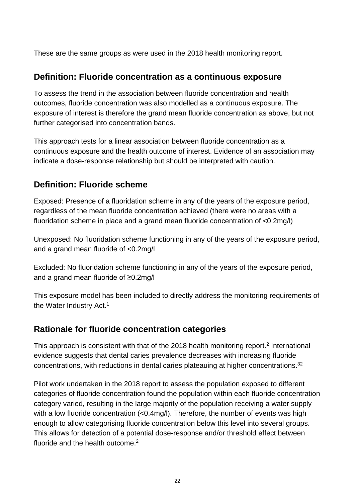These are the same groups as were used in the 2018 health monitoring report.

#### **Definition: Fluoride concentration as a continuous exposure**

To assess the trend in the association between fluoride concentration and health outcomes, fluoride concentration was also modelled as a continuous exposure. The exposure of interest is therefore the grand mean fluoride concentration as above, but not further categorised into concentration bands.

This approach tests for a linear association between fluoride concentration as a continuous exposure and the health outcome of interest. Evidence of an association may indicate a dose-response relationship but should be interpreted with caution.

#### **Definition: Fluoride scheme**

Exposed: Presence of a fluoridation scheme in any of the years of the exposure period, regardless of the mean fluoride concentration achieved (there were no areas with a fluoridation scheme in place and a grand mean fluoride concentration of <0.2mg/l)

Unexposed: No fluoridation scheme functioning in any of the years of the exposure period, and a grand mean fluoride of <0.2mg/l

Excluded: No fluoridation scheme functioning in any of the years of the exposure period, and a grand mean fluoride of ≥0.2mg/l

This exposure model has been included to directly address the monitoring requirements of the Water Industry Act.<sup>1</sup>

#### **Rationale for fluoride concentration categories**

This approach is consistent with that of the 2018 health monitoring report.<sup>2</sup> International evidence suggests that dental caries prevalence decreases with increasing fluoride concentrations, with reductions in dental caries plateauing at higher concentrations.<sup>32</sup>

Pilot work undertaken in the 2018 report to assess the population exposed to different categories of fluoride concentration found the population within each fluoride concentration category varied, resulting in the large majority of the population receiving a water supply with a low fluoride concentration (<0.4mg/l). Therefore, the number of events was high enough to allow categorising fluoride concentration below this level into several groups. This allows for detection of a potential dose-response and/or threshold effect between fluoride and the health outcome.<sup>2</sup>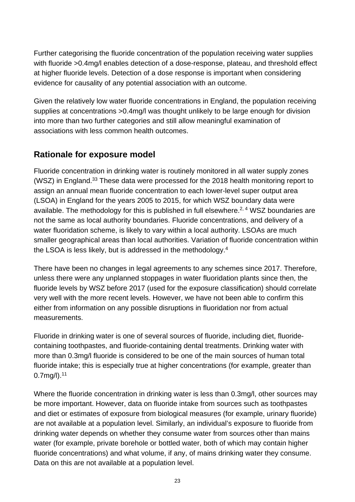Further categorising the fluoride concentration of the population receiving water supplies with fluoride >0.4mg/l enables detection of a dose-response, plateau, and threshold effect at higher fluoride levels. Detection of a dose response is important when considering evidence for causality of any potential association with an outcome.

Given the relatively low water fluoride concentrations in England, the population receiving supplies at concentrations >0.4mg/l was thought unlikely to be large enough for division into more than two further categories and still allow meaningful examination of associations with less common health outcomes.

### **Rationale for exposure model**

Fluoride concentration in drinking water is routinely monitored in all water supply zones (WSZ) in England.33 These data were processed for the 2018 health monitoring report to assign an annual mean fluoride concentration to each lower-level super output area (LSOA) in England for the years 2005 to 2015, for which WSZ boundary data were available. The methodology for this is published in full elsewhere.<sup>2, 4</sup> WSZ boundaries are not the same as local authority boundaries. Fluoride concentrations, and delivery of a water fluoridation scheme, is likely to vary within a local authority. LSOAs are much smaller geographical areas than local authorities. Variation of fluoride concentration within the LSOA is less likely, but is addressed in the methodology.4

There have been no changes in legal agreements to any schemes since 2017. Therefore, unless there were any unplanned stoppages in water fluoridation plants since then, the fluoride levels by WSZ before 2017 (used for the exposure classification) should correlate very well with the more recent levels. However, we have not been able to confirm this either from information on any possible disruptions in fluoridation nor from actual measurements.

Fluoride in drinking water is one of several sources of fluoride, including diet, fluoridecontaining toothpastes, and fluoride-containing dental treatments. Drinking water with more than 0.3mg/l fluoride is considered to be one of the main sources of human total fluoride intake; this is especially true at higher concentrations (for example, greater than 0.7mg/l).11

Where the fluoride concentration in drinking water is less than 0.3mg/l, other sources may be more important. However, data on fluoride intake from sources such as toothpastes and diet or estimates of exposure from biological measures (for example, urinary fluoride) are not available at a population level. Similarly, an individual's exposure to fluoride from drinking water depends on whether they consume water from sources other than mains water (for example, private borehole or bottled water, both of which may contain higher fluoride concentrations) and what volume, if any, of mains drinking water they consume. Data on this are not available at a population level.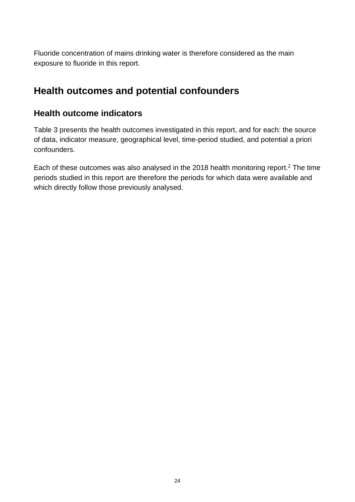Fluoride concentration of mains drinking water is therefore considered as the main exposure to fluoride in this report.

## <span id="page-23-0"></span>**Health outcomes and potential confounders**

#### **Health outcome indicators**

Table 3 presents the health outcomes investigated in this report, and for each: the source of data, indicator measure, geographical level, time-period studied, and potential a priori confounders.

Each of these outcomes was also analysed in the 2018 health monitoring report.2 The time periods studied in this report are therefore the periods for which data were available and which directly follow those previously analysed.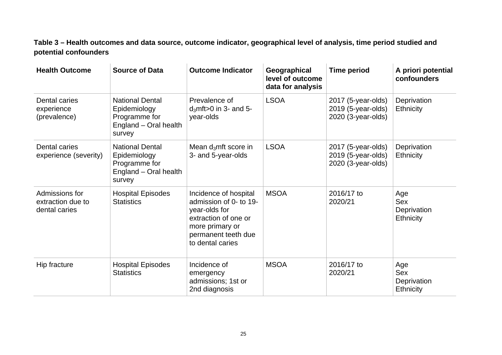**Table 3 – Health outcomes and data source, outcome indicator, geographical level of analysis, time period studied and potential confounders**

| <b>Health Outcome</b>                                | <b>Source of Data</b>                                                                      | <b>Outcome Indicator</b>                                                                                                                               | Geographical<br>level of outcome<br>data for analysis | <b>Time period</b>                                             | A priori potential<br>confounders                    |
|------------------------------------------------------|--------------------------------------------------------------------------------------------|--------------------------------------------------------------------------------------------------------------------------------------------------------|-------------------------------------------------------|----------------------------------------------------------------|------------------------------------------------------|
| Dental caries<br>experience<br>(prevalence)          | <b>National Dental</b><br>Epidemiology<br>Programme for<br>England - Oral health<br>survey | Prevalence of<br>$d_3$ mft > 0 in 3- and 5-<br>year-olds                                                                                               | <b>LSOA</b>                                           | 2017 (5-year-olds)<br>2019 (5-year-olds)<br>2020 (3-year-olds) | Deprivation<br><b>Ethnicity</b>                      |
| Dental caries<br>experience (severity)               | <b>National Dental</b><br>Epidemiology<br>Programme for<br>England - Oral health<br>survey | Mean $d_3$ mft score in<br>3- and 5-year-olds                                                                                                          | <b>LSOA</b>                                           | 2017 (5-year-olds)<br>2019 (5-year-olds)<br>2020 (3-year-olds) | Deprivation<br><b>Ethnicity</b>                      |
| Admissions for<br>extraction due to<br>dental caries | <b>Hospital Episodes</b><br><b>Statistics</b>                                              | Incidence of hospital<br>admission of 0- to 19-<br>year-olds for<br>extraction of one or<br>more primary or<br>permanent teeth due<br>to dental caries | <b>MSOA</b>                                           | 2016/17 to<br>2020/21                                          | Age<br>Sex<br>Deprivation<br><b>Ethnicity</b>        |
| Hip fracture                                         | <b>Hospital Episodes</b><br><b>Statistics</b>                                              | Incidence of<br>emergency<br>admissions; 1st or<br>2nd diagnosis                                                                                       | <b>MSOA</b>                                           | 2016/17 to<br>2020/21                                          | Age<br><b>Sex</b><br>Deprivation<br><b>Ethnicity</b> |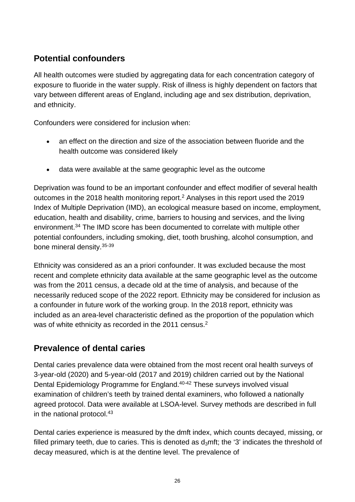### **Potential confounders**

All health outcomes were studied by aggregating data for each concentration category of exposure to fluoride in the water supply. Risk of illness is highly dependent on factors that vary between different areas of England, including age and sex distribution, deprivation, and ethnicity.

Confounders were considered for inclusion when:

- an effect on the direction and size of the association between fluoride and the health outcome was considered likely
- data were available at the same geographic level as the outcome

Deprivation was found to be an important confounder and effect modifier of several health outcomes in the 2018 health monitoring report.<sup>2</sup> Analyses in this report used the 2019 Index of Multiple Deprivation (IMD), an ecological measure based on income, employment, education, health and disability, crime, barriers to housing and services, and the living environment.<sup>34</sup> The IMD score has been documented to correlate with multiple other potential confounders, including smoking, diet, tooth brushing, alcohol consumption, and bone mineral density.35-39

Ethnicity was considered as an a priori confounder. It was excluded because the most recent and complete ethnicity data available at the same geographic level as the outcome was from the 2011 census, a decade old at the time of analysis, and because of the necessarily reduced scope of the 2022 report. Ethnicity may be considered for inclusion as a confounder in future work of the working group. In the 2018 report, ethnicity was included as an area-level characteristic defined as the proportion of the population which was of white ethnicity as recorded in the 2011 census.<sup>2</sup>

### **Prevalence of dental caries**

Dental caries prevalence data were obtained from the most recent oral health surveys of 3-year-old (2020) and 5-year-old (2017 and 2019) children carried out by the National Dental Epidemiology Programme for England.<sup>40-42</sup> These surveys involved visual examination of children's teeth by trained dental examiners, who followed a nationally agreed protocol. Data were available at LSOA-level. Survey methods are described in full in the national protocol.<sup>43</sup>

Dental caries experience is measured by the dmft index, which counts decayed, missing, or filled primary teeth, due to caries. This is denoted as  $d_3$ mft; the '3' indicates the threshold of decay measured, which is at the dentine level. The prevalence of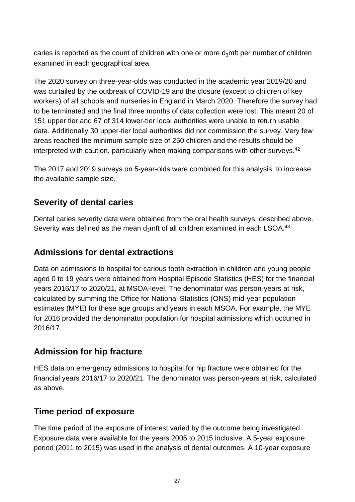caries is reported as the count of children with one or more  $d_3$ mft per number of children examined in each geographical area.

The 2020 survey on three-year-olds was conducted in the academic year 2019/20 and was curtailed by the outbreak of COVID-19 and the closure (except to children of key workers) of all schools and nurseries in England in March 2020. Therefore the survey had to be terminated and the final three months of data collection were lost. This meant 20 of 151 upper tier and 67 of 314 lower-tier local authorities were unable to return usable data. Additionally 30 upper-tier local authorities did not commission the survey. Very few areas reached the minimum sample size of 250 children and the results should be interpreted with caution, particularly when making comparisons with other surveys.<sup>42</sup>

The 2017 and 2019 surveys on 5-year-olds were combined for this analysis, to increase the available sample size.

#### **Severity of dental caries**

Dental caries severity data were obtained from the oral health surveys, described above. Severity was defined as the mean  $d_3$ mft of all children examined in each LSOA.<sup>43</sup>

#### **Admissions for dental extractions**

Data on admissions to hospital for carious tooth extraction in children and young people aged 0 to 19 years were obtained from Hospital Episode Statistics (HES) for the financial years 2016/17 to 2020/21, at MSOA-level. The denominator was person-years at risk, calculated by summing the Office for National Statistics (ONS) mid-year population estimates (MYE) for these age groups and years in each MSOA. For example, the MYE for 2016 provided the denominator population for hospital admissions which occurred in 2016/17.

#### **Admission for hip fracture**

HES data on emergency admissions to hospital for hip fracture were obtained for the financial years 2016/17 to 2020/21. The denominator was person-years at risk, calculated as above.

### **Time period of exposure**

The time period of the exposure of interest varied by the outcome being investigated. Exposure data were available for the years 2005 to 2015 inclusive. A 5-year exposure period (2011 to 2015) was used in the analysis of dental outcomes. A 10-year exposure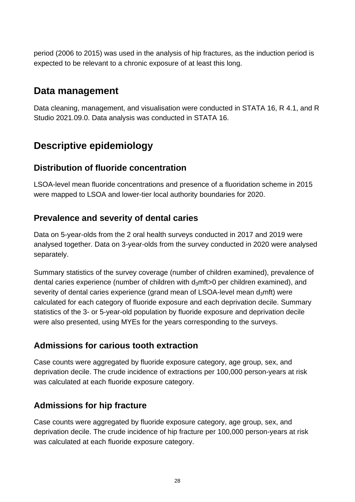period (2006 to 2015) was used in the analysis of hip fractures, as the induction period is expected to be relevant to a chronic exposure of at least this long.

## <span id="page-27-0"></span>**Data management**

Data cleaning, management, and visualisation were conducted in STATA 16, R 4.1, and R Studio 2021.09.0. Data analysis was conducted in STATA 16.

## <span id="page-27-1"></span>**Descriptive epidemiology**

#### **Distribution of fluoride concentration**

LSOA-level mean fluoride concentrations and presence of a fluoridation scheme in 2015 were mapped to LSOA and lower-tier local authority boundaries for 2020.

### **Prevalence and severity of dental caries**

Data on 5-year-olds from the 2 oral health surveys conducted in 2017 and 2019 were analysed together. Data on 3-year-olds from the survey conducted in 2020 were analysed separately.

Summary statistics of the survey coverage (number of children examined), prevalence of dental caries experience (number of children with  $d_3$ mft>0 per children examined), and severity of dental caries experience (grand mean of LSOA-level mean  $d<sub>3</sub>$ mft) were calculated for each category of fluoride exposure and each deprivation decile. Summary statistics of the 3- or 5-year-old population by fluoride exposure and deprivation decile were also presented, using MYEs for the years corresponding to the surveys.

### **Admissions for carious tooth extraction**

Case counts were aggregated by fluoride exposure category, age group, sex, and deprivation decile. The crude incidence of extractions per 100,000 person-years at risk was calculated at each fluoride exposure category.

### **Admissions for hip fracture**

Case counts were aggregated by fluoride exposure category, age group, sex, and deprivation decile. The crude incidence of hip fracture per 100,000 person-years at risk was calculated at each fluoride exposure category.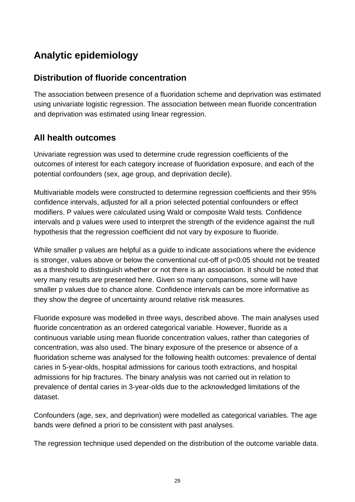## <span id="page-28-0"></span>**Analytic epidemiology**

#### **Distribution of fluoride concentration**

The association between presence of a fluoridation scheme and deprivation was estimated using univariate logistic regression. The association between mean fluoride concentration and deprivation was estimated using linear regression.

#### **All health outcomes**

Univariate regression was used to determine crude regression coefficients of the outcomes of interest for each category increase of fluoridation exposure, and each of the potential confounders (sex, age group, and deprivation decile).

Multivariable models were constructed to determine regression coefficients and their 95% confidence intervals, adjusted for all a priori selected potential confounders or effect modifiers. P values were calculated using Wald or composite Wald tests. Confidence intervals and p values were used to interpret the strength of the evidence against the null hypothesis that the regression coefficient did not vary by exposure to fluoride.

While smaller p values are helpful as a guide to indicate associations where the evidence is stronger, values above or below the conventional cut-off of p<0.05 should not be treated as a threshold to distinguish whether or not there is an association. It should be noted that very many results are presented here. Given so many comparisons, some will have smaller p values due to chance alone. Confidence intervals can be more informative as they show the degree of uncertainty around relative risk measures.

Fluoride exposure was modelled in three ways, described above. The main analyses used fluoride concentration as an ordered categorical variable. However, fluoride as a continuous variable using mean fluoride concentration values, rather than categories of concentration, was also used. The binary exposure of the presence or absence of a fluoridation scheme was analysed for the following health outcomes: prevalence of dental caries in 5-year-olds, hospital admissions for carious tooth extractions, and hospital admissions for hip fractures. The binary analysis was not carried out in relation to prevalence of dental caries in 3-year-olds due to the acknowledged limitations of the dataset.

Confounders (age, sex, and deprivation) were modelled as categorical variables. The age bands were defined a priori to be consistent with past analyses.

The regression technique used depended on the distribution of the outcome variable data.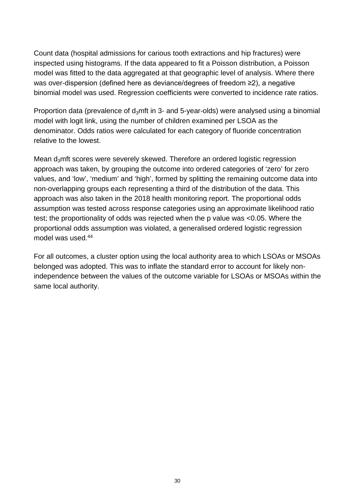Count data (hospital admissions for carious tooth extractions and hip fractures) were inspected using histograms. If the data appeared to fit a Poisson distribution, a Poisson model was fitted to the data aggregated at that geographic level of analysis. Where there was over-dispersion (defined here as deviance/degrees of freedom ≥2), a negative binomial model was used. Regression coefficients were converted to incidence rate ratios.

Proportion data (prevalence of  $d_3$ mft in 3- and 5-year-olds) were analysed using a binomial model with logit link, using the number of children examined per LSOA as the denominator. Odds ratios were calculated for each category of fluoride concentration relative to the lowest.

Mean  $d_3$ mft scores were severely skewed. Therefore an ordered logistic regression approach was taken, by grouping the outcome into ordered categories of 'zero' for zero values, and 'low', 'medium' and 'high', formed by splitting the remaining outcome data into non-overlapping groups each representing a third of the distribution of the data. This approach was also taken in the 2018 health monitoring report. The proportional odds assumption was tested across response categories using an approximate likelihood ratio test; the proportionality of odds was rejected when the p value was <0.05. Where the proportional odds assumption was violated, a generalised ordered logistic regression model was used.<sup>44</sup>

For all outcomes, a cluster option using the local authority area to which LSOAs or MSOAs belonged was adopted. This was to inflate the standard error to account for likely nonindependence between the values of the outcome variable for LSOAs or MSOAs within the same local authority.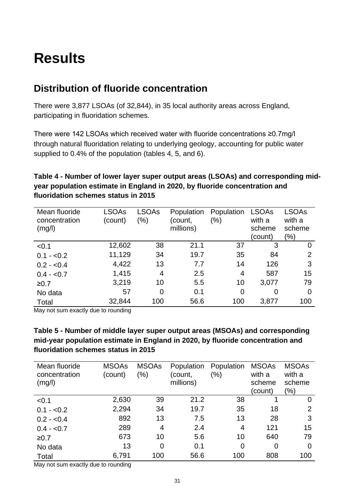## <span id="page-30-0"></span>**Results**

### <span id="page-30-1"></span>**Distribution of fluoride concentration**

There were 3,877 LSOAs (of 32,844), in 35 local authority areas across England, participating in fluoridation schemes.

There were 142 LSOAs which received water with fluoride concentrations ≥0.7mg/l through natural fluoridation relating to underlying geology, accounting for public water supplied to 0.4% of the population (tables 4, 5, and 6).

#### **Table 4 - Number of lower layer super output areas (LSOAs) and corresponding midyear population estimate in England in 2020, by fluoride concentration and fluoridation schemes status in 2015**

| Mean fluoride<br>concentration<br>(mg/l) | <b>LSOAs</b><br>(count) | <b>LSOAs</b><br>$(\% )$ | Population<br>count,<br>millions) | Population<br>$(\%)$ | <b>LSOAs</b><br>with a<br>scheme<br>(count) | <b>LSOAs</b><br>with a<br>scheme<br>$(\% )$ |
|------------------------------------------|-------------------------|-------------------------|-----------------------------------|----------------------|---------------------------------------------|---------------------------------------------|
| < 0.1                                    | 12,602                  | 38                      | 21.1                              | 37                   | 3                                           | 0                                           |
| $0.1 - 0.2$                              | 11,129                  | 34                      | 19.7                              | 35                   | 84                                          | 2                                           |
| $0.2 - 0.4$                              | 4,422                   | 13                      | 7.7                               | 14                   | 126                                         | 3                                           |
| $0.4 - 0.7$                              | 1,415                   | 4                       | 2.5                               | 4                    | 587                                         | 15                                          |
| ≥0.7                                     | 3,219                   | 10                      | 5.5                               | 10                   | 3,077                                       | 79                                          |
| No data                                  | 57                      | $\overline{0}$          | 0.1                               | 0                    | 0                                           | $\overline{0}$                              |
| Total                                    | 32,844                  | 100                     | 56.6                              | 100                  | 3,877                                       | 100                                         |

May not sum exactly due to rounding

#### **Table 5 - Number of middle layer super output areas (MSOAs) and corresponding mid-year population estimate in England in 2020, by fluoride concentration and fluoridation schemes status in 2015**

| Mean fluoride<br>concentration<br>(mg/l) | <b>MSOAs</b><br>(count) | <b>MSOAs</b><br>$(\% )$ | Population<br>(count,<br>millions) | Population<br>$(\% )$ | <b>MSOAs</b><br>with a<br>scheme<br>(count) | <b>MSOAs</b><br>with a<br>scheme<br>$(\% )$ |
|------------------------------------------|-------------------------|-------------------------|------------------------------------|-----------------------|---------------------------------------------|---------------------------------------------|
| < 0.1                                    | 2,630                   | 39                      | 21.2                               | 38                    |                                             | 0                                           |
| $0.1 - 0.2$                              | 2,294                   | 34                      | 19.7                               | 35                    | 18                                          | 2                                           |
| $0.2 - 0.4$                              | 892                     | 13                      | 7.5                                | 13                    | 28                                          | 3                                           |
| $0.4 - 0.7$                              | 289                     | 4                       | 2.4                                | 4                     | 121                                         | 15                                          |
| ≥0.7                                     | 673                     | 10                      | 5.6                                | 10                    | 640                                         | 79                                          |
| No data                                  | 13                      | $\overline{0}$          | 0.1                                | $\overline{0}$        | $\overline{0}$                              | 0                                           |
| Total                                    | 6,791                   | 100                     | 56.6                               | 100                   | 808                                         | 100                                         |

May not sum exactly due to rounding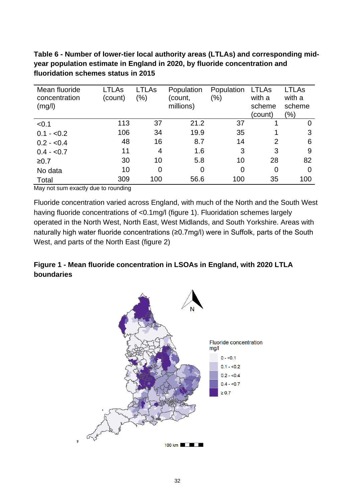**Table 6 - Number of lower-tier local authority areas (LTLAs) and corresponding midyear population estimate in England in 2020, by fluoride concentration and fluoridation schemes status in 2015** 

| Mean fluoride<br>concentration<br>(mg/l) | LTLAs<br>(count) | LTLAs<br>$(\% )$ | Population<br>(count,<br>millions) | Population<br>$(\% )$ | <b>LTLAs</b><br>with a<br>scheme | <b>LTLAs</b><br>with a<br>scheme |
|------------------------------------------|------------------|------------------|------------------------------------|-----------------------|----------------------------------|----------------------------------|
|                                          |                  |                  |                                    |                       | (count)                          | $(\% )$                          |
| < 0.1                                    | 113              | 37               | 21.2                               | 37                    |                                  | 0                                |
| $0.1 - 0.2$                              | 106              | 34               | 19.9                               | 35                    |                                  | 3                                |
| $0.2 - 0.4$                              | 48               | 16               | 8.7                                | 14                    | $\overline{2}$                   | 6                                |
| $0.4 - 0.7$                              | 11               | 4                | 1.6                                | 3                     | 3                                | 9                                |
| $≥0.7$                                   | 30               | 10               | 5.8                                | 10                    | 28                               | 82                               |
| No data                                  | 10               | 0                | 0                                  | $\Omega$              | $\overline{0}$                   | $\Omega$                         |
| Total                                    | 309              | 100              | 56.6                               | 100                   | 35                               | 100                              |

May not sum exactly due to rounding

Fluoride concentration varied across England, with much of the North and the South West having fluoride concentrations of <0.1mg/l (figure 1). Fluoridation schemes largely operated in the North West, North East, West Midlands, and South Yorkshire. Areas with naturally high water fluoride concentrations (≥0.7mg/l) were in Suffolk, parts of the South West, and parts of the North East (figure 2)

#### **Figure 1 - Mean fluoride concentration in LSOAs in England, with 2020 LTLA boundaries**

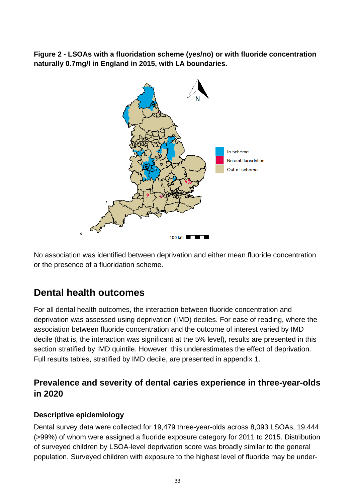**Figure 2 - LSOAs with a fluoridation scheme (yes/no) or with fluoride concentration naturally 0.7mg/l in England in 2015, with LA boundaries.** 



No association was identified between deprivation and either mean fluoride concentration or the presence of a fluoridation scheme.

### <span id="page-32-0"></span>**Dental health outcomes**

For all dental health outcomes, the interaction between fluoride concentration and deprivation was assessed using deprivation (IMD) deciles. For ease of reading, where the association between fluoride concentration and the outcome of interest varied by IMD decile (that is, the interaction was significant at the 5% level), results are presented in this section stratified by IMD quintile. However, this underestimates the effect of deprivation. Full results tables, stratified by IMD decile, are presented in appendix 1.

### **Prevalence and severity of dental caries experience in three-year-olds in 2020**

#### **Descriptive epidemiology**

Dental survey data were collected for 19,479 three-year-olds across 8,093 LSOAs, 19,444 (>99%) of whom were assigned a fluoride exposure category for 2011 to 2015. Distribution of surveyed children by LSOA-level deprivation score was broadly similar to the general population. Surveyed children with exposure to the highest level of fluoride may be under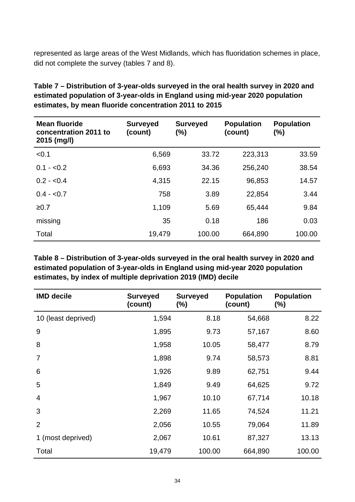represented as large areas of the West Midlands, which has fluoridation schemes in place, did not complete the survey (tables 7 and 8).

| <b>Mean fluoride</b><br>concentration 2011 to<br>2015 (mg/l) | <b>Surveyed</b><br>(count) | <b>Surveyed</b><br>$(\%)$ | <b>Population</b><br>(count) | <b>Population</b><br>(%) |
|--------------------------------------------------------------|----------------------------|---------------------------|------------------------------|--------------------------|
| < 0.1                                                        | 6,569                      | 33.72                     | 223,313                      | 33.59                    |
| $0.1 - 0.2$                                                  | 6,693                      | 34.36                     | 256,240                      | 38.54                    |
| $0.2 - 0.4$                                                  | 4,315                      | 22.15                     | 96,853                       | 14.57                    |
| $0.4 - 0.7$                                                  | 758                        | 3.89                      | 22,854                       | 3.44                     |
| ≥0.7                                                         | 1,109                      | 5.69                      | 65,444                       | 9.84                     |
| missing                                                      | 35                         | 0.18                      | 186                          | 0.03                     |
| Total                                                        | 19,479                     | 100.00                    | 664,890                      | 100.00                   |

**Table 7 – Distribution of 3-year-olds surveyed in the oral health survey in 2020 and estimated population of 3-year-olds in England using mid-year 2020 population estimates, by mean fluoride concentration 2011 to 2015** 

**Table 8 – Distribution of 3-year-olds surveyed in the oral health survey in 2020 and estimated population of 3-year-olds in England using mid-year 2020 population estimates, by index of multiple deprivation 2019 (IMD) decile**

| <b>IMD decile</b>   | <b>Surveyed</b><br>(count) | <b>Surveyed</b><br>$(\%)$ | <b>Population</b><br>(count) | <b>Population</b><br>$(\%)$ |
|---------------------|----------------------------|---------------------------|------------------------------|-----------------------------|
| 10 (least deprived) | 1,594                      | 8.18                      | 54,668                       | 8.22                        |
| 9                   | 1,895                      | 9.73                      | 57,167                       | 8.60                        |
| 8                   | 1,958                      | 10.05                     | 58,477                       | 8.79                        |
| 7                   | 1,898                      | 9.74                      | 58,573                       | 8.81                        |
| 6                   | 1,926                      | 9.89                      | 62,751                       | 9.44                        |
| 5                   | 1,849                      | 9.49                      | 64,625                       | 9.72                        |
| $\overline{4}$      | 1,967                      | 10.10                     | 67,714                       | 10.18                       |
| 3                   | 2,269                      | 11.65                     | 74,524                       | 11.21                       |
| $\overline{2}$      | 2,056                      | 10.55                     | 79,064                       | 11.89                       |
| 1 (most deprived)   | 2,067                      | 10.61                     | 87,327                       | 13.13                       |
| Total               | 19,479                     | 100.00                    | 664,890                      | 100.00                      |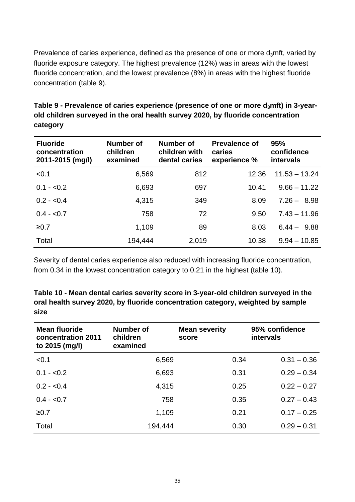Prevalence of caries experience, defined as the presence of one or more  $d_3$ mft, varied by fluoride exposure category. The highest prevalence (12%) was in areas with the lowest fluoride concentration, and the lowest prevalence (8%) in areas with the highest fluoride concentration (table 9).

| <b>Fluoride</b><br>concentration<br>2011-2015 (mg/l) | <b>Number of</b><br>children<br>examined | Number of<br>children with<br>dental caries | <b>Prevalence of</b><br>caries<br>experience % | 95%<br>confidence<br>intervals |
|------------------------------------------------------|------------------------------------------|---------------------------------------------|------------------------------------------------|--------------------------------|
| < 0.1                                                | 6,569                                    | 812                                         | 12.36                                          | $11.53 - 13.24$                |
| $0.1 - 0.2$                                          | 6,693                                    | 697                                         | 10.41                                          | $9.66 - 11.22$                 |
| $0.2 - 0.4$                                          | 4,315                                    | 349                                         | 8.09                                           | $7.26 - 8.98$                  |
| $0.4 - 0.7$                                          | 758                                      | 72                                          | 9.50                                           | $7.43 - 11.96$                 |
| $≥0.7$                                               | 1,109                                    | 89                                          | 8.03                                           | $6.44 - 9.88$                  |
| Total                                                | 194,444                                  | 2,019                                       | 10.38                                          | $9.94 - 10.85$                 |

**Table 9 - Prevalence of caries experience (presence of one or more d3mft) in 3-yearold children surveyed in the oral health survey 2020, by fluoride concentration category** 

Severity of dental caries experience also reduced with increasing fluoride concentration, from 0.34 in the lowest concentration category to 0.21 in the highest (table 10).

**Table 10 - Mean dental caries severity score in 3-year-old children surveyed in the oral health survey 2020, by fluoride concentration category, weighted by sample size** 

| <b>Mean fluoride</b><br>concentration 2011<br>to 2015 (mg/l) | Number of<br>children<br>examined | <b>Mean severity</b><br>score | 95% confidence<br>intervals |
|--------------------------------------------------------------|-----------------------------------|-------------------------------|-----------------------------|
| < 0.1                                                        | 6,569                             | 0.34                          | $0.31 - 0.36$               |
| $0.1 - 0.2$                                                  | 6,693                             | 0.31                          | $0.29 - 0.34$               |
| $0.2 - 0.4$                                                  | 4,315                             | 0.25                          | $0.22 - 0.27$               |
| $0.4 - 0.7$                                                  | 758                               | 0.35                          | $0.27 - 0.43$               |
| ≥0.7                                                         | 1,109                             | 0.21                          | $0.17 - 0.25$               |
| Total                                                        | 194,444                           | 0.30                          | $0.29 - 0.31$               |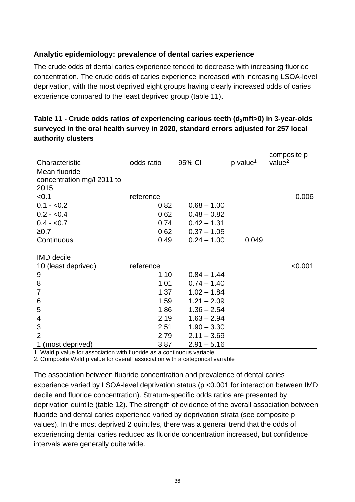#### **Analytic epidemiology: prevalence of dental caries experience**

The crude odds of dental caries experience tended to decrease with increasing fluoride concentration. The crude odds of caries experience increased with increasing LSOA-level deprivation, with the most deprived eight groups having clearly increased odds of caries experience compared to the least deprived group (table 11).

| Characteristic                     | odds ratio | 95% CI        | p value <sup>1</sup> | composite p<br>value <sup>2</sup> |
|------------------------------------|------------|---------------|----------------------|-----------------------------------|
| Mean fluoride                      |            |               |                      |                                   |
| concentration mg/l 2011 to<br>2015 |            |               |                      |                                   |
| < 0.1                              | reference  |               |                      | 0.006                             |
| $0.1 - 0.2$                        | 0.82       | $0.68 - 1.00$ |                      |                                   |
| $0.2 - 0.4$                        | 0.62       | $0.48 - 0.82$ |                      |                                   |
| $0.4 - 0.7$                        | 0.74       | $0.42 - 1.31$ |                      |                                   |
| ≥0.7                               | 0.62       | $0.37 - 1.05$ |                      |                                   |
| Continuous                         | 0.49       | $0.24 - 1.00$ | 0.049                |                                   |
| <b>IMD</b> decile                  |            |               |                      |                                   |
| 10 (least deprived)                | reference  |               |                      | < 0.001                           |
| 9                                  | 1.10       | $0.84 - 1.44$ |                      |                                   |
| 8                                  | 1.01       | $0.74 - 1.40$ |                      |                                   |
| 7                                  | 1.37       | $1.02 - 1.84$ |                      |                                   |
| 6                                  | 1.59       | $1.21 - 2.09$ |                      |                                   |
| 5                                  | 1.86       | $1.36 - 2.54$ |                      |                                   |
| 4                                  | 2.19       | $1.63 - 2.94$ |                      |                                   |
| 3                                  | 2.51       | $1.90 - 3.30$ |                      |                                   |
| $\overline{2}$                     | 2.79       | $2.11 - 3.69$ |                      |                                   |
| (most deprived)<br>1               | 3.87       | $2.91 - 5.16$ |                      |                                   |

| Table 11 - Crude odds ratios of experiencing carious teeth (d $_3$ mft>0) in 3-year-olds |
|------------------------------------------------------------------------------------------|
| surveyed in the oral health survey in 2020, standard errors adjusted for 257 local       |
| authority clusters                                                                       |

1. Wald p value for association with fluoride as a continuous variable

2. Composite Wald p value for overall association with a categorical variable

The association between fluoride concentration and prevalence of dental caries experience varied by LSOA-level deprivation status (p <0.001 for interaction between IMD decile and fluoride concentration). Stratum-specific odds ratios are presented by deprivation quintile (table 12). The strength of evidence of the overall association between fluoride and dental caries experience varied by deprivation strata (see composite p values). In the most deprived 2 quintiles, there was a general trend that the odds of experiencing dental caries reduced as fluoride concentration increased, but confidence intervals were generally quite wide.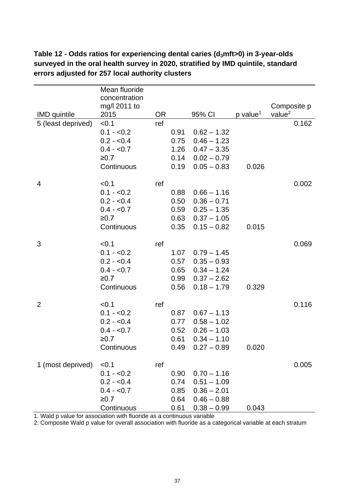|                     | Mean fluoride<br>concentration |           |      |               |                      |                    |
|---------------------|--------------------------------|-----------|------|---------------|----------------------|--------------------|
|                     | mg/l 2011 to                   |           |      |               |                      | Composite p        |
| <b>IMD</b> quintile | 2015                           | <b>OR</b> |      | 95% CI        | p value <sup>1</sup> | value <sup>2</sup> |
| 5 (least deprived)  | < 0.1                          | ref       |      |               |                      | 0.162              |
|                     | $0.1 - 0.2$                    |           | 0.91 | $0.62 - 1.32$ |                      |                    |
|                     | $0.2 - 0.4$                    |           | 0.75 | $0.46 - 1.23$ |                      |                    |
|                     | $0.4 - 0.7$                    |           | 1.26 | $0.47 - 3.35$ |                      |                    |
|                     | ≥0.7                           |           | 0.14 | $0.02 - 0.79$ |                      |                    |
|                     | Continuous                     |           | 0.19 | $0.05 - 0.83$ | 0.026                |                    |
| 4                   | < 0.1                          | ref       |      |               |                      | 0.002              |
|                     | $0.1 - 0.2$                    |           | 0.88 | $0.66 - 1.16$ |                      |                    |
|                     | $0.2 - 0.4$                    |           | 0.50 | $0.36 - 0.71$ |                      |                    |
|                     | $0.4 - 0.7$                    |           | 0.59 | $0.25 - 1.35$ |                      |                    |
|                     | $≥0.7$                         |           | 0.63 | $0.37 - 1.05$ |                      |                    |
|                     | Continuous                     |           | 0.35 | $0.15 - 0.82$ | 0.015                |                    |
| 3                   | < 0.1                          | ref       |      |               |                      | 0.069              |
|                     | $0.1 - 0.2$                    |           | 1.07 | $0.79 - 1.45$ |                      |                    |
|                     | $0.2 - 0.4$                    |           | 0.57 | $0.35 - 0.93$ |                      |                    |
|                     | $0.4 - 0.7$                    |           | 0.65 | $0.34 - 1.24$ |                      |                    |
|                     | ≥0.7                           |           | 0.99 | $0.37 - 2.62$ |                      |                    |
|                     | Continuous                     |           | 0.56 | $0.18 - 1.79$ | 0.329                |                    |
| $\overline{2}$      | < 0.1                          | ref       |      |               |                      | 0.116              |
|                     | $0.1 - 0.2$                    |           | 0.87 | $0.67 - 1.13$ |                      |                    |
|                     | $0.2 - 0.4$                    |           | 0.77 | $0.58 - 1.02$ |                      |                    |
|                     | $0.4 - 0.7$                    |           | 0.52 | $0.26 - 1.03$ |                      |                    |
|                     | ≥0.7                           |           | 0.61 | $0.34 - 1.10$ |                      |                    |
|                     | Continuous                     |           | 0.49 | $0.27 - 0.89$ | 0.020                |                    |
| 1 (most deprived)   | < 0.1                          | ref       |      |               |                      | 0.005              |
|                     | $0.1 - 0.2$                    |           | 0.90 | $0.70 - 1.16$ |                      |                    |
|                     | $0.2 - 0.4$                    |           | 0.74 | $0.51 - 1.09$ |                      |                    |
|                     | $0.4 - 0.7$                    |           | 0.85 | $0.36 - 2.01$ |                      |                    |
|                     | ≥0.7                           |           | 0.64 | $0.46 - 0.88$ |                      |                    |
|                     | Continuous                     |           | 0.61 | $0.38 - 0.99$ | 0.043                |                    |

**Table 12 - Odds ratios for experiencing dental caries (d3mft>0) in 3-year-olds surveyed in the oral health survey in 2020, stratified by IMD quintile, standard errors adjusted for 257 local authority clusters** 

1. Wald p value for association with fluoride as a continuous variable

2. Composite Wald p value for overall association with fluoride as a categorical variable at each stratum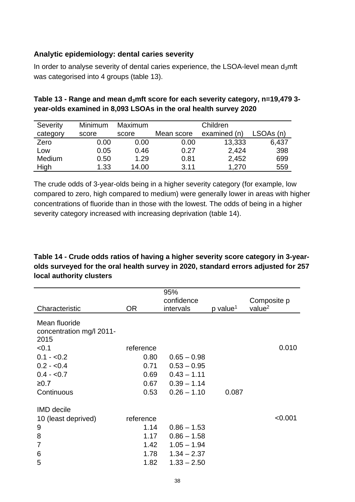#### **Analytic epidemiology: dental caries severity**

In order to analyse severity of dental caries experience, the LSOA-level mean  $d_3$ mft was categorised into 4 groups (table 13).

| Table 13 - Range and mean $d_3$ mft score for each severity category, n=19,479 3- |
|-----------------------------------------------------------------------------------|
| year-olds examined in 8,093 LSOAs in the oral health survey 2020                  |

| Severity | Minimum | <b>Maximum</b> |            | Children     |           |
|----------|---------|----------------|------------|--------------|-----------|
| category | score   | score          | Mean score | examined (n) | LSOAs (n) |
| Zero     | 0.00    | 0.00           | 0.00       | 13,333       | 6,437     |
| Low      | 0.05    | 0.46           | 0.27       | 2,424        | 398       |
| Medium   | 0.50    | 1.29           | 0.81       | 2,452        | 699       |
| High     | 1.33    | 14.00          | 3.11       | 1,270        | 559       |

The crude odds of 3-year-olds being in a higher severity category (for example, low compared to zero, high compared to medium) were generally lower in areas with higher concentrations of fluoride than in those with the lowest. The odds of being in a higher severity category increased with increasing deprivation (table 14).

#### **Table 14 - Crude odds ratios of having a higher severity score category in 3-yearolds surveyed for the oral health survey in 2020, standard errors adjusted for 257 local authority clusters**

| Characteristic                                             | <b>OR</b> | 95%<br>confidence<br>intervals | p value <sup>1</sup> | Composite p<br>value <sup>2</sup> |
|------------------------------------------------------------|-----------|--------------------------------|----------------------|-----------------------------------|
| Mean fluoride<br>concentration mg/l 2011-<br>2015<br>< 0.1 | reference |                                |                      | 0.010                             |
| $0.1 - 0.2$                                                | 0.80      | $0.65 - 0.98$                  |                      |                                   |
| $0.2 - 0.4$                                                | 0.71      | $0.53 - 0.95$                  |                      |                                   |
| $0.4 - 0.7$                                                | 0.69      | $0.43 - 1.11$                  |                      |                                   |
| ≥0.7                                                       | 0.67      | $0.39 - 1.14$                  |                      |                                   |
| Continuous                                                 | 0.53      | $0.26 - 1.10$                  | 0.087                |                                   |
| <b>IMD</b> decile                                          |           |                                |                      |                                   |
| 10 (least deprived)                                        | reference |                                |                      | < 0.001                           |
| 9                                                          | 1.14      | $0.86 - 1.53$                  |                      |                                   |
| 8                                                          | 1.17      | $0.86 - 1.58$                  |                      |                                   |
| 7                                                          | 1.42      | $1.05 - 1.94$                  |                      |                                   |
| 6                                                          | 1.78      | $1.34 - 2.37$                  |                      |                                   |
| 5                                                          | 1.82      | $1.33 - 2.50$                  |                      |                                   |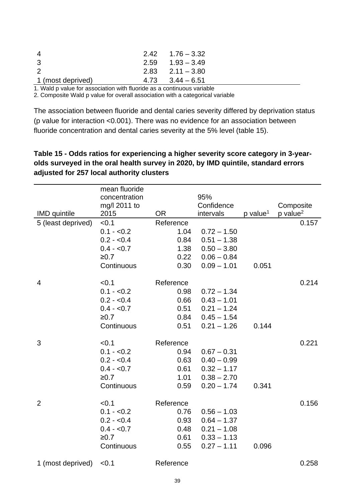| 4                 | $2.42 \quad 1.76 - 3.32$ |
|-------------------|--------------------------|
| 3                 | $2.59$ $1.93 - 3.49$     |
| $\mathcal{P}$     | $2.83$ $2.11 - 3.80$     |
| 1 (most deprived) | $4.73$ $3.44 - 6.51$     |
|                   |                          |

1. Wald p value for association with fluoride as a continuous variable

2. Composite Wald p value for overall association with a categorical variable

The association between fluoride and dental caries severity differed by deprivation status (p value for interaction <0.001). There was no evidence for an association between fluoride concentration and dental caries severity at the 5% level (table 15).

#### **Table 15 - Odds ratios for experiencing a higher severity score category in 3-yearolds surveyed in the oral health survey in 2020, by IMD quintile, standard errors adjusted for 257 local authority clusters**

|                     | mean fluoride<br>concentration<br>mg/l 2011 to |           | 95%<br>Confidence |                      | Composite              |
|---------------------|------------------------------------------------|-----------|-------------------|----------------------|------------------------|
| <b>IMD</b> quintile | 2015                                           | <b>OR</b> | intervals         | p value <sup>1</sup> | $p$ value <sup>2</sup> |
| 5 (least deprived)  | < 0.1                                          | Reference |                   |                      | 0.157                  |
|                     | $0.1 - 0.2$                                    | 1.04      | $0.72 - 1.50$     |                      |                        |
|                     | $0.2 - 0.4$                                    | 0.84      | $0.51 - 1.38$     |                      |                        |
|                     | $0.4 - 0.7$                                    | 1.38      | $0.50 - 3.80$     |                      |                        |
|                     | ≥0.7                                           | 0.22      | $0.06 - 0.84$     |                      |                        |
|                     | Continuous                                     | 0.30      | $0.09 - 1.01$     | 0.051                |                        |
| 4                   | < 0.1                                          | Reference |                   |                      | 0.214                  |
|                     | $0.1 - 0.2$                                    | 0.98      | $0.72 - 1.34$     |                      |                        |
|                     | $0.2 - 0.4$                                    | 0.66      | $0.43 - 1.01$     |                      |                        |
|                     | $0.4 - 0.7$                                    | 0.51      | $0.21 - 1.24$     |                      |                        |
|                     | $≥0.7$                                         | 0.84      | $0.45 - 1.54$     |                      |                        |
|                     | Continuous                                     | 0.51      | $0.21 - 1.26$     | 0.144                |                        |
| 3                   | < 0.1                                          | Reference |                   |                      | 0.221                  |
|                     | $0.1 - 0.2$                                    | 0.94      | $0.67 - 0.31$     |                      |                        |
|                     | $0.2 - 0.4$                                    | 0.63      | $0.40 - 0.99$     |                      |                        |
|                     | $0.4 - 0.7$                                    | 0.61      | $0.32 - 1.17$     |                      |                        |
|                     | ≥0.7                                           | 1.01      | $0.38 - 2.70$     |                      |                        |
|                     | Continuous                                     | 0.59      | $0.20 - 1.74$     | 0.341                |                        |
| $\overline{2}$      | < 0.1                                          | Reference |                   |                      | 0.156                  |
|                     | $0.1 - 0.2$                                    | 0.76      | $0.56 - 1.03$     |                      |                        |
|                     | $0.2 - 0.4$                                    | 0.93      | $0.64 - 1.37$     |                      |                        |
|                     | $0.4 - 0.7$                                    | 0.48      | $0.21 - 1.08$     |                      |                        |
|                     | $≥0.7$                                         | 0.61      | $0.33 - 1.13$     |                      |                        |
|                     | Continuous                                     | 0.55      | $0.27 - 1.11$     | 0.096                |                        |
| 1 (most deprived)   | < 0.1                                          | Reference |                   |                      | 0.258                  |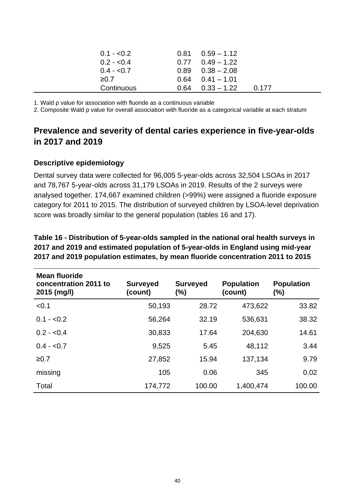|            | $0.1 - 0.2$ | $0.81$ $0.59 - 1.12$ |       |
|------------|-------------|----------------------|-------|
|            | $0.2 - 0.4$ | $0.77$ $0.49 - 1.22$ |       |
|            | $0.4 - 0.7$ | $0.89$ $0.38 - 2.08$ |       |
| $\geq 0.7$ |             | $0.64$ $0.41 - 1.01$ |       |
|            | Continuous  | $0.64$ $0.33 - 1.22$ | 0.177 |

1. Wald p value for association with fluoride as a continuous variable

2. Composite Wald p value for overall association with fluoride as a categorical variable at each stratum

### **Prevalence and severity of dental caries experience in five-year-olds in 2017 and 2019**

#### **Descriptive epidemiology**

Dental survey data were collected for 96,005 5-year-olds across 32,504 LSOAs in 2017 and 78,767 5-year-olds across 31,179 LSOAs in 2019. Results of the 2 surveys were analysed together. 174,667 examined children (>99%) were assigned a fluoride exposure category for 2011 to 2015. The distribution of surveyed children by LSOA-level deprivation score was broadly similar to the general population (tables 16 and 17).

| <b>Mean fluoride</b><br>concentration 2011 to<br>2015 (mg/l) | <b>Surveyed</b><br>(count) | <b>Surveyed</b><br>$(\%)$ | <b>Population</b><br>(count) | <b>Population</b><br>$(\%)$ |
|--------------------------------------------------------------|----------------------------|---------------------------|------------------------------|-----------------------------|
| < 0.1                                                        | 50,193                     | 28.72                     | 473,622                      | 33.82                       |
| $0.1 - 0.2$                                                  | 56,264                     | 32.19                     | 536,631                      | 38.32                       |
| $0.2 - 0.4$                                                  | 30,833                     | 17.64                     | 204,630                      | 14.61                       |
| $0.4 - 0.7$                                                  | 9,525                      | 5.45                      | 48,112                       | 3.44                        |
| ≥0.7                                                         | 27,852                     | 15.94                     | 137,134                      | 9.79                        |
| missing                                                      | 105                        | 0.06                      | 345                          | 0.02                        |
| Total                                                        | 174,772                    | 100.00                    | 1,400,474                    | 100.00                      |

**Table 16 - Distribution of 5-year-olds sampled in the national oral health surveys in 2017 and 2019 and estimated population of 5-year-olds in England using mid-year 2017 and 2019 population estimates, by mean fluoride concentration 2011 to 2015**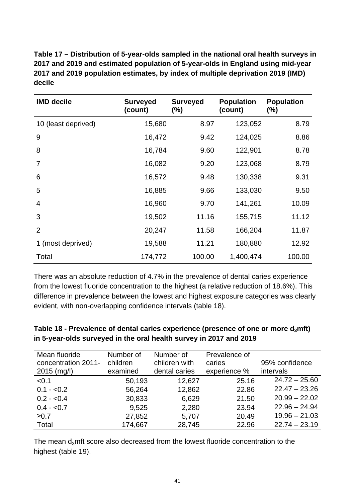**Table 17 – Distribution of 5-year-olds sampled in the national oral health surveys in 2017 and 2019 and estimated population of 5-year-olds in England using mid-year 2017 and 2019 population estimates, by index of multiple deprivation 2019 (IMD) decile**

| <b>IMD decile</b>   | <b>Surveyed</b><br>(count) | <b>Surveyed</b><br>$(\%)$ | <b>Population</b><br>(count) | <b>Population</b><br>$(\%)$ |
|---------------------|----------------------------|---------------------------|------------------------------|-----------------------------|
| 10 (least deprived) | 15,680                     | 8.97                      | 123,052                      | 8.79                        |
| 9                   | 16,472                     | 9.42                      | 124,025                      | 8.86                        |
| 8                   | 16,784                     | 9.60                      | 122,901                      | 8.78                        |
| 7                   | 16,082                     | 9.20                      | 123,068                      | 8.79                        |
| 6                   | 16,572                     | 9.48                      | 130,338                      | 9.31                        |
| 5                   | 16,885                     | 9.66                      | 133,030                      | 9.50                        |
| 4                   | 16,960                     | 9.70                      | 141,261                      | 10.09                       |
| 3                   | 19,502                     | 11.16                     | 155,715                      | 11.12                       |
| $\overline{2}$      | 20,247                     | 11.58                     | 166,204                      | 11.87                       |
| 1 (most deprived)   | 19,588                     | 11.21                     | 180,880                      | 12.92                       |
| Total               | 174,772                    | 100.00                    | 1,400,474                    | 100.00                      |

There was an absolute reduction of 4.7% in the prevalence of dental caries experience from the lowest fluoride concentration to the highest (a relative reduction of 18.6%). This difference in prevalence between the lowest and highest exposure categories was clearly evident, with non-overlapping confidence intervals (table 18).

#### **Table 18 - Prevalence of dental caries experience (presence of one or more d3mft) in 5-year-olds surveyed in the oral health survey in 2017 and 2019**

| Mean fluoride<br>concentration 2011-<br>$2015$ (mg/l) | Number of<br>children<br>examined | Number of<br>children with<br>dental caries | Prevalence of<br>caries<br>experience % | 95% confidence<br>intervals |
|-------------------------------------------------------|-----------------------------------|---------------------------------------------|-----------------------------------------|-----------------------------|
| < 0.1                                                 | 50,193                            | 12,627                                      | 25.16                                   | $24.72 - 25.60$             |
| $0.1 - 0.2$                                           | 56,264                            | 12,862                                      | 22.86                                   | $22.47 - 23.26$             |
| $0.2 - 0.4$                                           | 30,833                            | 6,629                                       | 21.50                                   | $20.99 - 22.02$             |
| $0.4 - 0.7$                                           | 9,525                             | 2,280                                       | 23.94                                   | $22.96 - 24.94$             |
| ≥0.7                                                  | 27,852                            | 5,707                                       | 20.49                                   | $19.96 - 21.03$             |
| Total                                                 | 174,667                           | 28,745                                      | 22.96                                   | $22.74 - 23.19$             |

The mean d<sub>3</sub>mft score also decreased from the lowest fluoride concentration to the highest (table 19).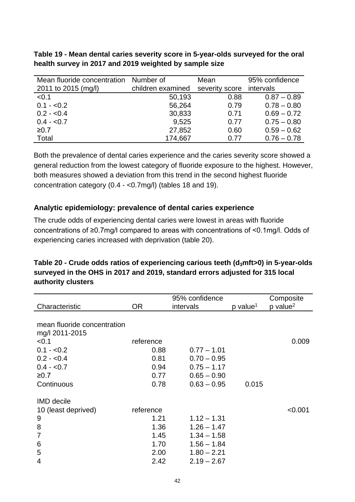**Table 19 - Mean dental caries severity score in 5-year-olds surveyed for the oral health survey in 2017 and 2019 weighted by sample size** 

| Mean fluoride concentration Number of |                   | Mean           | 95% confidence |
|---------------------------------------|-------------------|----------------|----------------|
| 2011 to 2015 (mg/l)                   | children examined | severity score | intervals      |
| < 0.1                                 | 50,193            | 0.88           | $0.87 - 0.89$  |
| $0.1 - 0.2$                           | 56,264            | 0.79           | $0.78 - 0.80$  |
| $0.2 - 0.4$                           | 30,833            | 0.71           | $0.69 - 0.72$  |
| $0.4 - 0.7$                           | 9,525             | 0.77           | $0.75 - 0.80$  |
| $≥0.7$                                | 27,852            | 0.60           | $0.59 - 0.62$  |
| Total                                 | 174,667           | 0.77           | $0.76 - 0.78$  |

Both the prevalence of dental caries experience and the caries severity score showed a general reduction from the lowest category of fluoride exposure to the highest. However, both measures showed a deviation from this trend in the second highest fluoride concentration category (0.4 - <0.7mg/l) (tables 18 and 19).

#### **Analytic epidemiology: prevalence of dental caries experience**

The crude odds of experiencing dental caries were lowest in areas with fluoride concentrations of ≥0.7mg/l compared to areas with concentrations of <0.1mg/l. Odds of experiencing caries increased with deprivation (table 20).

#### **Table 20 - Crude odds ratios of experiencing carious teeth (d3mft>0) in 5-year-olds surveyed in the OHS in 2017 and 2019, standard errors adjusted for 315 local authority clusters**

| Characteristic                                                           | OR.                                                       | 95% confidence<br>intervals                                                                        | p value <sup>1</sup> | Composite<br>$p$ value <sup>2</sup> |
|--------------------------------------------------------------------------|-----------------------------------------------------------|----------------------------------------------------------------------------------------------------|----------------------|-------------------------------------|
| mean fluoride concentration<br>mg/l 2011-2015                            |                                                           |                                                                                                    |                      |                                     |
| < 0.1<br>$0.1 - 0.2$<br>$0.2 - 0.4$<br>$0.4 - 0.7$<br>≥0.7<br>Continuous | reference<br>0.88<br>0.81<br>0.94<br>0.77<br>0.78         | $0.77 - 1.01$<br>$0.70 - 0.95$<br>$0.75 - 1.17$<br>$0.65 - 0.90$<br>$0.63 - 0.95$                  |                      | 0.009                               |
| <b>IMD</b> decile                                                        |                                                           |                                                                                                    | 0.015                |                                     |
| 10 (least deprived)<br>9<br>8<br>7<br>6<br>5<br>4                        | reference<br>1.21<br>1.36<br>1.45<br>1.70<br>2.00<br>2.42 | $1.12 - 1.31$<br>$1.26 - 1.47$<br>$1.34 - 1.58$<br>$1.56 - 1.84$<br>$1.80 - 2.21$<br>$2.19 - 2.67$ |                      | < 0.001                             |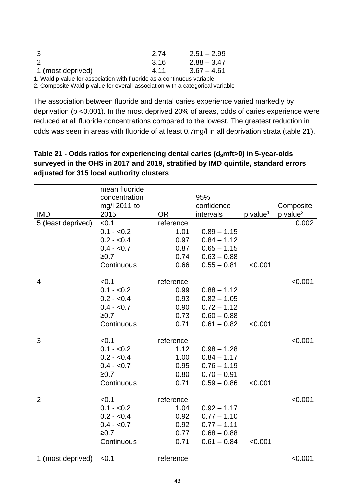| - 3               | 2.74 | $2.51 - 2.99$ |
|-------------------|------|---------------|
|                   | 3.16 | $2.88 - 3.47$ |
| 1 (most deprived) | 4 11 | $3.67 - 4.61$ |

1. Wald p value for association with fluoride as a continuous variable

2. Composite Wald p value for overall association with a categorical variable

The association between fluoride and dental caries experience varied markedly by deprivation (p <0.001). In the most deprived 20% of areas, odds of caries experience were reduced at all fluoride concentrations compared to the lowest. The greatest reduction in odds was seen in areas with fluoride of at least 0.7mg/l in all deprivation strata (table 21).

|                    | mean fluoride<br>concentration |           | 95%           |                      |                        |
|--------------------|--------------------------------|-----------|---------------|----------------------|------------------------|
|                    | mg/l 2011 to                   |           | confidence    |                      | Composite              |
| <b>IMD</b>         | 2015                           | <b>OR</b> | intervals     | p value <sup>1</sup> | $p$ value <sup>2</sup> |
| 5 (least deprived) | < 0.1                          | reference |               |                      | 0.002                  |
|                    | $0.1 - 0.2$                    | 1.01      | $0.89 - 1.15$ |                      |                        |
|                    | $0.2 - 0.4$                    | 0.97      | $0.84 - 1.12$ |                      |                        |
|                    | $0.4 - 0.7$                    | 0.87      | $0.65 - 1.15$ |                      |                        |
|                    | ≥0.7                           | 0.74      | $0.63 - 0.88$ |                      |                        |
|                    | Continuous                     | 0.66      | $0.55 - 0.81$ | < 0.001              |                        |
| 4                  | < 0.1                          | reference |               |                      | < 0.001                |
|                    | $0.1 - 0.2$                    | 0.99      | $0.88 - 1.12$ |                      |                        |
|                    | $0.2 - 0.4$                    | 0.93      | $0.82 - 1.05$ |                      |                        |
|                    | $0.4 - 0.7$                    | 0.90      | $0.72 - 1.12$ |                      |                        |
|                    | $≥0.7$                         | 0.73      | $0.60 - 0.88$ |                      |                        |
|                    | Continuous                     | 0.71      | $0.61 - 0.82$ | < 0.001              |                        |
| 3                  | < 0.1                          | reference |               |                      | < 0.001                |
|                    | $0.1 - 0.2$                    | 1.12      | $0.98 - 1.28$ |                      |                        |
|                    | $0.2 - 0.4$                    | 1.00      | $0.84 - 1.17$ |                      |                        |
|                    | $0.4 - 0.7$                    | 0.95      | $0.76 - 1.19$ |                      |                        |
|                    | $≥0.7$                         | 0.80      | $0.70 - 0.91$ |                      |                        |
|                    | Continuous                     | 0.71      | $0.59 - 0.86$ | < 0.001              |                        |
| $\overline{2}$     | < 0.1                          | reference |               |                      | < 0.001                |
|                    | $0.1 - 0.2$                    | 1.04      | $0.92 - 1.17$ |                      |                        |
|                    | $0.2 - 0.4$                    | 0.92      | $0.77 - 1.10$ |                      |                        |
|                    | $0.4 - 0.7$                    | 0.92      | $0.77 - 1.11$ |                      |                        |
|                    | ≥0.7                           | 0.77      | $0.68 - 0.88$ |                      |                        |
|                    | Continuous                     | 0.71      | $0.61 - 0.84$ | < 0.001              |                        |
| 1 (most deprived)  | < 0.1                          | reference |               |                      | < 0.001                |
|                    |                                |           |               |                      |                        |

**Table 21 - Odds ratios for experiencing dental caries (d3mft>0) in 5-year-olds surveyed in the OHS in 2017 and 2019, stratified by IMD quintile, standard errors adjusted for 315 local authority clusters**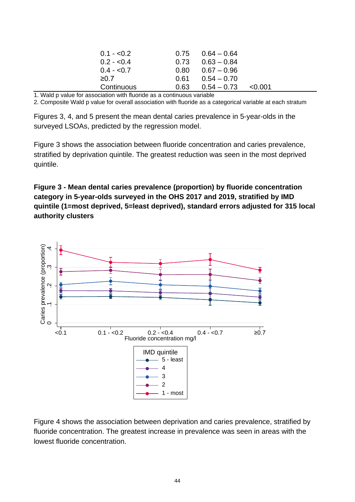| $0.1 - 0.2$ |      | $0.75$ $0.64 - 0.64$ |              |
|-------------|------|----------------------|--------------|
| $0.2 - 0.4$ |      | $0.73$ $0.63 - 0.84$ |              |
| $0.4 - 0.7$ | 0.80 | $0.67 - 0.96$        |              |
| $\geq 0.7$  | 0.61 | $0.54 - 0.70$        |              |
| Continuous  | 0.63 | $0.54 - 0.73$        | $\leq 0.001$ |

1. Wald p value for association with fluoride as a continuous variable

2. Composite Wald p value for overall association with fluoride as a categorical variable at each stratum

Figures 3, 4, and 5 present the mean dental caries prevalence in 5-year-olds in the surveyed LSOAs, predicted by the regression model.

Figure 3 shows the association between fluoride concentration and caries prevalence, stratified by deprivation quintile. The greatest reduction was seen in the most deprived quintile.

**Figure 3 - Mean dental caries prevalence (proportion) by fluoride concentration category in 5-year-olds surveyed in the OHS 2017 and 2019, stratified by IMD quintile (1=most deprived, 5=least deprived), standard errors adjusted for 315 local authority clusters**



Figure 4 shows the association between deprivation and caries prevalence, stratified by fluoride concentration. The greatest increase in prevalence was seen in areas with the lowest fluoride concentration.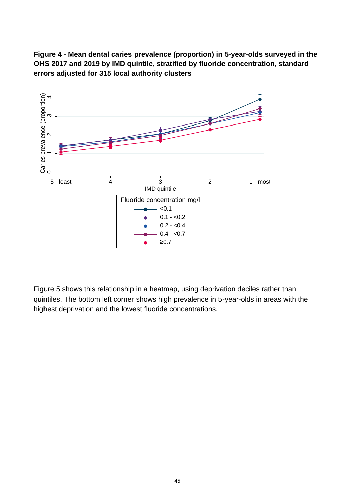**Figure 4 - Mean dental caries prevalence (proportion) in 5-year-olds surveyed in the OHS 2017 and 2019 by IMD quintile, stratified by fluoride concentration, standard errors adjusted for 315 local authority clusters** 



Figure 5 shows this relationship in a heatmap, using deprivation deciles rather than quintiles. The bottom left corner shows high prevalence in 5-year-olds in areas with the highest deprivation and the lowest fluoride concentrations.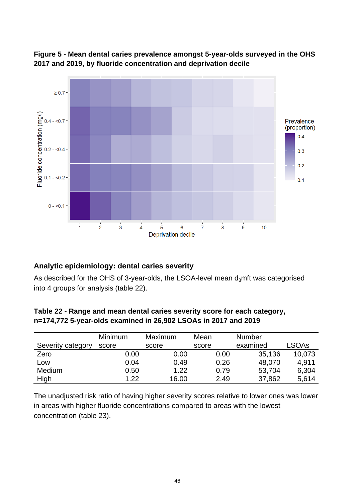

**Figure 5 - Mean dental caries prevalence amongst 5-year-olds surveyed in the OHS 2017 and 2019, by fluoride concentration and deprivation decile**

#### **Analytic epidemiology: dental caries severity**

As described for the OHS of 3-year-olds, the LSOA-level mean  $d_3$ mft was categorised into 4 groups for analysis (table 22).

|                   | <b>Minimum</b> | Maximum | Mean  | <b>Number</b> |        |
|-------------------|----------------|---------|-------|---------------|--------|
| Severity category | score          | score   | score | examined      | LSOAs  |
| Zero              | 0.00           | 0.00    | 0.00  | 35,136        | 10,073 |
| Low               | 0.04           | 0.49    | 0.26  | 48,070        | 4.911  |
| Medium            | 0.50           | 1.22    | 0.79  | 53,704        | 6,304  |
| High              | 1.22           | 16.00   | 2.49  | 37,862        | 5,614  |

**Table 22 - Range and mean dental caries severity score for each category, n=174,772 5-year-olds examined in 26,902 LSOAs in 2017 and 2019**

The unadjusted risk ratio of having higher severity scores relative to lower ones was lower in areas with higher fluoride concentrations compared to areas with the lowest concentration (table 23).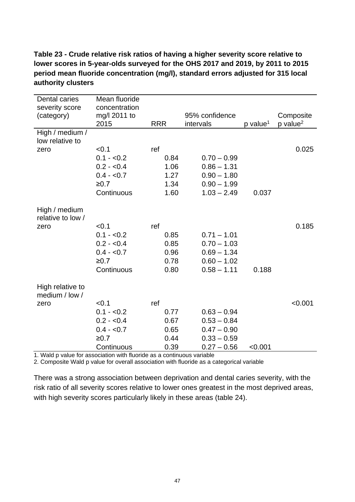#### **Table 23 - Crude relative risk ratios of having a higher severity score relative to lower scores in 5-year-olds surveyed for the OHS 2017 and 2019, by 2011 to 2015 period mean fluoride concentration (mg/l), standard errors adjusted for 315 local authority clusters**

| Dental caries                      | Mean fluoride                 |            |                |                      |                      |
|------------------------------------|-------------------------------|------------|----------------|----------------------|----------------------|
| severity score<br>(category)       | concentration<br>mg/l 2011 to |            | 95% confidence |                      | Composite            |
|                                    | 2015                          | <b>RRR</b> | intervals      | p value <sup>1</sup> | p value <sup>2</sup> |
| High / medium /                    |                               |            |                |                      |                      |
| low relative to                    |                               |            |                |                      |                      |
| zero                               | < 0.1                         | ref        |                |                      | 0.025                |
|                                    | $0.1 - 0.2$                   | 0.84       | $0.70 - 0.99$  |                      |                      |
|                                    | $0.2 - 0.4$                   | 1.06       | $0.86 - 1.31$  |                      |                      |
|                                    | $0.4 - 0.7$                   | 1.27       | $0.90 - 1.80$  |                      |                      |
|                                    | ≥0.7                          | 1.34       | $0.90 - 1.99$  |                      |                      |
|                                    | Continuous                    | 1.60       | $1.03 - 2.49$  | 0.037                |                      |
|                                    |                               |            |                |                      |                      |
| High / medium<br>relative to low / |                               |            |                |                      |                      |
| zero                               | < 0.1                         | ref        |                |                      | 0.185                |
|                                    | $0.1 - 0.2$                   | 0.85       | $0.71 - 1.01$  |                      |                      |
|                                    | $0.2 - 0.4$                   | 0.85       | $0.70 - 1.03$  |                      |                      |
|                                    | $0.4 - 0.7$                   | 0.96       | $0.69 - 1.34$  |                      |                      |
|                                    | ≥0.7                          | 0.78       | $0.60 - 1.02$  |                      |                      |
|                                    | Continuous                    | 0.80       | $0.58 - 1.11$  | 0.188                |                      |
|                                    |                               |            |                |                      |                      |
| High relative to<br>medium / low / |                               |            |                |                      |                      |
| zero                               | < 0.1                         | ref        |                |                      | < 0.001              |
|                                    | $0.1 - 0.2$                   | 0.77       | $0.63 - 0.94$  |                      |                      |
|                                    | $0.2 - 0.4$                   | 0.67       | $0.53 - 0.84$  |                      |                      |
|                                    | $0.4 - 0.7$                   | 0.65       | $0.47 - 0.90$  |                      |                      |
|                                    | ≥0.7                          | 0.44       | $0.33 - 0.59$  |                      |                      |
|                                    | Continuous                    | 0.39       | $0.27 - 0.56$  | < 0.001              |                      |

1. Wald p value for association with fluoride as a continuous variable

2. Composite Wald p value for overall association with fluoride as a categorical variable

There was a strong association between deprivation and dental caries severity, with the risk ratio of all severity scores relative to lower ones greatest in the most deprived areas, with high severity scores particularly likely in these areas (table 24).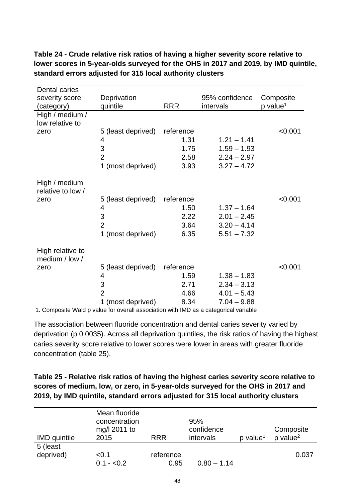| Dental caries                      |                    |            |                |                        |
|------------------------------------|--------------------|------------|----------------|------------------------|
| severity score                     | Deprivation        |            | 95% confidence | Composite              |
| (category)                         | quintile           | <b>RRR</b> | intervals      | $p$ value <sup>1</sup> |
| High / medium /                    |                    |            |                |                        |
| low relative to                    |                    |            |                |                        |
| zero                               | 5 (least deprived) | reference  |                | < 0.001                |
|                                    | 4                  | 1.31       | $1.21 - 1.41$  |                        |
|                                    | 3                  | 1.75       | $1.59 - 1.93$  |                        |
|                                    | $\overline{2}$     | 2.58       | $2.24 - 2.97$  |                        |
|                                    | 1 (most deprived)  | 3.93       | $3.27 - 4.72$  |                        |
| High / medium<br>relative to low / |                    |            |                |                        |
| zero                               | 5 (least deprived) | reference  |                | < 0.001                |
|                                    | 4                  | 1.50       | $1.37 - 1.64$  |                        |
|                                    | 3                  | 2.22       | $2.01 - 2.45$  |                        |
|                                    | $\overline{2}$     | 3.64       | $3.20 - 4.14$  |                        |
|                                    | 1 (most deprived)  | 6.35       | $5.51 - 7.32$  |                        |
| High relative to<br>medium / low / |                    |            |                |                        |
| zero                               | 5 (least deprived) | reference  |                | < 0.001                |
|                                    | 4                  | 1.59       | $1.38 - 1.83$  |                        |
|                                    | 3                  | 2.71       | $2.34 - 3.13$  |                        |
|                                    | $\overline{2}$     | 4.66       | $4.01 - 5.43$  |                        |
|                                    | 1 (most deprived)  | 8.34       | $7.04 - 9.88$  |                        |

**Table 24 - Crude relative risk ratios of having a higher severity score relative to lower scores in 5-year-olds surveyed for the OHS in 2017 and 2019, by IMD quintile, standard errors adjusted for 315 local authority clusters**

1. Composite Wald p value for overall association with IMD as a categorical variable

The association between fluoride concentration and dental caries severity varied by deprivation (p 0.0035). Across all deprivation quintiles, the risk ratios of having the highest caries severity score relative to lower scores were lower in areas with greater fluoride concentration (table 25).

**Table 25 - Relative risk ratios of having the highest caries severity score relative to scores of medium, low, or zero, in 5-year-olds surveyed for the OHS in 2017 and 2019, by IMD quintile, standard errors adjusted for 315 local authority clusters** 

| <b>IMD</b> quintile   | Mean fluoride<br>concentration<br>mg/l 2011 to<br>2015 | <b>RRR</b>        | 95%<br>confidence<br>intervals | p value <sup>1</sup> | Composite<br>$p$ value <sup>2</sup> |
|-----------------------|--------------------------------------------------------|-------------------|--------------------------------|----------------------|-------------------------------------|
| 5 (least<br>deprived) | < 0.1<br>$0.1 - 0.2$                                   | reference<br>0.95 | $0.80 - 1.14$                  |                      | 0.037                               |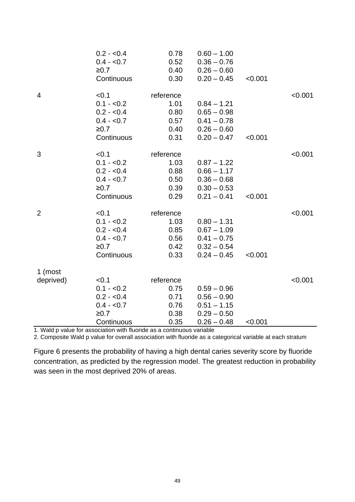|                | $0.2 - 0.4$ | 0.78      | $0.60 - 1.00$ |         |         |
|----------------|-------------|-----------|---------------|---------|---------|
|                | $0.4 - 0.7$ | 0.52      | $0.36 - 0.76$ |         |         |
|                | ≥0.7        | 0.40      | $0.26 - 0.60$ |         |         |
|                | Continuous  | 0.30      | $0.20 - 0.45$ | < 0.001 |         |
| $\overline{4}$ | < 0.1       | reference |               |         | < 0.001 |
|                | $0.1 - 0.2$ | 1.01      | $0.84 - 1.21$ |         |         |
|                | $0.2 - 0.4$ | 0.80      | $0.65 - 0.98$ |         |         |
|                | $0.4 - 0.7$ | 0.57      | $0.41 - 0.78$ |         |         |
|                | ≥0.7        | 0.40      | $0.26 - 0.60$ |         |         |
|                | Continuous  | 0.31      | $0.20 - 0.47$ | < 0.001 |         |
| 3              | < 0.1       | reference |               |         | < 0.001 |
|                | $0.1 - 0.2$ | 1.03      | $0.87 - 1.22$ |         |         |
|                | $0.2 - 0.4$ | 0.88      | $0.66 - 1.17$ |         |         |
|                | $0.4 - 0.7$ | 0.50      | $0.36 - 0.68$ |         |         |
|                | ≥0.7        | 0.39      | $0.30 - 0.53$ |         |         |
|                | Continuous  | 0.29      | $0.21 - 0.41$ | < 0.001 |         |
| $\overline{2}$ | < 0.1       | reference |               |         | < 0.001 |
|                | $0.1 - 0.2$ | 1.03      | $0.80 - 1.31$ |         |         |
|                | $0.2 - 0.4$ | 0.85      | $0.67 - 1.09$ |         |         |
|                | $0.4 - 0.7$ | 0.56      | $0.41 - 0.75$ |         |         |
|                | ≥0.7        | 0.42      | $0.32 - 0.54$ |         |         |
|                | Continuous  | 0.33      | $0.24 - 0.45$ | < 0.001 |         |
| 1 (most        |             |           |               |         |         |
| deprived)      | < 0.1       | reference |               |         | < 0.001 |
|                | $0.1 - 0.2$ | 0.75      | $0.59 - 0.96$ |         |         |
|                | $0.2 - 0.4$ | 0.71      | $0.56 - 0.90$ |         |         |
|                | $0.4 - 0.7$ | 0.76      | $0.51 - 1.15$ |         |         |
|                | ≥0.7        | 0.38      | $0.29 - 0.50$ |         |         |
|                | Continuous  | 0.35      | $0.26 - 0.48$ | < 0.001 |         |

1. Wald p value for association with fluoride as a continuous variable

2. Composite Wald p value for overall association with fluoride as a categorical variable at each stratum

Figure 6 presents the probability of having a high dental caries severity score by fluoride concentration, as predicted by the regression model. The greatest reduction in probability was seen in the most deprived 20% of areas.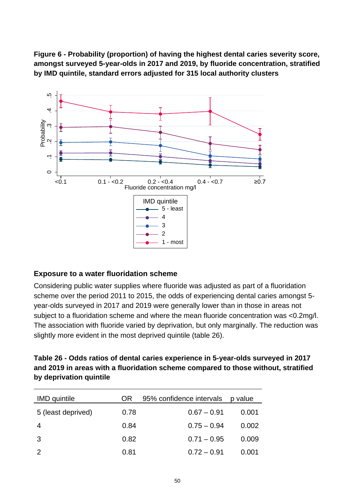**Figure 6 - Probability (proportion) of having the highest dental caries severity score, amongst surveyed 5-year-olds in 2017 and 2019, by fluoride concentration, stratified by IMD quintile, standard errors adjusted for 315 local authority clusters**



#### **Exposure to a water fluoridation scheme**

Considering public water supplies where fluoride was adjusted as part of a fluoridation scheme over the period 2011 to 2015, the odds of experiencing dental caries amongst 5 year-olds surveyed in 2017 and 2019 were generally lower than in those in areas not subject to a fluoridation scheme and where the mean fluoride concentration was <0.2mg/l. The association with fluoride varied by deprivation, but only marginally. The reduction was slightly more evident in the most deprived quintile (table 26).

**Table 26 - Odds ratios of dental caries experience in 5-year-olds surveyed in 2017 and 2019 in areas with a fluoridation scheme compared to those without, stratified by deprivation quintile** 

| <b>IMD</b> quintile | <b>OR</b> | 95% confidence intervals | p value |
|---------------------|-----------|--------------------------|---------|
| 5 (least deprived)  | 0.78      | $0.67 - 0.91$            | 0.001   |
|                     | 0.84      | $0.75 - 0.94$            | 0.002   |
| 3                   | 0.82      | $0.71 - 0.95$            | 0.009   |
|                     | 0.81      | $0.72 - 0.91$            | 0.001   |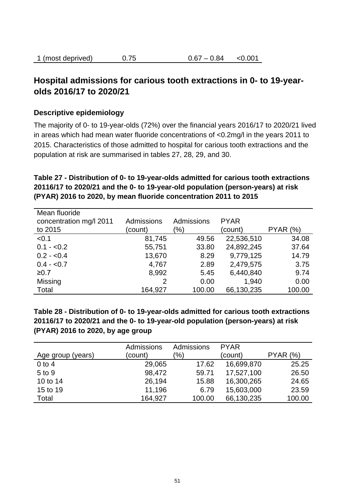| 1 (most deprived) | 0.75 | $0.67 - 0.84$ | < 0.001 |
|-------------------|------|---------------|---------|
|-------------------|------|---------------|---------|

### **Hospital admissions for carious tooth extractions in 0- to 19-yearolds 2016/17 to 2020/21**

#### **Descriptive epidemiology**

The majority of 0- to 19-year-olds (72%) over the financial years 2016/17 to 2020/21 lived in areas which had mean water fluoride concentrations of <0.2mg/l in the years 2011 to 2015. Characteristics of those admitted to hospital for carious tooth extractions and the population at risk are summarised in tables 27, 28, 29, and 30.

#### **Table 27 - Distribution of 0- to 19-year-olds admitted for carious tooth extractions 20116/17 to 2020/21 and the 0- to 19-year-old population (person-years) at risk (PYAR) 2016 to 2020, by mean fluoride concentration 2011 to 2015**

| Mean fluoride<br>concentration mg/l 2011<br>to 2015 | Admissions<br>(count) | Admissions<br>(9/6) | <b>PYAR</b><br>(count) | PYAR (%) |
|-----------------------------------------------------|-----------------------|---------------------|------------------------|----------|
| < 0.1                                               | 81,745                | 49.56               | 22,536,510             | 34.08    |
| $0.1 - 0.2$                                         | 55,751                | 33.80               | 24,892,245             | 37.64    |
| $0.2 - 0.4$                                         | 13,670                | 8.29                | 9,779,125              | 14.79    |
| $0.4 - 0.7$                                         | 4,767                 | 2.89                | 2,479,575              | 3.75     |
| ≥0.7                                                | 8,992                 | 5.45                | 6,440,840              | 9.74     |
| Missing                                             | 2                     | 0.00                | 1,940                  | 0.00     |
| Total                                               | 164,927               | 100.00              | 66,130,235             | 100.00   |

**Table 28 - Distribution of 0- to 19-year-olds admitted for carious tooth extractions 20116/17 to 2020/21 and the 0- to 19-year-old population (person-years) at risk (PYAR) 2016 to 2020, by age group**

|                   | <b>Admissions</b> | <b>Admissions</b> | <b>PYAR</b> |          |
|-------------------|-------------------|-------------------|-------------|----------|
| Age group (years) | (count)           | $\frac{1}{2}$     | (count)     | PYAR (%) |
| $0$ to 4          | 29,065            | 17.62             | 16,699,870  | 25.25    |
| 5 to 9            | 98,472            | 59.71             | 17,527,100  | 26.50    |
| 10 to 14          | 26,194            | 15.88             | 16,300,265  | 24.65    |
| 15 to 19          | 11,196            | 6.79              | 15,603,000  | 23.59    |
| Total             | 164,927           | 100.00            | 66,130,235  | 100.00   |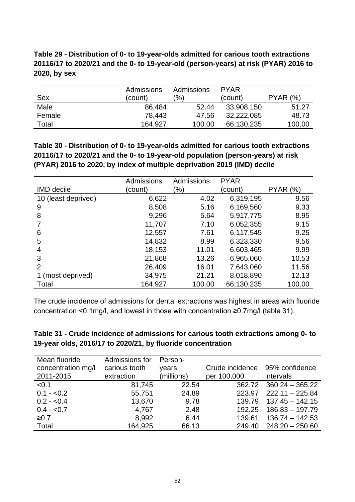#### **Table 29 - Distribution of 0- to 19-year-olds admitted for carious tooth extractions 20116/17 to 2020/21 and the 0- to 19-year-old (person-years) at risk (PYAR) 2016 to 2020, by sex**

|        | Admissions | Admissions | <b>PYAR</b> |          |
|--------|------------|------------|-------------|----------|
| Sex    | (count)    | (%)        | (count)     | PYAR (%) |
| Male   | 86,484     | 52.44      | 33,908,150  | 51.27    |
| Female | 78,443     | 47.56      | 32,222,085  | 48.73    |
| Total  | 164,927    | 100.00     | 66,130,235  | 100.00   |

**Table 30 - Distribution of 0- to 19-year-olds admitted for carious tooth extractions 20116/17 to 2020/21 and the 0- to 19-year-old population (person-years) at risk (PYAR) 2016 to 2020, by index of multiple deprivation 2019 (IMD) decile**

|                     | Admissions | <b>Admissions</b> | <b>PYAR</b> |          |
|---------------------|------------|-------------------|-------------|----------|
| <b>IMD</b> decile   | (count)    | (%)               | (count)     | PYAR (%) |
| 10 (least deprived) | 6,622      | 4.02              | 6,319,195   | 9.56     |
| 9                   | 8,508      | 5.16              | 6,169,560   | 9.33     |
| 8                   | 9,296      | 5.64              | 5,917,775   | 8.95     |
|                     | 11,707     | 7.10              | 6,052,355   | 9.15     |
| 6                   | 12,557     | 7.61              | 6,117,545   | 9.25     |
| 5                   | 14,832     | 8.99              | 6,323,330   | 9.56     |
| 4                   | 18,153     | 11.01             | 6,603,465   | 9.99     |
| 3                   | 21,868     | 13.26             | 6,965,060   | 10.53    |
| $\mathcal{P}$       | 26,409     | 16.01             | 7,643,060   | 11.56    |
| 1 (most deprived)   | 34,975     | 21.21             | 8,018,890   | 12.13    |
| Total               | 164,927    | 100.00            | 66,130,235  | 100.00   |

The crude incidence of admissions for dental extractions was highest in areas with fluoride concentration <0.1mg/l, and lowest in those with concentration ≥0.7mg/l (table 31).

| Table 31 - Crude incidence of admissions for carious tooth extractions among 0- to |
|------------------------------------------------------------------------------------|
| 19-year olds, 2016/17 to 2020/21, by fluoride concentration                        |

| Mean fluoride<br>concentration mg/l<br>2011-2015 | Admissions for<br>carious tooth<br>extraction | Person-<br>years<br>(millions) | Crude incidence<br>per 100,000 | 95% confidence<br>intervals |
|--------------------------------------------------|-----------------------------------------------|--------------------------------|--------------------------------|-----------------------------|
| < 0.1                                            | 81,745                                        | 22.54                          | 362.72                         | $360.24 - 365.22$           |
| $0.1 - 0.2$                                      | 55,751                                        | 24.89                          | 223.97                         | $222.11 - 225.84$           |
| $0.2 - 0.4$                                      | 13,670                                        | 9.78                           | 139.79                         | $137.45 - 142.15$           |
| $0.4 - 0.7$                                      | 4,767                                         | 2.48                           | 192.25                         | $186.83 - 197.79$           |
| ≥0.7                                             | 8,992                                         | 6.44                           | 139.61                         | $136.74 - 142.53$           |
| Total                                            | 164,925                                       | 66.13                          | 249.40                         | $248.20 - 250.60$           |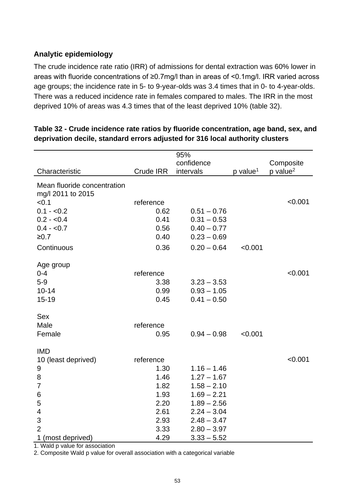#### **Analytic epidemiology**

The crude incidence rate ratio (IRR) of admissions for dental extraction was 60% lower in areas with fluoride concentrations of ≥0.7mg/l than in areas of <0.1mg/l. IRR varied across age groups; the incidence rate in 5- to 9-year-olds was 3.4 times that in 0- to 4-year-olds. There was a reduced incidence rate in females compared to males. The IRR in the most deprived 10% of areas was 4.3 times that of the least deprived 10% (table 32).

|                                                  |                  | 95%           |                        |                        |
|--------------------------------------------------|------------------|---------------|------------------------|------------------------|
|                                                  |                  | confidence    |                        | Composite              |
| Characteristic                                   | <b>Crude IRR</b> | intervals     | $p$ value <sup>1</sup> | $p$ value <sup>2</sup> |
| Mean fluoride concentration<br>mg/l 2011 to 2015 |                  |               |                        |                        |
| < 0.1                                            | reference        |               |                        | < 0.001                |
| $0.1 - 0.2$                                      | 0.62             | $0.51 - 0.76$ |                        |                        |
| $0.2 - 0.4$                                      | 0.41             | $0.31 - 0.53$ |                        |                        |
| $0.4 - 0.7$                                      | 0.56             | $0.40 - 0.77$ |                        |                        |
| $≥0.7$                                           | 0.40             | $0.23 - 0.69$ |                        |                        |
| Continuous                                       | 0.36             | $0.20 - 0.64$ | < 0.001                |                        |
| Age group                                        |                  |               |                        |                        |
| $0 - 4$                                          | reference        |               |                        | < 0.001                |
| $5-9$                                            | 3.38             | $3.23 - 3.53$ |                        |                        |
| $10 - 14$                                        | 0.99             | $0.93 - 1.05$ |                        |                        |
| $15 - 19$                                        | 0.45             | $0.41 - 0.50$ |                        |                        |
| <b>Sex</b>                                       |                  |               |                        |                        |
| Male                                             | reference        |               |                        |                        |
| Female                                           | 0.95             | $0.94 - 0.98$ | < 0.001                |                        |
| <b>IMD</b>                                       |                  |               |                        |                        |
| 10 (least deprived)                              | reference        |               |                        | < 0.001                |
| 9                                                | 1.30             | $1.16 - 1.46$ |                        |                        |
| 8                                                | 1.46             | $1.27 - 1.67$ |                        |                        |
| $\overline{7}$                                   | 1.82             | $1.58 - 2.10$ |                        |                        |
| 6                                                | 1.93             | $1.69 - 2.21$ |                        |                        |
| 5                                                | 2.20             | $1.89 - 2.56$ |                        |                        |
| $\overline{\mathbf{4}}$                          | 2.61             | $2.24 - 3.04$ |                        |                        |
| 3                                                | 2.93             | $2.48 - 3.47$ |                        |                        |
| $\overline{2}$                                   | 3.33             | $2.80 - 3.97$ |                        |                        |
| 1 (most deprived)                                | 4.29             | $3.33 - 5.52$ |                        |                        |

#### **Table 32 - Crude incidence rate ratios by fluoride concentration, age band, sex, and deprivation decile, standard errors adjusted for 316 local authority clusters**

1. Wald p value for association

2. Composite Wald p value for overall association with a categorical variable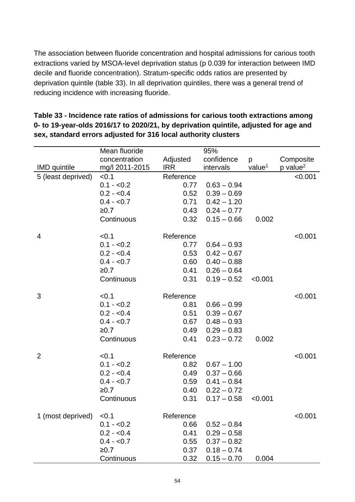The association between fluoride concentration and hospital admissions for carious tooth extractions varied by MSOA-level deprivation status (p 0.039 for interaction between IMD decile and fluoride concentration). Stratum-specific odds ratios are presented by deprivation quintile (table 33). In all deprivation quintiles, there was a general trend of reducing incidence with increasing fluoride.

|                     | Mean fluoride  |            | 95%           |                    |                        |
|---------------------|----------------|------------|---------------|--------------------|------------------------|
|                     | concentration  | Adjusted   | confidence    | p                  | Composite              |
| <b>IMD</b> quintile | mg/l 2011-2015 | <b>IRR</b> | intervals     | value <sup>1</sup> | $p$ value <sup>2</sup> |
| 5 (least deprived)  | < 0.1          | Reference  |               |                    | < 0.001                |
|                     | $0.1 - 0.2$    | 0.77       | $0.63 - 0.94$ |                    |                        |
|                     | $0.2 - 0.4$    | 0.52       | $0.39 - 0.69$ |                    |                        |
|                     | $0.4 - 0.7$    | 0.71       | $0.42 - 1.20$ |                    |                        |
|                     | ≥0.7           | 0.43       | $0.24 - 0.77$ |                    |                        |
|                     | Continuous     | 0.32       | $0.15 - 0.66$ | 0.002              |                        |
| 4                   | < 0.1          | Reference  |               |                    | < 0.001                |
|                     | $0.1 - 0.2$    | 0.77       | $0.64 - 0.93$ |                    |                        |
|                     | $0.2 - 0.4$    | 0.53       | $0.42 - 0.67$ |                    |                        |
|                     | $0.4 - 0.7$    | 0.60       | $0.40 - 0.88$ |                    |                        |
|                     | ≥0.7           | 0.41       | $0.26 - 0.64$ |                    |                        |
|                     | Continuous     | 0.31       | $0.19 - 0.52$ | < 0.001            |                        |
| 3                   | < 0.1          | Reference  |               |                    | < 0.001                |
|                     | $0.1 - 0.2$    | 0.81       | $0.66 - 0.99$ |                    |                        |
|                     | $0.2 - 0.4$    | 0.51       | $0.39 - 0.67$ |                    |                        |
|                     | $0.4 - 0.7$    | 0.67       | $0.48 - 0.93$ |                    |                        |
|                     | ≥0.7           | 0.49       | $0.29 - 0.83$ |                    |                        |
|                     | Continuous     | 0.41       | $0.23 - 0.72$ | 0.002              |                        |
| $\overline{2}$      | < 0.1          | Reference  |               |                    | < 0.001                |
|                     | $0.1 - 0.2$    | 0.82       | $0.67 - 1.00$ |                    |                        |
|                     | $0.2 - 0.4$    | 0.49       | $0.37 - 0.66$ |                    |                        |
|                     | $0.4 - 0.7$    | 0.59       | $0.41 - 0.84$ |                    |                        |
|                     | ≥0.7           | 0.40       | $0.22 - 0.72$ |                    |                        |
|                     | Continuous     | 0.31       | $0.17 - 0.58$ | < 0.001            |                        |
| 1 (most deprived)   | < 0.1          | Reference  |               |                    | < 0.001                |
|                     | $0.1 - 0.2$    | 0.66       | $0.52 - 0.84$ |                    |                        |
|                     | $0.2 - 0.4$    | 0.41       | $0.29 - 0.58$ |                    |                        |
|                     | $0.4 - 0.7$    | 0.55       | $0.37 - 0.82$ |                    |                        |
|                     | ≥0.7           | 0.37       | $0.18 - 0.74$ |                    |                        |
|                     | Continuous     | 0.32       | $0.15 - 0.70$ | 0.004              |                        |

**Table 33 - Incidence rate ratios of admissions for carious tooth extractions among 0- to 19-year-olds 2016/17 to 2020/21, by deprivation quintile, adjusted for age and sex, standard errors adjusted for 316 local authority clusters**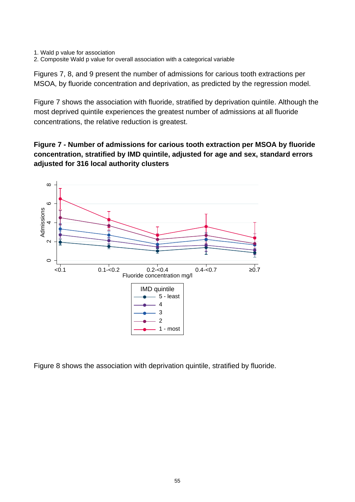- 1. Wald p value for association
- 2. Composite Wald p value for overall association with a categorical variable

Figures 7, 8, and 9 present the number of admissions for carious tooth extractions per MSOA, by fluoride concentration and deprivation, as predicted by the regression model.

Figure 7 shows the association with fluoride, stratified by deprivation quintile. Although the most deprived quintile experiences the greatest number of admissions at all fluoride concentrations, the relative reduction is greatest.

**Figure 7 - Number of admissions for carious tooth extraction per MSOA by fluoride concentration, stratified by IMD quintile, adjusted for age and sex, standard errors adjusted for 316 local authority clusters** 



Figure 8 shows the association with deprivation quintile, stratified by fluoride.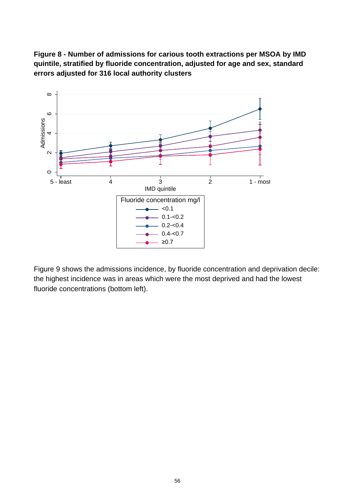**Figure 8 - Number of admissions for carious tooth extractions per MSOA by IMD quintile, stratified by fluoride concentration, adjusted for age and sex, standard errors adjusted for 316 local authority clusters**



Figure 9 shows the admissions incidence, by fluoride concentration and deprivation decile: the highest incidence was in areas which were the most deprived and had the lowest fluoride concentrations (bottom left).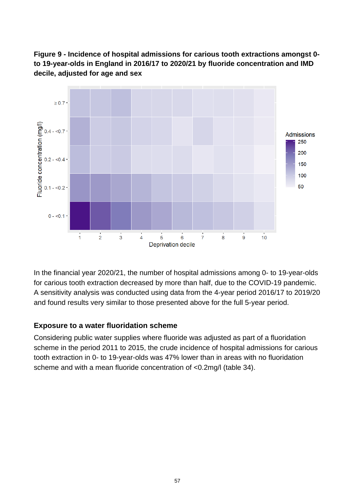



In the financial year 2020/21, the number of hospital admissions among 0- to 19-year-olds for carious tooth extraction decreased by more than half, due to the COVID-19 pandemic. A sensitivity analysis was conducted using data from the 4-year period 2016/17 to 2019/20 and found results very similar to those presented above for the full 5-year period.

#### **Exposure to a water fluoridation scheme**

Considering public water supplies where fluoride was adjusted as part of a fluoridation scheme in the period 2011 to 2015, the crude incidence of hospital admissions for carious tooth extraction in 0- to 19-year-olds was 47% lower than in areas with no fluoridation scheme and with a mean fluoride concentration of <0.2mg/l (table 34).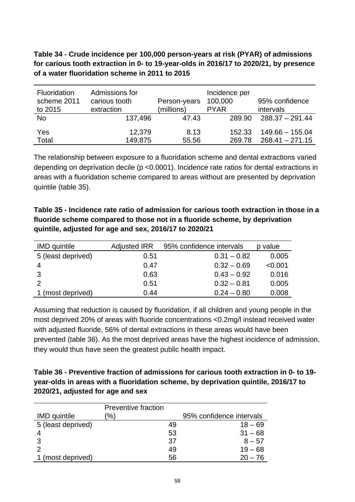**Table 34 - Crude incidence per 100,000 person-years at risk (PYAR) of admissions for carious tooth extraction in 0- to 19-year-olds in 2016/17 to 2020/21, by presence of a water fluoridation scheme in 2011 to 2015** 

| Fluoridation<br>scheme 2011<br>to 2015 | Admissions for<br>carious tooth<br>extraction | Person-years<br>(millions) | Incidence per<br>100,000<br><b>PYAR</b> | 95% confidence<br>intervals            |
|----------------------------------------|-----------------------------------------------|----------------------------|-----------------------------------------|----------------------------------------|
| <b>No</b>                              | 137,496                                       | 47.43                      | 289.90                                  | $288.37 - 291.44$                      |
| Yes<br>Total                           | 12,379<br>149,875                             | 8.13<br>55.56              | 152.33<br>269.78                        | $149.66 - 155.04$<br>$268.41 - 271.15$ |

The relationship between exposure to a fluoridation scheme and dental extractions varied depending on deprivation decile (p <0.0001). Incidence rate ratios for dental extractions in areas with a fluoridation scheme compared to areas without are presented by deprivation quintile (table 35).

**Table 35 - Incidence rate ratio of admission for carious tooth extraction in those in a fluoride scheme compared to those not in a fluoride scheme, by deprivation quintile, adjusted for age and sex, 2016/17 to 2020/21** 

| <b>IMD</b> quintile | <b>Adjusted IRR</b> | 95% confidence intervals | p value |
|---------------------|---------------------|--------------------------|---------|
| 5 (least deprived)  | 0.51                | $0.31 - 0.82$            | 0.005   |
|                     | 0.47                | $0.32 - 0.69$            | < 0.001 |
|                     | 0.63                | $0.43 - 0.92$            | 0.016   |
|                     | 0.51                | $0.32 - 0.81$            | 0.005   |
| 1 (most deprived)   | 0.44                | $0.24 - 0.80$            | 0.008   |

Assuming that reduction is caused by fluoridation, if all children and young people in the most deprived 20% of areas with fluoride concentrations <0.2mg/l instead received water with adjusted fluoride, 56% of dental extractions in these areas would have been prevented (table 36). As the most deprived areas have the highest incidence of admission, they would thus have seen the greatest public health impact.

**Table 36 - Preventive fraction of admissions for carious tooth extraction in 0- to 19 year-olds in areas with a fluoridation scheme, by deprivation quintile, 2016/17 to 2020/21, adjusted for age and sex** 

|                     | <b>Preventive fraction</b> |    |                          |
|---------------------|----------------------------|----|--------------------------|
| <b>IMD</b> quintile | '%)                        |    | 95% confidence intervals |
| 5 (least deprived)  |                            | 49 | $18 - 69$                |
|                     |                            | 53 | $31 - 68$                |
|                     |                            | 37 | $8 - 57$                 |
| 2                   |                            | 49 | $19 - 68$                |
| 1 (most deprived)   |                            | 56 | $20 - 76$                |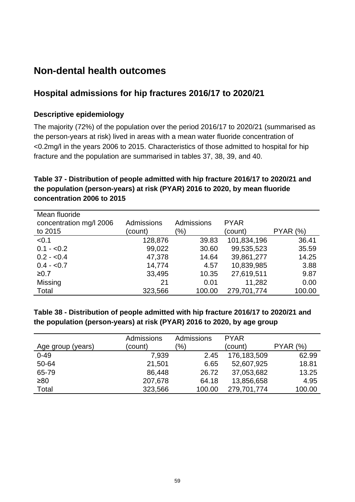# **Non-dental health outcomes**

### **Hospital admissions for hip fractures 2016/17 to 2020/21**

#### **Descriptive epidemiology**

The majority (72%) of the population over the period 2016/17 to 2020/21 (summarised as the person-years at risk) lived in areas with a mean water fluoride concentration of <0.2mg/l in the years 2006 to 2015. Characteristics of those admitted to hospital for hip fracture and the population are summarised in tables 37, 38, 39, and 40.

### **Table 37 - Distribution of people admitted with hip fracture 2016/17 to 2020/21 and the population (person-years) at risk (PYAR) 2016 to 2020, by mean fluoride concentration 2006 to 2015**

| Mean fluoride           |            |            |             |                 |
|-------------------------|------------|------------|-------------|-----------------|
| concentration mg/l 2006 | Admissions | Admissions | <b>PYAR</b> |                 |
| to 2015                 | (count)    | (%)        | (count)     | <b>PYAR (%)</b> |
| < 0.1                   | 128,876    | 39.83      | 101,834,196 | 36.41           |
| $0.1 - 0.2$             | 99,022     | 30.60      | 99,535,523  | 35.59           |
| $0.2 - 0.4$             | 47,378     | 14.64      | 39,861,277  | 14.25           |
| $0.4 - 0.7$             | 14,774     | 4.57       | 10,839,985  | 3.88            |
| ≥0.7                    | 33,495     | 10.35      | 27,619,511  | 9.87            |
| Missing                 | 21         | 0.01       | 11,282      | 0.00            |
| Total                   | 323,566    | 100.00     | 279,701,774 | 100.00          |

#### **Table 38 - Distribution of people admitted with hip fracture 2016/17 to 2020/21 and the population (person-years) at risk (PYAR) 2016 to 2020, by age group**

|                   | <b>Admissions</b> | Admissions    | <b>PYAR</b> |                     |
|-------------------|-------------------|---------------|-------------|---------------------|
| Age group (years) | (count)           | $\frac{9}{6}$ | (count)     | (% )<br><b>PYAR</b> |
| $0 - 49$          | 7,939             | 2.45          | 176,183,509 | 62.99               |
| 50-64             | 21,501            | 6.65          | 52,607,925  | 18.81               |
| 65-79             | 86,448            | 26.72         | 37,053,682  | 13.25               |
| ≥80               | 207,678           | 64.18         | 13,856,658  | 4.95                |
| Total             | 323,566           | 100.00        | 279,701,774 | 100.00              |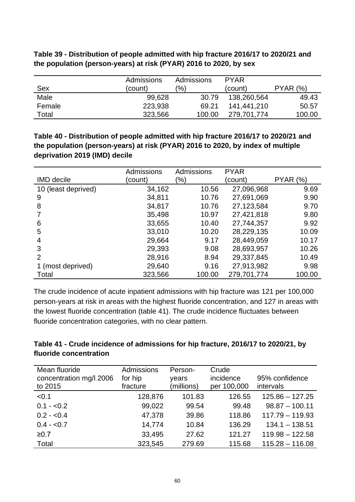| Table 39 - Distribution of people admitted with hip fracture 2016/17 to 2020/21 and |
|-------------------------------------------------------------------------------------|
| the population (person-years) at risk (PYAR) 2016 to 2020, by sex                   |

|        | <b>Admissions</b> | Admissions | <b>PYAR</b> |                     |
|--------|-------------------|------------|-------------|---------------------|
| Sex    | (count)           | (%)        | (count)     | <b>PYAR</b><br>(% ) |
| Male   | 99,628            | 30.79      | 138,260,564 | 49.43               |
| Female | 223,938           | 69.21      | 141,441,210 | 50.57               |
| Total  | 323,566           | 100.00     | 279.701.774 | 100.00              |

**Table 40 - Distribution of people admitted with hip fracture 2016/17 to 2020/21 and the population (person-years) at risk (PYAR) 2016 to 2020, by index of multiple deprivation 2019 (IMD) decile**

|                     | Admissions | Admissions | <b>PYAR</b> |          |
|---------------------|------------|------------|-------------|----------|
| <b>IMD</b> decile   | (count)    | (%)        | (count)     | PYAR (%) |
| 10 (least deprived) | 34,162     | 10.56      | 27,096,968  | 9.69     |
| 9                   | 34,811     | 10.76      | 27,691,069  | 9.90     |
| 8                   | 34,817     | 10.76      | 27,123,584  | 9.70     |
|                     | 35,498     | 10.97      | 27,421,818  | 9.80     |
| 6                   | 33,655     | 10.40      | 27,744,357  | 9.92     |
| 5                   | 33,010     | 10.20      | 28,229,135  | 10.09    |
| 4                   | 29,664     | 9.17       | 28,449,059  | 10.17    |
| 3                   | 29,393     | 9.08       | 28,693,957  | 10.26    |
| 2                   | 28,916     | 8.94       | 29,337,845  | 10.49    |
| 1 (most deprived)   | 29,640     | 9.16       | 27,913,982  | 9.98     |
| Total               | 323,566    | 100.00     | 279,701,774 | 100.00   |

The crude incidence of acute inpatient admissions with hip fracture was 121 per 100,000 person-years at risk in areas with the highest fluoride concentration, and 127 in areas with the lowest fluoride concentration (table 41). The crude incidence fluctuates between fluoride concentration categories, with no clear pattern.

| Table 41 - Crude incidence of admissions for hip fracture, 2016/17 to 2020/21, by |  |  |
|-----------------------------------------------------------------------------------|--|--|
| fluoride concentration                                                            |  |  |

| Mean fluoride<br>concentration mg/l 2006<br>to 2015 | Admissions<br>for hip<br>fracture | Person-<br>years<br>(millions) | Crude<br>incidence<br>per 100,000 | 95% confidence<br>intervals |
|-----------------------------------------------------|-----------------------------------|--------------------------------|-----------------------------------|-----------------------------|
| < 0.1                                               | 128,876                           | 101.83                         | 126.55                            | $125.86 - 127.25$           |
| $0.1 - 0.2$                                         | 99,022                            | 99.54                          | 99.48                             | $98.87 - 100.11$            |
| $0.2 - 0.4$                                         | 47,378                            | 39.86                          | 118.86                            | $117.79 - 119.93$           |
| $0.4 - 0.7$                                         | 14,774                            | 10.84                          | 136.29                            | $134.1 - 138.51$            |
| ≥0.7                                                | 33,495                            | 27.62                          | 121.27                            | $119.98 - 122.58$           |
| Total                                               | 323,545                           | 279.69                         | 115.68                            | $115.28 - 116.08$           |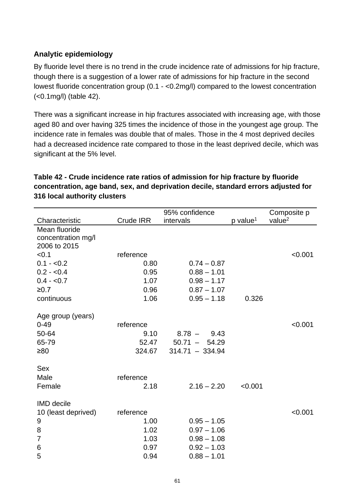#### **Analytic epidemiology**

By fluoride level there is no trend in the crude incidence rate of admissions for hip fracture, though there is a suggestion of a lower rate of admissions for hip fracture in the second lowest fluoride concentration group (0.1 - <0.2mg/l) compared to the lowest concentration (<0.1mg/l) (table 42).

There was a significant increase in hip fractures associated with increasing age, with those aged 80 and over having 325 times the incidence of those in the youngest age group. The incidence rate in females was double that of males. Those in the 4 most deprived deciles had a decreased incidence rate compared to those in the least deprived decile, which was significant at the 5% level.

|                     |                  | 95% confidence    |                      | Composite p        |
|---------------------|------------------|-------------------|----------------------|--------------------|
| Characteristic      | <b>Crude IRR</b> | intervals         | p value <sup>1</sup> | value <sup>2</sup> |
| Mean fluoride       |                  |                   |                      |                    |
| concentration mg/l  |                  |                   |                      |                    |
| 2006 to 2015        |                  |                   |                      |                    |
| < 0.1               | reference        |                   |                      | < 0.001            |
| $0.1 - 0.2$         | 0.80             | $0.74 - 0.87$     |                      |                    |
| $0.2 - 0.4$         | 0.95             | $0.88 - 1.01$     |                      |                    |
| $0.4 - 0.7$         | 1.07             | $0.98 - 1.17$     |                      |                    |
| ≥0.7                | 0.96             | $0.87 - 1.07$     |                      |                    |
| continuous          | 1.06             | $0.95 - 1.18$     | 0.326                |                    |
|                     |                  |                   |                      |                    |
| Age group (years)   |                  |                   |                      |                    |
| $0 - 49$            | reference        |                   |                      | < 0.001            |
| 50-64               | 9.10             | $8.78 -$<br>9.43  |                      |                    |
| 65-79               | 52.47            | $50.71 - 54.29$   |                      |                    |
| $\geq 80$           | 324.67           | $314.71 - 334.94$ |                      |                    |
|                     |                  |                   |                      |                    |
| <b>Sex</b>          |                  |                   |                      |                    |
| Male                | reference        |                   |                      |                    |
| Female              | 2.18             | $2.16 - 2.20$     | < 0.001              |                    |
| <b>IMD</b> decile   |                  |                   |                      |                    |
| 10 (least deprived) | reference        |                   |                      | < 0.001            |
| 9                   | 1.00             | $0.95 - 1.05$     |                      |                    |
| 8                   | 1.02             | $0.97 - 1.06$     |                      |                    |
| 7                   | 1.03             | $0.98 - 1.08$     |                      |                    |
| 6                   | 0.97             | $0.92 - 1.03$     |                      |                    |
| 5                   | 0.94             | $0.88 - 1.01$     |                      |                    |
|                     |                  |                   |                      |                    |

#### **Table 42 - Crude incidence rate ratios of admission for hip fracture by fluoride concentration, age band, sex, and deprivation decile, standard errors adjusted for 316 local authority clusters**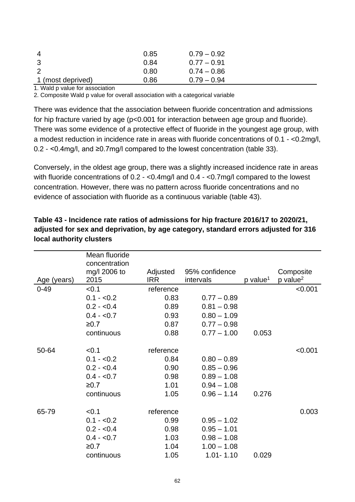| -4                | 0.85 | $0.79 - 0.92$ |  |
|-------------------|------|---------------|--|
| -3                | 0.84 | $0.77 - 0.91$ |  |
| $\overline{2}$    | 0.80 | $0.74 - 0.86$ |  |
| 1 (most deprived) | 0.86 | $0.79 - 0.94$ |  |

1. Wald p value for association

2. Composite Wald p value for overall association with a categorical variable

There was evidence that the association between fluoride concentration and admissions for hip fracture varied by age (p<0.001 for interaction between age group and fluoride). There was some evidence of a protective effect of fluoride in the youngest age group, with a modest reduction in incidence rate in areas with fluoride concentrations of 0.1 - <0.2mg/l, 0.2 - <0.4mg/l, and ≥0.7mg/l compared to the lowest concentration (table 33).

Conversely, in the oldest age group, there was a slightly increased incidence rate in areas with fluoride concentrations of 0.2 - <0.4mg/l and 0.4 - <0.7mg/l compared to the lowest concentration. However, there was no pattern across fluoride concentrations and no evidence of association with fluoride as a continuous variable (table 43).

|             | Mean fluoride<br>concentration |           |                |                      |                        |
|-------------|--------------------------------|-----------|----------------|----------------------|------------------------|
|             | mg/l 2006 to                   | Adjusted  | 95% confidence |                      | Composite              |
| Age (years) | 2015                           | IRR       | intervals      | p value <sup>1</sup> | $p$ value <sup>2</sup> |
| $0 - 49$    | < 0.1                          | reference |                |                      | < 0.001                |
|             | $0.1 - 0.2$                    | 0.83      | $0.77 - 0.89$  |                      |                        |
|             | $0.2 - 0.4$                    | 0.89      | $0.81 - 0.98$  |                      |                        |
|             | $0.4 - 0.7$                    | 0.93      | $0.80 - 1.09$  |                      |                        |
|             | ≥0.7                           | 0.87      | $0.77 - 0.98$  |                      |                        |
|             | continuous                     | 0.88      | $0.77 - 1.00$  | 0.053                |                        |
|             |                                |           |                |                      |                        |
| 50-64       | < 0.1                          | reference |                |                      | < 0.001                |
|             | $0.1 - 0.2$                    | 0.84      | $0.80 - 0.89$  |                      |                        |
|             | $0.2 - 0.4$                    | 0.90      | $0.85 - 0.96$  |                      |                        |
|             | $0.4 - 0.7$                    | 0.98      | $0.89 - 1.08$  |                      |                        |
|             | ≥0.7                           | 1.01      | $0.94 - 1.08$  |                      |                        |
|             | continuous                     | 1.05      | $0.96 - 1.14$  | 0.276                |                        |
|             |                                |           |                |                      |                        |
| 65-79       | < 0.1                          | reference |                |                      | 0.003                  |
|             | $0.1 - 0.2$                    | 0.99      | $0.95 - 1.02$  |                      |                        |
|             | $0.2 - 0.4$                    | 0.98      | $0.95 - 1.01$  |                      |                        |
|             | $0.4 - 0.7$                    | 1.03      | $0.98 - 1.08$  |                      |                        |
|             | ≥0.7                           | 1.04      | $1.00 - 1.08$  |                      |                        |
|             | continuous                     | 1.05      | $1.01 - 1.10$  | 0.029                |                        |

**Table 43 - Incidence rate ratios of admissions for hip fracture 2016/17 to 2020/21, adjusted for sex and deprivation, by age category, standard errors adjusted for 316 local authority clusters**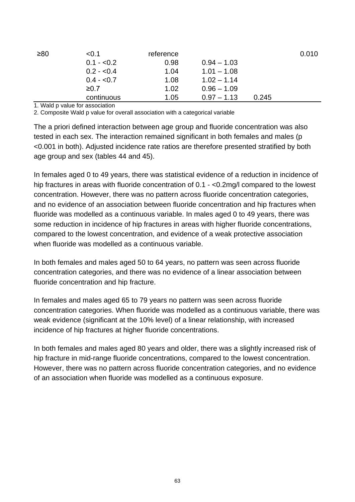| ≥80 | < 0.1       | reference |               |       | 0.010 |
|-----|-------------|-----------|---------------|-------|-------|
|     | $0.1 - 0.2$ | 0.98      | $0.94 - 1.03$ |       |       |
|     | $0.2 - 0.4$ | 1.04      | $1.01 - 1.08$ |       |       |
|     | $0.4 - 0.7$ | 1.08      | $1.02 - 1.14$ |       |       |
|     | ≥0.7        | 1.02      | $0.96 - 1.09$ |       |       |
|     | continuous  | 1.05      | $0.97 - 1.13$ | 0.245 |       |

1. Wald p value for association

2. Composite Wald p value for overall association with a categorical variable

The a priori defined interaction between age group and fluoride concentration was also tested in each sex. The interaction remained significant in both females and males (p <0.001 in both). Adjusted incidence rate ratios are therefore presented stratified by both age group and sex (tables 44 and 45).

In females aged 0 to 49 years, there was statistical evidence of a reduction in incidence of hip fractures in areas with fluoride concentration of 0.1 - <0.2mg/l compared to the lowest concentration. However, there was no pattern across fluoride concentration categories, and no evidence of an association between fluoride concentration and hip fractures when fluoride was modelled as a continuous variable. In males aged 0 to 49 years, there was some reduction in incidence of hip fractures in areas with higher fluoride concentrations, compared to the lowest concentration, and evidence of a weak protective association when fluoride was modelled as a continuous variable.

In both females and males aged 50 to 64 years, no pattern was seen across fluoride concentration categories, and there was no evidence of a linear association between fluoride concentration and hip fracture.

In females and males aged 65 to 79 years no pattern was seen across fluoride concentration categories. When fluoride was modelled as a continuous variable, there was weak evidence (significant at the 10% level) of a linear relationship, with increased incidence of hip fractures at higher fluoride concentrations.

In both females and males aged 80 years and older, there was a slightly increased risk of hip fracture in mid-range fluoride concentrations, compared to the lowest concentration. However, there was no pattern across fluoride concentration categories, and no evidence of an association when fluoride was modelled as a continuous exposure.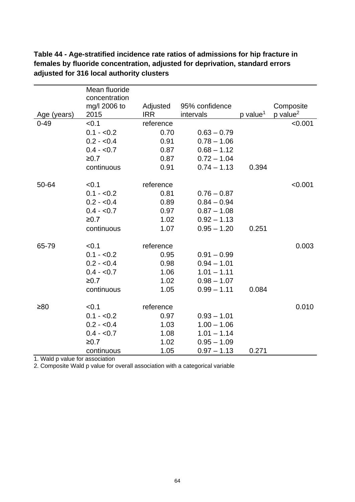|             | Mean fluoride                 |            |                |                        |                      |
|-------------|-------------------------------|------------|----------------|------------------------|----------------------|
|             | concentration<br>mg/l 2006 to | Adjusted   | 95% confidence |                        | Composite            |
| Age (years) | 2015                          | <b>IRR</b> | intervals      | $p$ value <sup>1</sup> | p value <sup>2</sup> |
| $0 - 49$    | < 0.1                         | reference  |                |                        | < 0.001              |
|             | $0.1 - 0.2$                   | 0.70       | $0.63 - 0.79$  |                        |                      |
|             | $0.2 - 0.4$                   | 0.91       | $0.78 - 1.06$  |                        |                      |
|             | $0.4 - 0.7$                   | 0.87       | $0.68 - 1.12$  |                        |                      |
|             | ≥0.7                          | 0.87       | $0.72 - 1.04$  |                        |                      |
|             | continuous                    | 0.91       | $0.74 - 1.13$  | 0.394                  |                      |
| 50-64       | < 0.1                         | reference  |                |                        | < 0.001              |
|             | $0.1 - 0.2$                   | 0.81       | $0.76 - 0.87$  |                        |                      |
|             | $0.2 - 0.4$                   | 0.89       | $0.84 - 0.94$  |                        |                      |
|             | $0.4 - 0.7$                   | 0.97       | $0.87 - 1.08$  |                        |                      |
|             | ≥0.7                          | 1.02       | $0.92 - 1.13$  |                        |                      |
|             | continuous                    | 1.07       | $0.95 - 1.20$  | 0.251                  |                      |
| 65-79       | < 0.1                         | reference  |                |                        | 0.003                |
|             | $0.1 - 0.2$                   | 0.95       | $0.91 - 0.99$  |                        |                      |
|             | $0.2 - 0.4$                   | 0.98       | $0.94 - 1.01$  |                        |                      |
|             | $0.4 - 0.7$                   | 1.06       | $1.01 - 1.11$  |                        |                      |
|             | ≥0.7                          | 1.02       | $0.98 - 1.07$  |                        |                      |
|             | continuous                    | 1.05       | $0.99 - 1.11$  | 0.084                  |                      |
| $\geq 80$   | < 0.1                         | reference  |                |                        | 0.010                |
|             | $0.1 - 0.2$                   | 0.97       | $0.93 - 1.01$  |                        |                      |
|             | $0.2 - 0.4$                   | 1.03       | $1.00 - 1.06$  |                        |                      |
|             | $0.4 - 0.7$                   | 1.08       | $1.01 - 1.14$  |                        |                      |
|             | ≥0.7                          | 1.02       | $0.95 - 1.09$  |                        |                      |
|             | continuous                    | 1.05       | $0.97 - 1.13$  | 0.271                  |                      |

**Table 44 - Age-stratified incidence rate ratios of admissions for hip fracture in females by fluoride concentration, adjusted for deprivation, standard errors adjusted for 316 local authority clusters**

1. Wald p value for association

2. Composite Wald p value for overall association with a categorical variable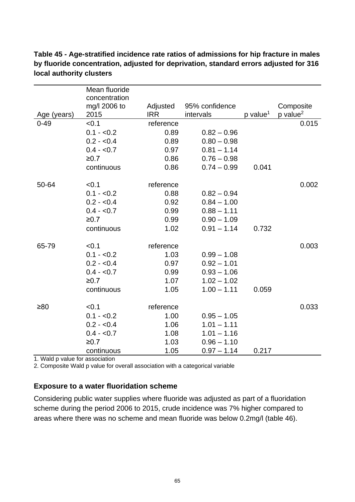|             | Mean fluoride |            |                |                      |                      |
|-------------|---------------|------------|----------------|----------------------|----------------------|
|             | concentration |            |                |                      |                      |
|             | mg/l 2006 to  | Adjusted   | 95% confidence |                      | Composite            |
| Age (years) | 2015          | <b>IRR</b> | intervals      | p value <sup>1</sup> | p value <sup>2</sup> |
| $0 - 49$    | < 0.1         | reference  |                |                      | 0.015                |
|             | $0.1 - 0.2$   | 0.89       | $0.82 - 0.96$  |                      |                      |
|             | $0.2 - 0.4$   | 0.89       | $0.80 - 0.98$  |                      |                      |
|             | $0.4 - 0.7$   | 0.97       | $0.81 - 1.14$  |                      |                      |
|             | ≥0.7          | 0.86       | $0.76 - 0.98$  |                      |                      |
|             | continuous    | 0.86       | $0.74 - 0.99$  | 0.041                |                      |
| 50-64       | < 0.1         | reference  |                |                      | 0.002                |
|             | $0.1 - 0.2$   | 0.88       | $0.82 - 0.94$  |                      |                      |
|             | $0.2 - 0.4$   | 0.92       | $0.84 - 1.00$  |                      |                      |
|             | $0.4 - 0.7$   | 0.99       | $0.88 - 1.11$  |                      |                      |
|             | ≥0.7          | 0.99       | $0.90 - 1.09$  |                      |                      |
|             | continuous    | 1.02       | $0.91 - 1.14$  | 0.732                |                      |
| 65-79       | < 0.1         | reference  |                |                      | 0.003                |
|             | $0.1 - 0.2$   | 1.03       | $0.99 - 1.08$  |                      |                      |
|             | $0.2 - 0.4$   | 0.97       | $0.92 - 1.01$  |                      |                      |
|             | $0.4 - 0.7$   | 0.99       | $0.93 - 1.06$  |                      |                      |
|             | ≥0.7          | 1.07       | $1.02 - 1.02$  |                      |                      |
|             | continuous    | 1.05       | $1.00 - 1.11$  | 0.059                |                      |
| $\geq 80$   | < 0.1         | reference  |                |                      | 0.033                |
|             | $0.1 - 0.2$   | 1.00       | $0.95 - 1.05$  |                      |                      |
|             | $0.2 - 0.4$   | 1.06       | $1.01 - 1.11$  |                      |                      |
|             | $0.4 - 0.7$   | 1.08       | $1.01 - 1.16$  |                      |                      |
|             | ≥0.7          | 1.03       | $0.96 - 1.10$  |                      |                      |
|             | continuous    | 1.05       | $0.97 - 1.14$  | 0.217                |                      |

**Table 45 - Age-stratified incidence rate ratios of admissions for hip fracture in males by fluoride concentration, adjusted for deprivation, standard errors adjusted for 316 local authority clusters**

1. Wald p value for association

2. Composite Wald p value for overall association with a categorical variable

#### **Exposure to a water fluoridation scheme**

Considering public water supplies where fluoride was adjusted as part of a fluoridation scheme during the period 2006 to 2015, crude incidence was 7% higher compared to areas where there was no scheme and mean fluoride was below 0.2mg/l (table 46).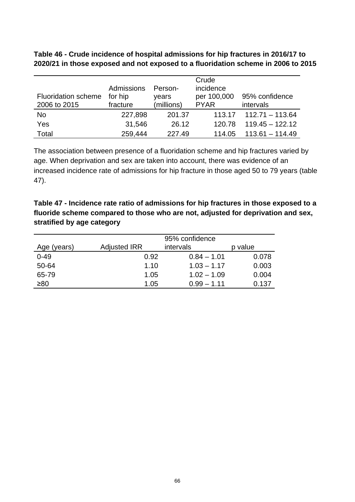**Table 46 - Crude incidence of hospital admissions for hip fractures in 2016/17 to 2020/21 in those exposed and not exposed to a fluoridation scheme in 2006 to 2015** 

|                            |            |            | Crude       |                            |
|----------------------------|------------|------------|-------------|----------------------------|
|                            | Admissions | Person-    | incidence   |                            |
| <b>Fluoridation scheme</b> | for hip    | years      | per 100,000 | 95% confidence             |
| 2006 to 2015               | fracture   | (millions) | <b>PYAR</b> | intervals                  |
| No                         | 227,898    | 201.37     |             | $113.17$ $112.71 - 113.64$ |
| Yes                        | 31,546     | 26.12      | 120.78      | $119.45 - 122.12$          |
| Total                      | 259,444    | 227.49     | 114.05      | $113.61 - 114.49$          |

The association between presence of a fluoridation scheme and hip fractures varied by age. When deprivation and sex are taken into account, there was evidence of an increased incidence rate of admissions for hip fracture in those aged 50 to 79 years (table 47).

**Table 47 - Incidence rate ratio of admissions for hip fractures in those exposed to a fluoride scheme compared to those who are not, adjusted for deprivation and sex, stratified by age category** 

| Age (years) | <b>Adjusted IRR</b> | 95% confidence<br>intervals | p value |
|-------------|---------------------|-----------------------------|---------|
| $0 - 49$    | 0.92                | $0.84 - 1.01$               | 0.078   |
| 50-64       | 1.10                | $1.03 - 1.17$               | 0.003   |
| 65-79       | 1.05                | $1.02 - 1.09$               | 0.004   |
| ≥80         | 1.05                | $0.99 - 1.11$               | 0.137   |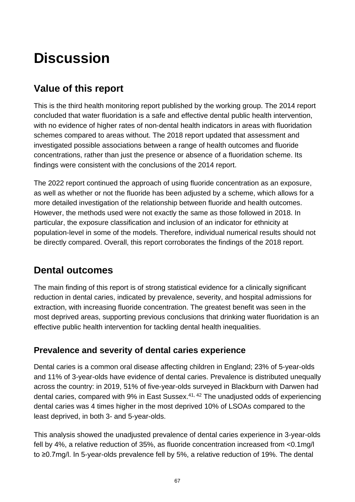# **Discussion**

# **Value of this report**

This is the third health monitoring report published by the working group. The 2014 report concluded that water fluoridation is a safe and effective dental public health intervention, with no evidence of higher rates of non-dental health indicators in areas with fluoridation schemes compared to areas without. The 2018 report updated that assessment and investigated possible associations between a range of health outcomes and fluoride concentrations, rather than just the presence or absence of a fluoridation scheme. Its findings were consistent with the conclusions of the 2014 report.

The 2022 report continued the approach of using fluoride concentration as an exposure, as well as whether or not the fluoride has been adjusted by a scheme, which allows for a more detailed investigation of the relationship between fluoride and health outcomes. However, the methods used were not exactly the same as those followed in 2018. In particular, the exposure classification and inclusion of an indicator for ethnicity at population-level in some of the models. Therefore, individual numerical results should not be directly compared. Overall, this report corroborates the findings of the 2018 report.

# **Dental outcomes**

The main finding of this report is of strong statistical evidence for a clinically significant reduction in dental caries, indicated by prevalence, severity, and hospital admissions for extraction, with increasing fluoride concentration. The greatest benefit was seen in the most deprived areas, supporting previous conclusions that drinking water fluoridation is an effective public health intervention for tackling dental health inequalities.

# **Prevalence and severity of dental caries experience**

Dental caries is a common oral disease affecting children in England; 23% of 5-year-olds and 11% of 3-year-olds have evidence of dental caries. Prevalence is distributed unequally across the country: in 2019, 51% of five-year-olds surveyed in Blackburn with Darwen had dental caries, compared with 9% in East Sussex.41, 42 The unadjusted odds of experiencing dental caries was 4 times higher in the most deprived 10% of LSOAs compared to the least deprived, in both 3- and 5-year-olds.

This analysis showed the unadjusted prevalence of dental caries experience in 3-year-olds fell by 4%, a relative reduction of 35%, as fluoride concentration increased from <0.1mg/l to ≥0.7mg/l. In 5-year-olds prevalence fell by 5%, a relative reduction of 19%. The dental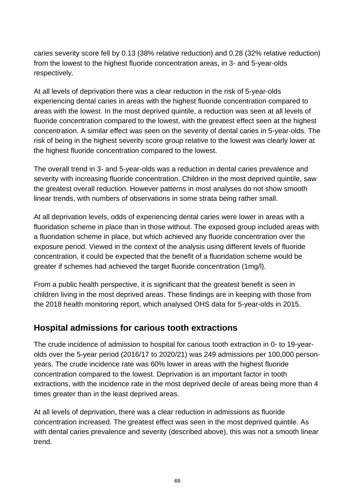caries severity score fell by 0.13 (38% relative reduction) and 0.28 (32% relative reduction) from the lowest to the highest fluoride concentration areas, in 3- and 5-year-olds respectively.

At all levels of deprivation there was a clear reduction in the risk of 5-year-olds experiencing dental caries in areas with the highest fluoride concentration compared to areas with the lowest. In the most deprived quintile, a reduction was seen at all levels of fluoride concentration compared to the lowest, with the greatest effect seen at the highest concentration. A similar effect was seen on the severity of dental caries in 5-year-olds. The risk of being in the highest severity score group relative to the lowest was clearly lower at the highest fluoride concentration compared to the lowest.

The overall trend in 3- and 5-year-olds was a reduction in dental caries prevalence and severity with increasing fluoride concentration. Children in the most deprived quintile, saw the greatest overall reduction. However patterns in most analyses do not show smooth linear trends, with numbers of observations in some strata being rather small.

At all deprivation levels, odds of experiencing dental caries were lower in areas with a fluoridation scheme in place than in those without. The exposed group included areas with a fluoridation scheme in place, but which achieved any fluoride concentration over the exposure period. Viewed in the context of the analysis using different levels of fluoride concentration, it could be expected that the benefit of a fluoridation scheme would be greater if schemes had achieved the target fluoride concentration (1mg/l).

From a public health perspective, it is significant that the greatest benefit is seen in children living in the most deprived areas. These findings are in keeping with those from the 2018 health monitoring report, which analysed OHS data for 5-year-olds in 2015.

### **Hospital admissions for carious tooth extractions**

The crude incidence of admission to hospital for carious tooth extraction in 0- to 19-yearolds over the 5-year period (2016/17 to 2020/21) was 249 admissions per 100,000 personyears. The crude incidence rate was 60% lower in areas with the highest fluoride concentration compared to the lowest. Deprivation is an important factor in tooth extractions, with the incidence rate in the most deprived decile of areas being more than 4 times greater than in the least deprived areas.

At all levels of deprivation, there was a clear reduction in admissions as fluoride concentration increased. The greatest effect was seen in the most deprived quintile. As with dental caries prevalence and severity (described above), this was not a smooth linear trend.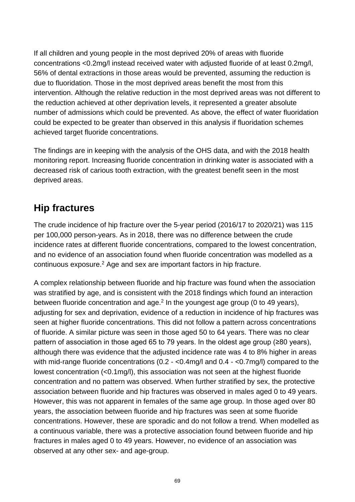If all children and young people in the most deprived 20% of areas with fluoride concentrations <0.2mg/l instead received water with adjusted fluoride of at least 0.2mg/l, 56% of dental extractions in those areas would be prevented, assuming the reduction is due to fluoridation. Those in the most deprived areas benefit the most from this intervention. Although the relative reduction in the most deprived areas was not different to the reduction achieved at other deprivation levels, it represented a greater absolute number of admissions which could be prevented. As above, the effect of water fluoridation could be expected to be greater than observed in this analysis if fluoridation schemes achieved target fluoride concentrations.

The findings are in keeping with the analysis of the OHS data, and with the 2018 health monitoring report. Increasing fluoride concentration in drinking water is associated with a decreased risk of carious tooth extraction, with the greatest benefit seen in the most deprived areas.

# **Hip fractures**

The crude incidence of hip fracture over the 5-year period (2016/17 to 2020/21) was 115 per 100,000 person-years. As in 2018, there was no difference between the crude incidence rates at different fluoride concentrations, compared to the lowest concentration, and no evidence of an association found when fluoride concentration was modelled as a continuous exposure.2 Age and sex are important factors in hip fracture.

A complex relationship between fluoride and hip fracture was found when the association was stratified by age, and is consistent with the 2018 findings which found an interaction between fluoride concentration and  $age<sup>2</sup>$  In the youngest age group (0 to 49 years), adjusting for sex and deprivation, evidence of a reduction in incidence of hip fractures was seen at higher fluoride concentrations. This did not follow a pattern across concentrations of fluoride. A similar picture was seen in those aged 50 to 64 years. There was no clear pattern of association in those aged 65 to 79 years. In the oldest age group (≥80 years), although there was evidence that the adjusted incidence rate was 4 to 8% higher in areas with mid-range fluoride concentrations (0.2 - <0.4mg/l and 0.4 - <0.7mg/l) compared to the lowest concentration (<0.1mg/l), this association was not seen at the highest fluoride concentration and no pattern was observed. When further stratified by sex, the protective association between fluoride and hip fractures was observed in males aged 0 to 49 years. However, this was not apparent in females of the same age group. In those aged over 80 years, the association between fluoride and hip fractures was seen at some fluoride concentrations. However, these are sporadic and do not follow a trend. When modelled as a continuous variable, there was a protective association found between fluoride and hip fractures in males aged 0 to 49 years. However, no evidence of an association was observed at any other sex- and age-group.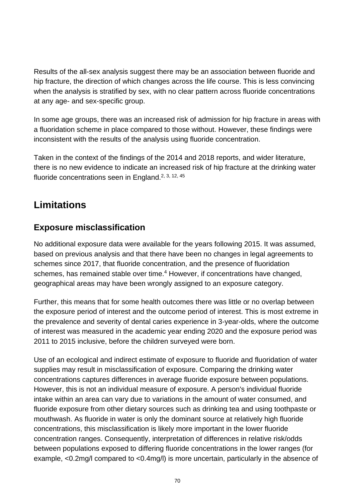Results of the all-sex analysis suggest there may be an association between fluoride and hip fracture, the direction of which changes across the life course. This is less convincing when the analysis is stratified by sex, with no clear pattern across fluoride concentrations at any age- and sex-specific group.

In some age groups, there was an increased risk of admission for hip fracture in areas with a fluoridation scheme in place compared to those without. However, these findings were inconsistent with the results of the analysis using fluoride concentration.

Taken in the context of the findings of the 2014 and 2018 reports, and wider literature, there is no new evidence to indicate an increased risk of hip fracture at the drinking water fluoride concentrations seen in England.<sup>2, 3, 12, 45</sup>

# **Limitations**

# **Exposure misclassification**

No additional exposure data were available for the years following 2015. It was assumed, based on previous analysis and that there have been no changes in legal agreements to schemes since 2017, that fluoride concentration, and the presence of fluoridation schemes, has remained stable over time.<sup>4</sup> However, if concentrations have changed, geographical areas may have been wrongly assigned to an exposure category.

Further, this means that for some health outcomes there was little or no overlap between the exposure period of interest and the outcome period of interest. This is most extreme in the prevalence and severity of dental caries experience in 3-year-olds, where the outcome of interest was measured in the academic year ending 2020 and the exposure period was 2011 to 2015 inclusive, before the children surveyed were born.

Use of an ecological and indirect estimate of exposure to fluoride and fluoridation of water supplies may result in misclassification of exposure. Comparing the drinking water concentrations captures differences in average fluoride exposure between populations. However, this is not an individual measure of exposure. A person's individual fluoride intake within an area can vary due to variations in the amount of water consumed, and fluoride exposure from other dietary sources such as drinking tea and using toothpaste or mouthwash. As fluoride in water is only the dominant source at relatively high fluoride concentrations, this misclassification is likely more important in the lower fluoride concentration ranges. Consequently, interpretation of differences in relative risk/odds between populations exposed to differing fluoride concentrations in the lower ranges (for example, <0.2mg/l compared to <0.4mg/l) is more uncertain, particularly in the absence of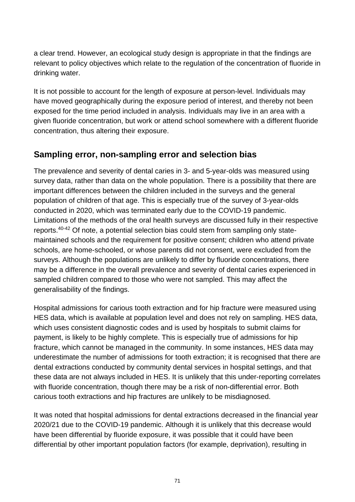a clear trend. However, an ecological study design is appropriate in that the findings are relevant to policy objectives which relate to the regulation of the concentration of fluoride in drinking water.

It is not possible to account for the length of exposure at person-level. Individuals may have moved geographically during the exposure period of interest, and thereby not been exposed for the time period included in analysis. Individuals may live in an area with a given fluoride concentration, but work or attend school somewhere with a different fluoride concentration, thus altering their exposure.

# **Sampling error, non-sampling error and selection bias**

The prevalence and severity of dental caries in 3- and 5-year-olds was measured using survey data, rather than data on the whole population. There is a possibility that there are important differences between the children included in the surveys and the general population of children of that age. This is especially true of the survey of 3-year-olds conducted in 2020, which was terminated early due to the COVID-19 pandemic. Limitations of the methods of the oral health surveys are discussed fully in their respective reports.40-42 Of note, a potential selection bias could stem from sampling only statemaintained schools and the requirement for positive consent; children who attend private schools, are home-schooled, or whose parents did not consent, were excluded from the surveys. Although the populations are unlikely to differ by fluoride concentrations, there may be a difference in the overall prevalence and severity of dental caries experienced in sampled children compared to those who were not sampled. This may affect the generalisability of the findings.

Hospital admissions for carious tooth extraction and for hip fracture were measured using HES data, which is available at population level and does not rely on sampling. HES data, which uses consistent diagnostic codes and is used by hospitals to submit claims for payment, is likely to be highly complete. This is especially true of admissions for hip fracture, which cannot be managed in the community. In some instances, HES data may underestimate the number of admissions for tooth extraction; it is recognised that there are dental extractions conducted by community dental services in hospital settings, and that these data are not always included in HES. It is unlikely that this under-reporting correlates with fluoride concentration, though there may be a risk of non-differential error. Both carious tooth extractions and hip fractures are unlikely to be misdiagnosed.

It was noted that hospital admissions for dental extractions decreased in the financial year 2020/21 due to the COVID-19 pandemic. Although it is unlikely that this decrease would have been differential by fluoride exposure, it was possible that it could have been differential by other important population factors (for example, deprivation), resulting in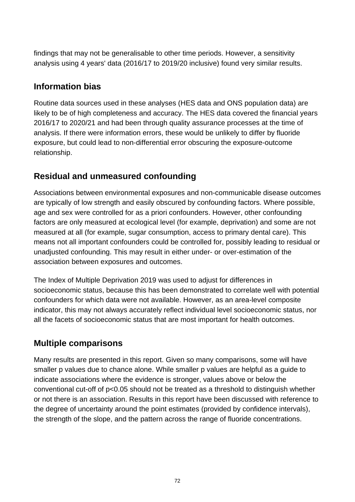findings that may not be generalisable to other time periods. However, a sensitivity analysis using 4 years' data (2016/17 to 2019/20 inclusive) found very similar results.

# **Information bias**

Routine data sources used in these analyses (HES data and ONS population data) are likely to be of high completeness and accuracy. The HES data covered the financial years 2016/17 to 2020/21 and had been through quality assurance processes at the time of analysis. If there were information errors, these would be unlikely to differ by fluoride exposure, but could lead to non-differential error obscuring the exposure-outcome relationship.

# **Residual and unmeasured confounding**

Associations between environmental exposures and non-communicable disease outcomes are typically of low strength and easily obscured by confounding factors. Where possible, age and sex were controlled for as a priori confounders. However, other confounding factors are only measured at ecological level (for example, deprivation) and some are not measured at all (for example, sugar consumption, access to primary dental care). This means not all important confounders could be controlled for, possibly leading to residual or unadjusted confounding. This may result in either under- or over-estimation of the association between exposures and outcomes.

The Index of Multiple Deprivation 2019 was used to adjust for differences in socioeconomic status, because this has been demonstrated to correlate well with potential confounders for which data were not available. However, as an area-level composite indicator, this may not always accurately reflect individual level socioeconomic status, nor all the facets of socioeconomic status that are most important for health outcomes.

# **Multiple comparisons**

Many results are presented in this report. Given so many comparisons, some will have smaller p values due to chance alone. While smaller p values are helpful as a guide to indicate associations where the evidence is stronger, values above or below the conventional cut-off of p<0.05 should not be treated as a threshold to distinguish whether or not there is an association. Results in this report have been discussed with reference to the degree of uncertainty around the point estimates (provided by confidence intervals), the strength of the slope, and the pattern across the range of fluoride concentrations.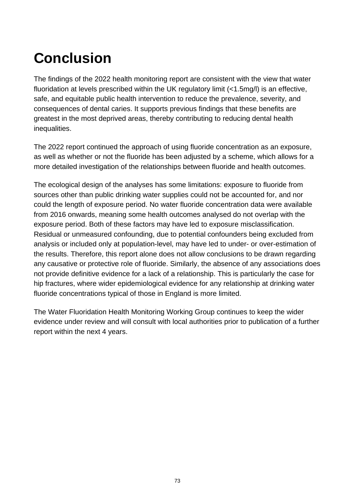# **Conclusion**

The findings of the 2022 health monitoring report are consistent with the view that water fluoridation at levels prescribed within the UK regulatory limit (<1.5mg/l) is an effective, safe, and equitable public health intervention to reduce the prevalence, severity, and consequences of dental caries. It supports previous findings that these benefits are greatest in the most deprived areas, thereby contributing to reducing dental health inequalities.

The 2022 report continued the approach of using fluoride concentration as an exposure, as well as whether or not the fluoride has been adjusted by a scheme, which allows for a more detailed investigation of the relationships between fluoride and health outcomes.

The ecological design of the analyses has some limitations: exposure to fluoride from sources other than public drinking water supplies could not be accounted for, and nor could the length of exposure period. No water fluoride concentration data were available from 2016 onwards, meaning some health outcomes analysed do not overlap with the exposure period. Both of these factors may have led to exposure misclassification. Residual or unmeasured confounding, due to potential confounders being excluded from analysis or included only at population-level, may have led to under- or over-estimation of the results. Therefore, this report alone does not allow conclusions to be drawn regarding any causative or protective role of fluoride. Similarly, the absence of any associations does not provide definitive evidence for a lack of a relationship. This is particularly the case for hip fractures, where wider epidemiological evidence for any relationship at drinking water fluoride concentrations typical of those in England is more limited.

The Water Fluoridation Health Monitoring Working Group continues to keep the wider evidence under review and will consult with local authorities prior to publication of a further report within the next 4 years.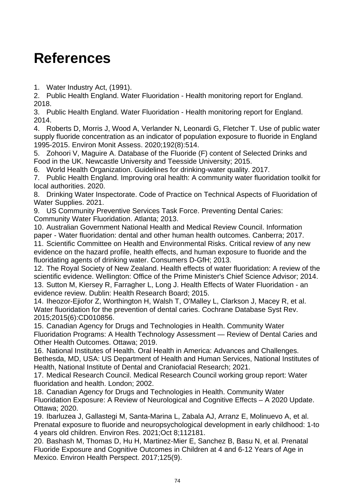### **References**

1. Water Industry Act, (1991).

2. Public Health England. Water Fluoridation - Health monitoring report for England. 2018.

3. Public Health England. Water Fluoridation - Health monitoring report for England. 2014.

4. Roberts D, Morris J, Wood A, Verlander N, Leonardi G, Fletcher T. Use of public water supply fluoride concentration as an indicator of population exposure to fluoride in England 1995-2015. Environ Monit Assess. 2020;192(8):514.

5. Zohoori V, Maguire A. Database of the Fluoride (F) content of Selected Drinks and Food in the UK. Newcastle University and Teesside University; 2015.

6. World Health Organization. Guidelines for drinking-water quality. 2017.

7. Public Health England. Improving oral health: A community water fluoridation toolkit for local authorities. 2020.

8. Drinking Water Inspectorate. Code of Practice on Technical Aspects of Fluoridation of Water Supplies. 2021.

9. US Community Preventive Services Task Force. Preventing Dental Caries: Community Water Fluoridation. Atlanta; 2013.

10. Australian Government National Health and Medical Review Council. Information paper - Water fluoridation: dental and other human health outcomes. Canberra; 2017.

11. Scientific Committee on Health and Environmental Risks. Critical review of any new evidence on the hazard profile, health effects, and human exposure to fluoride and the fluoridating agents of drinking water. Consumers D-GfH; 2013.

12. The Royal Society of New Zealand. Health effects of water fluoridation: A review of the scientific evidence. Wellington: Office of the Prime Minister's Chief Science Advisor; 2014. 13. Sutton M, Kiersey R, Farragher L, Long J. Health Effects of Water Fluoridation - an evidence review. Dublin: Health Research Board; 2015.

14. Iheozor-Ejiofor Z, Worthington H, Walsh T, O'Malley L, Clarkson J, Macey R, et al. Water fluoridation for the prevention of dental caries. Cochrane Database Syst Rev. 2015;2015(6):CD010856.

15. Canadian Agency for Drugs and Technologies in Health. Community Water Fluoridation Programs: A Health Technology Assessment — Review of Dental Caries and Other Health Outcomes. Ottawa; 2019.

16. National Institutes of Health. Oral Health in America: Advances and Challenges. Bethesda, MD, USA: US Department of Health and Human Services, National Institutes of Health, National Institute of Dental and Craniofacial Research; 2021.

17. Medical Research Council. Medical Research Council working group report: Water fluoridation and health. London; 2002.

18. Canadian Agency for Drugs and Technologies in Health. Community Water Fluoridation Exposure: A Review of Neurological and Cognitive Effects – A 2020 Update. Ottawa; 2020.

19. Ibarluzea J, Gallastegi M, Santa-Marina L, Zabala AJ, Arranz E, Molinuevo A, et al. Prenatal exposure to fluoride and neuropsychological development in early childhood: 1-to 4 years old children. Environ Res. 2021;Oct 8;112181.

20. Bashash M, Thomas D, Hu H, Martinez-Mier E, Sanchez B, Basu N, et al. Prenatal Fluoride Exposure and Cognitive Outcomes in Children at 4 and 6-12 Years of Age in Mexico. Environ Health Perspect. 2017;125(9).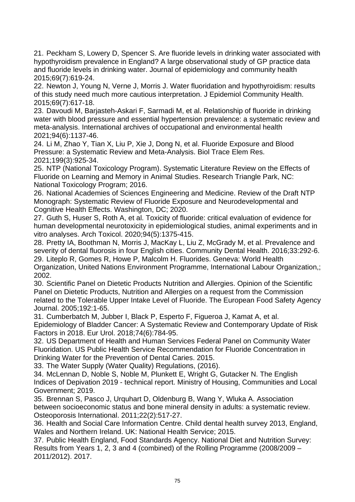21. Peckham S, Lowery D, Spencer S. Are fluoride levels in drinking water associated with hypothyroidism prevalence in England? A large observational study of GP practice data and fluoride levels in drinking water. Journal of epidemiology and community health 2015;69(7):619-24.

22. Newton J, Young N, Verne J, Morris J. Water fluoridation and hypothyroidism: results of this study need much more cautious interpretation. J Epidemiol Community Health. 2015;69(7):617-18.

23. Davoudi M, Barjasteh-Askari F, Sarmadi M, et al. Relationship of fluoride in drinking water with blood pressure and essential hypertension prevalence: a systematic review and meta-analysis. International archives of occupational and environmental health 2021;94(6):1137-46.

24. Li M, Zhao Y, Tian X, Liu P, Xie J, Dong N, et al. Fluoride Exposure and Blood Pressure: a Systematic Review and Meta-Analysis. Biol Trace Elem Res. 2021;199(3):925-34.

25. NTP (National Toxicology Program). Systematic Literature Review on the Effects of Fluoride on Learning and Memory in Animal Studies. Research Triangle Park, NC: National Toxicology Program; 2016.

26. National Academies of Sciences Engineering and Medicine. Review of the Draft NTP Monograph: Systematic Review of Fluoride Exposure and Neurodevelopmental and Cognitive Health Effects. Washington, DC; 2020.

27. Guth S, Huser S, Roth A, et al. Toxicity of fluoride: critical evaluation of evidence for human developmental neurotoxicity in epidemiological studies, animal experiments and in vitro analyses. Arch Toxicol. 2020;94(5):1375-415.

28. Pretty IA, Boothman N, Morris J, MacKay L, Liu Z, McGrady M, et al. Prevalence and severity of dental fluorosis in four English cities. Community Dental Health. 2016;33:292-6. 29. Liteplo R, Gomes R, Howe P, Malcolm H. Fluorides. Geneva: World Health Organization, United Nations Environment Programme, International Labour Organization,; 2002.

30. Scientific Panel on Dietetic Products Nutrition and Allergies. Opinion of the Scientific Panel on Dietetic Products, Nutrition and Allergies on a request from the Commission related to the Tolerable Upper Intake Level of Fluoride. The European Food Safety Agency Journal. 2005;192:1-65.

31. Cumberbatch M, Jubber I, Black P, Esperto F, Figueroa J, Kamat A, et al. Epidemiology of Bladder Cancer: A Systematic Review and Contemporary Update of Risk Factors in 2018. Eur Urol. 2018;74(6):784-95.

32. US Department of Health and Human Services Federal Panel on Community Water Fluoridation. US Public Health Service Recommendation for Fluoride Concentration in Drinking Water for the Prevention of Dental Caries. 2015.

33. The Water Supply (Water Quality) Regulations, (2016).

34. McLennan D, Noble S, Noble M, Plunkett E, Wright G, Gutacker N. The English Indices of Depivation 2019 - technical report. Ministry of Housing, Communities and Local Government; 2019.

35. Brennan S, Pasco J, Urquhart D, Oldenburg B, Wang Y, Wluka A. Association between socioeconomic status and bone mineral density in adults: a systematic review. Osteoporosis International. 2011;22(2):517-27.

36. Health and Social Care Information Centre. Child dental health survey 2013, England, Wales and Northern Ireland. UK: National Health Service; 2015.

37. Public Health England, Food Standards Agency. National Diet and Nutrition Survey: Results from Years 1, 2, 3 and 4 (combined) of the Rolling Programme (2008/2009 – 2011/2012). 2017.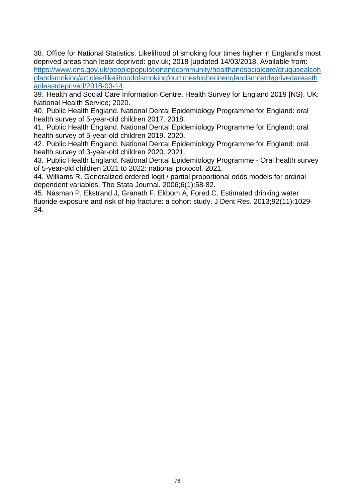38. Office for National Statistics. Likelihood of smoking four times higher in England's most deprived areas than least deprived: gov.uk; 2018 [updated 14/03/2018. Available from: [https://www.ons.gov.uk/peoplepopulationandcommunity/healthandsocialcare/drugusealcoh](https://www.ons.gov.uk/peoplepopulationandcommunity/healthandsocialcare/drugusealcoholandsmoking/articles/likelihoodofsmokingfourtimeshigherinenglandsmostdeprivedareasthanleastdeprived/2018-03-14) [olandsmoking/articles/likelihoodofsmokingfourtimeshigherinenglandsmostdeprivedareasth](https://www.ons.gov.uk/peoplepopulationandcommunity/healthandsocialcare/drugusealcoholandsmoking/articles/likelihoodofsmokingfourtimeshigherinenglandsmostdeprivedareasthanleastdeprived/2018-03-14) [anleastdeprived/2018-03-14.](https://www.ons.gov.uk/peoplepopulationandcommunity/healthandsocialcare/drugusealcoholandsmoking/articles/likelihoodofsmokingfourtimeshigherinenglandsmostdeprivedareasthanleastdeprived/2018-03-14)

39. Health and Social Care Information Centre. Health Survey for England 2019 [NS}. UK: National Health Service; 2020.

40. Public Health England. National Dental Epidemiology Programme for England: oral health survey of 5-year-old children 2017. 2018.

41. Public Health England. National Dental Epidemiology Programme for England: oral health survey of 5-year-old children 2019. 2020.

42. Public Health England. National Dental Epidemiology Programme for England: oral health survey of 3-year-old children 2020. 2021.

43. Public Health England. National Dental Epidemiology Programme - Oral health survey of 5-year-old children 2021 to 2022: national protocol. 2021.

44. Williams R. Generalized ordered logit / partial proportional odds models for ordinal dependent variables. The Stata Journal. 2006;6(1):58-82.

45. Näsman P, Ekstrand J, Granath F, Ekbom A, Fored C. Estimated drinking water fluoride exposure and risk of hip fracture: a cohort study. J Dent Res. 2013;92(11):1029- 34.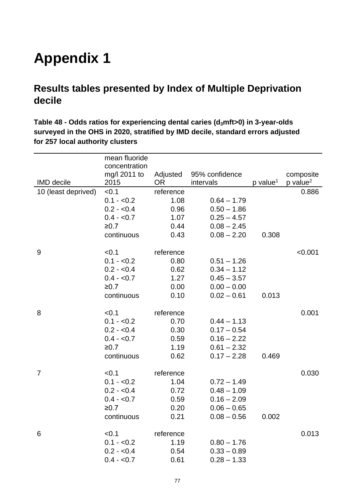## **Appendix 1**

### **Results tables presented by Index of Multiple Deprivation decile**

**Table 48 - Odds ratios for experiencing dental caries (d3mft>0) in 3-year-olds surveyed in the OHS in 2020, stratified by IMD decile, standard errors adjusted for 257 local authority clusters** 

|                     | mean fluoride<br>concentration |                 |                |                        |                        |
|---------------------|--------------------------------|-----------------|----------------|------------------------|------------------------|
|                     | mg/I 2011 to                   | Adjusted        | 95% confidence |                        | composite              |
| <b>IMD</b> decile   | 2015                           | OR <sub>1</sub> | intervals      | $p$ value <sup>1</sup> | $p$ value <sup>2</sup> |
| 10 (least deprived) | < 0.1                          | reference       |                |                        | 0.886                  |
|                     | $0.1 - 0.2$                    | 1.08            | $0.64 - 1.79$  |                        |                        |
|                     | $0.2 - 0.4$                    | 0.96            | $0.50 - 1.86$  |                        |                        |
|                     | $0.4 - 0.7$                    | 1.07            | $0.25 - 4.57$  |                        |                        |
|                     | ≥0.7                           | 0.44            | $0.08 - 2.45$  |                        |                        |
|                     | continuous                     | 0.43            | $0.08 - 2.20$  | 0.308                  |                        |
| 9                   | < 0.1                          | reference       |                |                        | < 0.001                |
|                     | $0.1 - 0.2$                    | 0.80            | $0.51 - 1.26$  |                        |                        |
|                     | $0.2 - 0.4$                    | 0.62            | $0.34 - 1.12$  |                        |                        |
|                     | $0.4 - 0.7$                    | 1.27            | $0.45 - 3.57$  |                        |                        |
|                     | ≥0.7                           | 0.00            | $0.00 - 0.00$  |                        |                        |
|                     | continuous                     | 0.10            | $0.02 - 0.61$  | 0.013                  |                        |
| 8                   | < 0.1                          | reference       |                |                        | 0.001                  |
|                     | $0.1 - 0.2$                    | 0.70            | $0.44 - 1.13$  |                        |                        |
|                     | $0.2 - 0.4$                    | 0.30            | $0.17 - 0.54$  |                        |                        |
|                     | $0.4 - 0.7$                    | 0.59            | $0.16 - 2.22$  |                        |                        |
|                     | ≥0.7                           | 1.19            | $0.61 - 2.32$  |                        |                        |
|                     | continuous                     | 0.62            | $0.17 - 2.28$  | 0.469                  |                        |
| $\overline{7}$      | < 0.1                          | reference       |                |                        | 0.030                  |
|                     | $0.1 - 0.2$                    | 1.04            | $0.72 - 1.49$  |                        |                        |
|                     | $0.2 - 0.4$                    | 0.72            | $0.48 - 1.09$  |                        |                        |
|                     | $0.4 - 0.7$                    | 0.59            | $0.16 - 2.09$  |                        |                        |
|                     | ≥0.7                           | 0.20            | $0.06 - 0.65$  |                        |                        |
|                     | continuous                     | 0.21            | $0.08 - 0.56$  | 0.002                  |                        |
| 6                   | < 0.1                          | reference       |                |                        | 0.013                  |
|                     | $0.1 - 0.2$                    | 1.19            | $0.80 - 1.76$  |                        |                        |
|                     | $0.2 - 0.4$                    | 0.54            | $0.33 - 0.89$  |                        |                        |
|                     | $0.4 - 0.7$                    | 0.61            | $0.28 - 1.33$  |                        |                        |
|                     |                                |                 |                |                        |                        |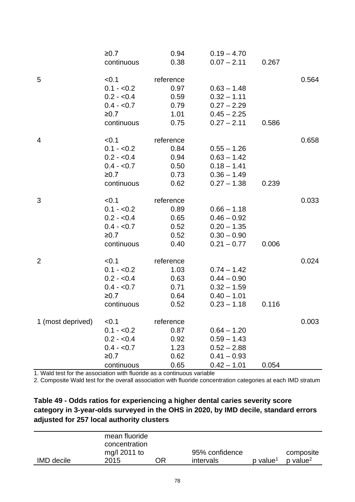|                   | ≥0.7        | 0.94      | $0.19 - 4.70$ |       |       |
|-------------------|-------------|-----------|---------------|-------|-------|
|                   | continuous  | 0.38      | $0.07 - 2.11$ | 0.267 |       |
|                   |             |           |               |       |       |
| 5                 | < 0.1       | reference |               |       | 0.564 |
|                   | $0.1 - 0.2$ | 0.97      | $0.63 - 1.48$ |       |       |
|                   | $0.2 - 0.4$ | 0.59      | $0.32 - 1.11$ |       |       |
|                   | $0.4 - 0.7$ | 0.79      | $0.27 - 2.29$ |       |       |
|                   | ≥0.7        | 1.01      | $0.45 - 2.25$ |       |       |
|                   | continuous  | 0.75      | $0.27 - 2.11$ | 0.586 |       |
| 4                 | < 0.1       | reference |               |       | 0.658 |
|                   | $0.1 - 0.2$ | 0.84      | $0.55 - 1.26$ |       |       |
|                   | $0.2 - 0.4$ | 0.94      | $0.63 - 1.42$ |       |       |
|                   | $0.4 - 0.7$ | 0.50      | $0.18 - 1.41$ |       |       |
|                   | ≥0.7        | 0.73      | $0.36 - 1.49$ |       |       |
|                   | continuous  | 0.62      | $0.27 - 1.38$ | 0.239 |       |
| 3                 | < 0.1       | reference |               |       | 0.033 |
|                   | $0.1 - 0.2$ | 0.89      | $0.66 - 1.18$ |       |       |
|                   | $0.2 - 0.4$ | 0.65      | $0.46 - 0.92$ |       |       |
|                   | $0.4 - 0.7$ | 0.52      | $0.20 - 1.35$ |       |       |
|                   | ≥0.7        | 0.52      | $0.30 - 0.90$ |       |       |
|                   | continuous  | 0.40      | $0.21 - 0.77$ | 0.006 |       |
| $\overline{2}$    | < 0.1       | reference |               |       | 0.024 |
|                   | $0.1 - 0.2$ | 1.03      | $0.74 - 1.42$ |       |       |
|                   | $0.2 - 0.4$ | 0.63      | $0.44 - 0.90$ |       |       |
|                   | $0.4 - 0.7$ | 0.71      | $0.32 - 1.59$ |       |       |
|                   | ≥0.7        | 0.64      | $0.40 - 1.01$ |       |       |
|                   | continuous  | 0.52      | $0.23 - 1.18$ | 0.116 |       |
| 1 (most deprived) | < 0.1       | reference |               |       | 0.003 |
|                   | $0.1 - 0.2$ | 0.87      | $0.64 - 1.20$ |       |       |
|                   | $0.2 - 0.4$ | 0.92      | $0.59 - 1.43$ |       |       |
|                   | $0.4 - 0.7$ | 1.23      | $0.52 - 2.88$ |       |       |
|                   | ≥0.7        | 0.62      | $0.41 - 0.93$ |       |       |
|                   | continuous  | 0.65      | $0.42 - 1.01$ | 0.054 |       |

2. Composite Wald test for the overall association with fluoride concentration categories at each IMD stratum

#### **Table 49 - Odds ratios for experiencing a higher dental caries severity score category in 3-year-olds surveyed in the OHS in 2020, by IMD decile, standard errors adjusted for 257 local authority clusters**

|                   | mean fluoride |    |                |                      |                        |
|-------------------|---------------|----|----------------|----------------------|------------------------|
|                   | concentration |    |                |                      |                        |
|                   | mg/l 2011 to  |    | 95% confidence |                      | composite              |
| <b>IMD</b> decile | 2015          | ΩR | intervals      | p value <sup>1</sup> | $p$ value <sup>2</sup> |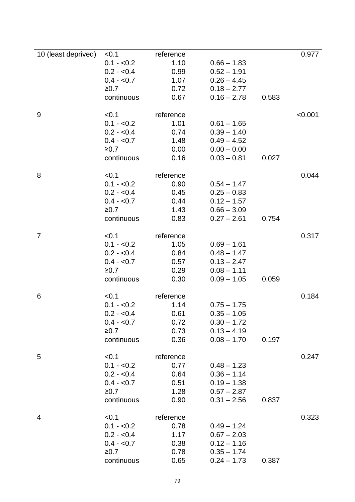| 10 (least deprived) | < 0.1       | reference |               |       | 0.977   |
|---------------------|-------------|-----------|---------------|-------|---------|
|                     | $0.1 - 0.2$ | 1.10      | $0.66 - 1.83$ |       |         |
|                     | $0.2 - 0.4$ | 0.99      | $0.52 - 1.91$ |       |         |
|                     | $0.4 - 0.7$ | 1.07      | $0.26 - 4.45$ |       |         |
|                     | ≥0.7        | 0.72      | $0.18 - 2.77$ |       |         |
|                     | continuous  | 0.67      | $0.16 - 2.78$ | 0.583 |         |
|                     |             |           |               |       |         |
| $9\,$               | < 0.1       | reference |               |       | < 0.001 |
|                     | $0.1 - 0.2$ | 1.01      | $0.61 - 1.65$ |       |         |
|                     | $0.2 - 0.4$ | 0.74      | $0.39 - 1.40$ |       |         |
|                     | $0.4 - 0.7$ | 1.48      | $0.49 - 4.52$ |       |         |
|                     | ≥0.7        | 0.00      | $0.00 - 0.00$ |       |         |
|                     | continuous  | 0.16      | $0.03 - 0.81$ | 0.027 |         |
|                     |             |           |               |       |         |
| 8                   | < 0.1       | reference |               |       | 0.044   |
|                     | $0.1 - 0.2$ | 0.90      | $0.54 - 1.47$ |       |         |
|                     | $0.2 - 0.4$ | 0.45      | $0.25 - 0.83$ |       |         |
|                     | $0.4 - 0.7$ | 0.44      | $0.12 - 1.57$ |       |         |
|                     | ≥0.7        | 1.43      | $0.66 - 3.09$ |       |         |
|                     | continuous  | 0.83      | $0.27 - 2.61$ | 0.754 |         |
|                     |             |           |               |       |         |
| $\overline{7}$      | < 0.1       | reference |               |       | 0.317   |
|                     | $0.1 - 0.2$ | 1.05      | $0.69 - 1.61$ |       |         |
|                     | $0.2 - 0.4$ | 0.84      | $0.48 - 1.47$ |       |         |
|                     | $0.4 - 0.7$ | 0.57      | $0.13 - 2.47$ |       |         |
|                     | ≥0.7        | 0.29      | $0.08 - 1.11$ |       |         |
|                     | continuous  | 0.30      | $0.09 - 1.05$ | 0.059 |         |
|                     |             |           |               |       |         |
| 6                   | < 0.1       | reference |               |       | 0.184   |
|                     | $0.1 - 0.2$ | 1.14      | $0.75 - 1.75$ |       |         |
|                     | $0.2 - 0.4$ | 0.61      | $0.35 - 1.05$ |       |         |
|                     | $0.4 - 0.7$ | 0.72      | $0.30 - 1.72$ |       |         |
|                     | ≥0.7        | 0.73      | $0.13 - 4.19$ |       |         |
|                     | continuous  | 0.36      | $0.08 - 1.70$ | 0.197 |         |
|                     |             |           |               |       |         |
| 5                   | < 0.1       | reference |               |       | 0.247   |
|                     | $0.1 - 0.2$ | 0.77      | $0.48 - 1.23$ |       |         |
|                     | $0.2 - 0.4$ | 0.64      | $0.36 - 1.14$ |       |         |
|                     | $0.4 - 0.7$ | 0.51      | $0.19 - 1.38$ |       |         |
|                     | ≥0.7        | 1.28      | $0.57 - 2.87$ |       |         |
|                     | continuous  | 0.90      | $0.31 - 2.56$ | 0.837 |         |
|                     |             |           |               |       |         |
| 4                   | < 0.1       | reference |               |       | 0.323   |
|                     | $0.1 - 0.2$ | 0.78      | $0.49 - 1.24$ |       |         |
|                     | $0.2 - 0.4$ | 1.17      | $0.67 - 2.03$ |       |         |
|                     | $0.4 - 0.7$ | 0.38      | $0.12 - 1.16$ |       |         |
|                     | ≥0.7        | 0.78      | $0.35 - 1.74$ |       |         |
|                     | continuous  | 0.65      | $0.24 - 1.73$ | 0.387 |         |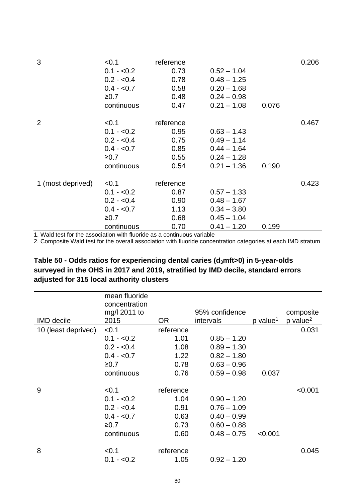| 3                 | < 0.1<br>$0.1 - 0.2$<br>$0.2 - 0.4$<br>$0.4 - 0.7$<br>≥0.7<br>continuous | reference<br>0.73<br>0.78<br>0.58<br>0.48<br>0.47 | $0.52 - 1.04$<br>$0.48 - 1.25$<br>$0.20 - 1.68$<br>$0.24 - 0.98$<br>$0.21 - 1.08$ | 0.076 | 0.206 |
|-------------------|--------------------------------------------------------------------------|---------------------------------------------------|-----------------------------------------------------------------------------------|-------|-------|
| 2                 | < 0.1<br>$0.1 - 0.2$<br>$0.2 - 0.4$<br>$0.4 - 0.7$<br>≥0.7<br>continuous | reference<br>0.95<br>0.75<br>0.85<br>0.55<br>0.54 | $0.63 - 1.43$<br>$0.49 - 1.14$<br>$0.44 - 1.64$<br>$0.24 - 1.28$<br>$0.21 - 1.36$ | 0.190 | 0.467 |
| 1 (most deprived) | < 0.1<br>$0.1 - 0.2$<br>$0.2 - 0.4$<br>$0.4 - 0.7$<br>≥0.7<br>continuous | reference<br>0.87<br>0.90<br>1.13<br>0.68<br>0.70 | $0.57 - 1.33$<br>$0.48 - 1.67$<br>$0.34 - 3.80$<br>$0.45 - 1.04$<br>$0.41 - 1.20$ | 0.199 | 0.423 |

| Table 50 - Odds ratios for experiencing dental caries ( $d_3$ mft>0) in 5-year-olds |
|-------------------------------------------------------------------------------------|
| surveyed in the OHS in 2017 and 2019, stratified by IMD decile, standard errors     |
| adjusted for 315 local authority clusters                                           |

| <b>IMD</b> decile   | mean fluoride<br>concentration<br>mg/l 2011 to<br>2015 | <b>OR</b> | 95% confidence<br>intervals | p value <sup>1</sup> | composite<br>$p$ value <sup>2</sup> |
|---------------------|--------------------------------------------------------|-----------|-----------------------------|----------------------|-------------------------------------|
|                     |                                                        |           |                             |                      |                                     |
| 10 (least deprived) | < 0.1                                                  | reference |                             |                      | 0.031                               |
|                     | $0.1 - 0.2$                                            | 1.01      | $0.85 - 1.20$               |                      |                                     |
|                     | $0.2 - 0.4$                                            | 1.08      | $0.89 - 1.30$               |                      |                                     |
|                     | $0.4 - 0.7$                                            | 1.22      | $0.82 - 1.80$               |                      |                                     |
|                     | ≥0.7                                                   | 0.78      | $0.63 - 0.96$               |                      |                                     |
|                     | continuous                                             | 0.76      | $0.59 - 0.98$               | 0.037                |                                     |
|                     |                                                        |           |                             |                      |                                     |
| 9                   | < 0.1                                                  | reference |                             |                      | < 0.001                             |
|                     | $0.1 - 0.2$                                            | 1.04      | $0.90 - 1.20$               |                      |                                     |
|                     | $0.2 - 0.4$                                            | 0.91      | $0.76 - 1.09$               |                      |                                     |
|                     | $0.4 - 0.7$                                            | 0.63      | $0.40 - 0.99$               |                      |                                     |
|                     | ≥0.7                                                   | 0.73      | $0.60 - 0.88$               |                      |                                     |
|                     | continuous                                             | 0.60      | $0.48 - 0.75$               | < 0.001              |                                     |
|                     |                                                        |           |                             |                      |                                     |
| 8                   | < 0.1                                                  | reference |                             |                      | 0.045                               |
|                     | $0.1 - 0.2$                                            | 1.05      | $0.92 - 1.20$               |                      |                                     |
|                     |                                                        |           |                             |                      |                                     |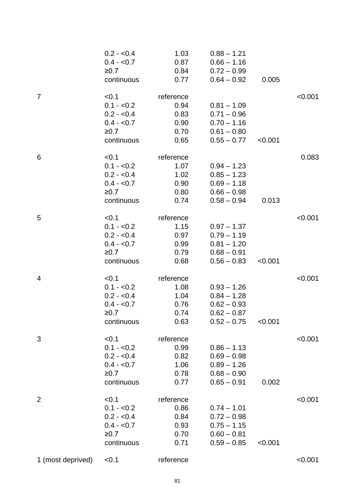|                   | $0.2 - 0.4$ | 1.03      | $0.88 - 1.21$ |         |         |
|-------------------|-------------|-----------|---------------|---------|---------|
|                   | $0.4 - 0.7$ | 0.87      | $0.66 - 1.16$ |         |         |
|                   | $\geq 0.7$  | 0.84      | $0.72 - 0.99$ |         |         |
|                   | continuous  | 0.77      | $0.64 - 0.92$ | 0.005   |         |
| $\overline{7}$    | < 0.1       | reference |               |         | < 0.001 |
|                   | $0.1 - 0.2$ | 0.94      | $0.81 - 1.09$ |         |         |
|                   | $0.2 - 0.4$ | 0.83      | $0.71 - 0.96$ |         |         |
|                   | $0.4 - 0.7$ | 0.90      | $0.70 - 1.16$ |         |         |
|                   | ≥0.7        | 0.70      | $0.61 - 0.80$ |         |         |
|                   | continuous  | 0.65      | $0.55 - 0.77$ | < 0.001 |         |
| 6                 | < 0.1       | reference |               |         | 0.083   |
|                   | $0.1 - 0.2$ | 1.07      | $0.94 - 1.23$ |         |         |
|                   | $0.2 - 0.4$ | 1.02      | $0.85 - 1.23$ |         |         |
|                   | $0.4 - 0.7$ | 0.90      | $0.69 - 1.18$ |         |         |
|                   | ≥0.7        | 0.80      | $0.66 - 0.98$ |         |         |
|                   | continuous  | 0.74      | $0.58 - 0.94$ | 0.013   |         |
| 5                 | < 0.1       | reference |               |         | < 0.001 |
|                   | $0.1 - 0.2$ | 1.15      | $0.97 - 1.37$ |         |         |
|                   | $0.2 - 0.4$ | 0.97      | $0.79 - 1.19$ |         |         |
|                   | $0.4 - 0.7$ | 0.99      | $0.81 - 1.20$ |         |         |
|                   | ≥0.7        | 0.79      | $0.68 - 0.91$ |         |         |
|                   | continuous  | 0.68      | $0.56 - 0.83$ | < 0.001 |         |
| 4                 | < 0.1       | reference |               |         | < 0.001 |
|                   | $0.1 - 0.2$ | 1.08      | $0.93 - 1.26$ |         |         |
|                   | $0.2 - 0.4$ | 1.04      | $0.84 - 1.28$ |         |         |
|                   | $0.4 - 0.7$ | 0.76      | $0.62 - 0.93$ |         |         |
|                   | ≥0.7        | 0.74      | $0.62 - 0.87$ |         |         |
|                   | continuous  | 0.63      | $0.52 - 0.75$ | < 0.001 |         |
| 3                 | < 0.1       | reference |               |         | < 0.001 |
|                   | $0.1 - 0.2$ | 0.99      | $0.86 - 1.13$ |         |         |
|                   | $0.2 - 0.4$ | 0.82      | $0.69 - 0.98$ |         |         |
|                   | $0.4 - 0.7$ | 1.06      | $0.89 - 1.26$ |         |         |
|                   | ≥0.7        | 0.78      | $0.68 - 0.90$ |         |         |
|                   | continuous  | 0.77      | $0.65 - 0.91$ | 0.002   |         |
| $\overline{2}$    | < 0.1       | reference |               |         | < 0.001 |
|                   | $0.1 - 0.2$ | 0.86      | $0.74 - 1.01$ |         |         |
|                   | $0.2 - 0.4$ | 0.84      | $0.72 - 0.98$ |         |         |
|                   | $0.4 - 0.7$ | 0.93      | $0.75 - 1.15$ |         |         |
|                   | ≥0.7        | 0.70      | $0.60 - 0.81$ |         |         |
|                   | continuous  | 0.71      | $0.59 - 0.85$ | < 0.001 |         |
| 1 (most deprived) | < 0.1       | reference |               |         | < 0.001 |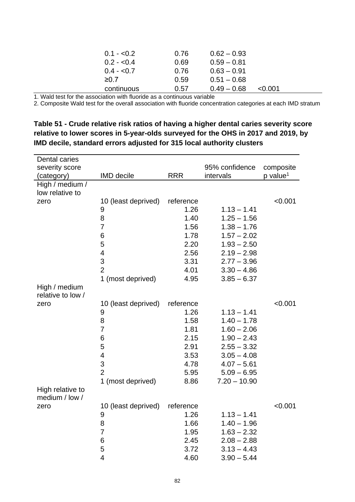| $0.1 - 0.2$ | 0.76 | $0.62 - 0.93$ |         |
|-------------|------|---------------|---------|
| $0.2 - 0.4$ | 0.69 | $0.59 - 0.81$ |         |
| $0.4 - 0.7$ | 0.76 | $0.63 - 0.91$ |         |
| ≥0.7        | 0.59 | $0.51 - 0.68$ |         |
| continuous  | 0.57 | $0.49 - 0.68$ | < 0.001 |

2. Composite Wald test for the overall association with fluoride concentration categories at each IMD stratum

**Table 51 - Crude relative risk ratios of having a higher dental caries severity score relative to lower scores in 5-year-olds surveyed for the OHS in 2017 and 2019, by IMD decile, standard errors adjusted for 315 local authority clusters** 

| Dental caries     |                         |            |                |                      |
|-------------------|-------------------------|------------|----------------|----------------------|
| severity score    |                         |            | 95% confidence | composite            |
| (category)        | <b>IMD</b> decile       | <b>RRR</b> | intervals      | p value <sup>1</sup> |
| High / medium /   |                         |            |                |                      |
| low relative to   |                         |            |                |                      |
| zero              | 10 (least deprived)     | reference  |                | < 0.001              |
|                   | 9                       | 1.26       | $1.13 - 1.41$  |                      |
|                   | 8                       | 1.40       | $1.25 - 1.56$  |                      |
|                   | $\overline{7}$          | 1.56       | $1.38 - 1.76$  |                      |
|                   | 6                       | 1.78       | $1.57 - 2.02$  |                      |
|                   | 5                       | 2.20       | $1.93 - 2.50$  |                      |
|                   | $\overline{\mathbf{4}}$ | 2.56       | $2.19 - 2.98$  |                      |
|                   | 3                       | 3.31       | $2.77 - 3.96$  |                      |
|                   | $\overline{2}$          | 4.01       | $3.30 - 4.86$  |                      |
|                   | 1 (most deprived)       | 4.95       | $3.85 - 6.37$  |                      |
| High / medium     |                         |            |                |                      |
| relative to low / |                         |            |                |                      |
| zero              | 10 (least deprived)     | reference  |                | < 0.001              |
|                   | 9                       | 1.26       | $1.13 - 1.41$  |                      |
|                   | 8                       | 1.58       | $1.40 - 1.78$  |                      |
|                   | 7                       | 1.81       | $1.60 - 2.06$  |                      |
|                   | 6                       | 2.15       | $1.90 - 2.43$  |                      |
|                   | 5                       | 2.91       | $2.55 - 3.32$  |                      |
|                   | $\overline{\mathbf{4}}$ | 3.53       | $3.05 - 4.08$  |                      |
|                   | 3                       | 4.78       | $4.07 - 5.61$  |                      |
|                   | $\overline{2}$          | 5.95       | $5.09 - 6.95$  |                      |
|                   | 1 (most deprived)       | 8.86       | $7.20 - 10.90$ |                      |
| High relative to  |                         |            |                |                      |
| medium / low /    |                         |            |                |                      |
| zero              | 10 (least deprived)     | reference  |                | < 0.001              |
|                   | 9                       | 1.26       | $1.13 - 1.41$  |                      |
|                   | 8                       | 1.66       | $1.40 - 1.96$  |                      |
|                   | $\overline{7}$          | 1.95       | $1.63 - 2.32$  |                      |
|                   | 6                       | 2.45       | $2.08 - 2.88$  |                      |
|                   | 5                       | 3.72       | $3.13 - 4.43$  |                      |
|                   | $\overline{4}$          | 4.60       | $3.90 - 5.44$  |                      |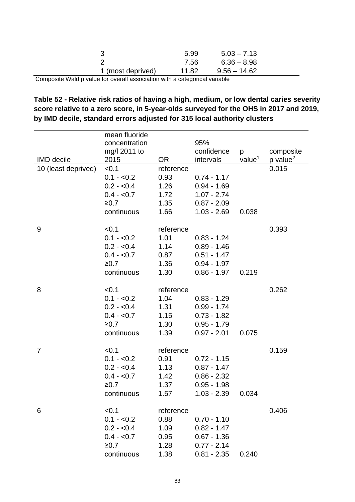|                   | 5.99  | $5.03 - 7.13$  |  |
|-------------------|-------|----------------|--|
|                   | 7.56  | $6.36 - 8.98$  |  |
| 1 (most deprived) | 11.82 | $9.56 - 14.62$ |  |
|                   |       |                |  |

Composite Wald p value for overall association with a categorical variable

#### **Table 52 - Relative risk ratios of having a high, medium, or low dental caries severity score relative to a zero score, in 5-year-olds surveyed for the OHS in 2017 and 2019, by IMD decile, standard errors adjusted for 315 local authority clusters**

| <b>IMD</b> decile   | mean fluoride<br>concentration<br>mg/l 2011 to<br>2015 | OR <sub>.</sub> | 95%<br>confidence<br>intervals | p<br>value <sup>1</sup> | composite<br>p value <sup>2</sup> |
|---------------------|--------------------------------------------------------|-----------------|--------------------------------|-------------------------|-----------------------------------|
| 10 (least deprived) | < 0.1                                                  | reference       |                                |                         | 0.015                             |
|                     | $0.1 - 0.2$                                            | 0.93            | $0.74 - 1.17$                  |                         |                                   |
|                     | $0.2 - 0.4$                                            | 1.26            | $0.94 - 1.69$                  |                         |                                   |
|                     | $0.4 - 0.7$                                            | 1.72            | $1.07 - 2.74$                  |                         |                                   |
|                     | ≥0.7                                                   | 1.35            | $0.87 - 2.09$                  |                         |                                   |
|                     | continuous                                             | 1.66            | $1.03 - 2.69$                  | 0.038                   |                                   |
| 9                   | < 0.1                                                  | reference       |                                |                         | 0.393                             |
|                     | $0.1 - 0.2$                                            | 1.01            | $0.83 - 1.24$                  |                         |                                   |
|                     | $0.2 - 0.4$                                            | 1.14            | $0.89 - 1.46$                  |                         |                                   |
|                     | $0.4 - 0.7$                                            | 0.87            | $0.51 - 1.47$                  |                         |                                   |
|                     | ≥0.7                                                   | 1.36            | $0.94 - 1.97$                  |                         |                                   |
|                     | continuous                                             | 1.30            | $0.86 - 1.97$                  | 0.219                   |                                   |
| 8                   | < 0.1                                                  | reference       |                                |                         | 0.262                             |
|                     | $0.1 - 0.2$                                            | 1.04            | $0.83 - 1.29$                  |                         |                                   |
|                     | $0.2 - 0.4$                                            | 1.31            | $0.99 - 1.74$                  |                         |                                   |
|                     | $0.4 - 0.7$                                            | 1.15            | $0.73 - 1.82$                  |                         |                                   |
|                     | ≥0.7                                                   | 1.30            | $0.95 - 1.79$                  |                         |                                   |
|                     | continuous                                             | 1.39            | $0.97 - 2.01$                  | 0.075                   |                                   |
| 7                   | < 0.1                                                  | reference       |                                |                         | 0.159                             |
|                     | $0.1 - 0.2$                                            | 0.91            | $0.72 - 1.15$                  |                         |                                   |
|                     | $0.2 - 0.4$                                            | 1.13            | $0.87 - 1.47$                  |                         |                                   |
|                     | $0.4 - 0.7$                                            | 1.42            | $0.86 - 2.32$                  |                         |                                   |
|                     | ≥0.7                                                   | 1.37            | $0.95 - 1.98$                  |                         |                                   |
|                     | continuous                                             | 1.57            | $1.03 - 2.39$                  | 0.034                   |                                   |
| 6                   | < 0.1                                                  | reference       |                                |                         | 0.406                             |
|                     | $0.1 - 0.2$                                            | 0.88            | $0.70 - 1.10$                  |                         |                                   |
|                     | $0.2 - 0.4$                                            | 1.09            | $0.82 - 1.47$                  |                         |                                   |
|                     | $0.4 - 0.7$                                            | 0.95            | $0.67 - 1.36$                  |                         |                                   |
|                     | ≥0.7                                                   | 1.28            | $0.77 - 2.14$                  |                         |                                   |
|                     | continuous                                             | 1.38            | $0.81 - 2.35$                  | 0.240                   |                                   |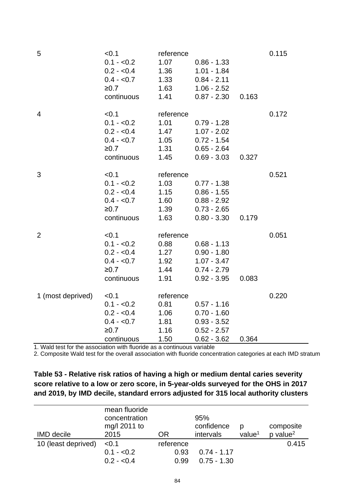| 5                 | < 0.1<br>$0.1 - 0.2$<br>$0.2 - 0.4$<br>$0.4 - 0.7$<br>≥0.7<br>continuous   | reference<br>1.07<br>1.36<br>1.33<br>1.63<br>1.41 | $0.86 - 1.33$<br>$1.01 - 1.84$<br>$0.84 - 2.11$<br>$1.06 - 2.52$<br>$0.87 - 2.30$ | 0.163 | 0.115 |
|-------------------|----------------------------------------------------------------------------|---------------------------------------------------|-----------------------------------------------------------------------------------|-------|-------|
| $\overline{4}$    | < 0.1<br>$0.1 - 0.2$<br>$0.2 - 0.4$<br>$0.4 - 0.7$<br>$≥0.7$<br>continuous | reference<br>1.01<br>1.47<br>1.05<br>1.31<br>1.45 | $0.79 - 1.28$<br>$1.07 - 2.02$<br>$0.72 - 1.54$<br>$0.65 - 2.64$<br>$0.69 - 3.03$ | 0.327 | 0.172 |
| 3                 | < 0.1<br>$0.1 - 0.2$<br>$0.2 - 0.4$<br>$0.4 - 0.7$<br>≥0.7<br>continuous   | reference<br>1.03<br>1.15<br>1.60<br>1.39<br>1.63 | $0.77 - 1.38$<br>$0.86 - 1.55$<br>$0.88 - 2.92$<br>$0.73 - 2.65$<br>$0.80 - 3.30$ | 0.179 | 0.521 |
| $\overline{2}$    | < 0.1<br>$0.1 - 0.2$<br>$0.2 - 0.4$<br>$0.4 - 0.7$<br>$≥0.7$<br>continuous | reference<br>0.88<br>1.27<br>1.92<br>1.44<br>1.91 | $0.68 - 1.13$<br>$0.90 - 1.80$<br>$1.07 - 3.47$<br>$0.74 - 2.79$<br>$0.92 - 3.95$ | 0.083 | 0.051 |
| 1 (most deprived) | < 0.1<br>$0.1 - 0.2$<br>$0.2 - 0.4$<br>$0.4 - 0.7$<br>≥0.7<br>continuous   | reference<br>0.81<br>1.06<br>1.81<br>1.16<br>1.50 | $0.57 - 1.16$<br>$0.70 - 1.60$<br>$0.93 - 3.52$<br>$0.52 - 2.57$<br>$0.62 - 3.62$ | 0.364 | 0.220 |

| Table 53 - Relative risk ratios of having a high or medium dental caries severity  |
|------------------------------------------------------------------------------------|
| score relative to a low or zero score, in 5-year-olds surveyed for the OHS in 2017 |
| and 2019, by IMD decile, standard errors adjusted for 315 local authority clusters |

| <b>IMD</b> decile   | mean fluoride<br>concentration<br>mg/l 2011 to<br>2015 | OR                        | 95%<br>confidence<br>intervals | D<br>value <sup>1</sup> | composite<br>$p$ value <sup>2</sup> |
|---------------------|--------------------------------------------------------|---------------------------|--------------------------------|-------------------------|-------------------------------------|
| 10 (least deprived) | < 0.1<br>$0.1 - 0.2$<br>$0.2 - 0.4$                    | reference<br>0.93<br>0.99 | $0.74 - 1.17$<br>$0.75 - 1.30$ |                         | 0.415                               |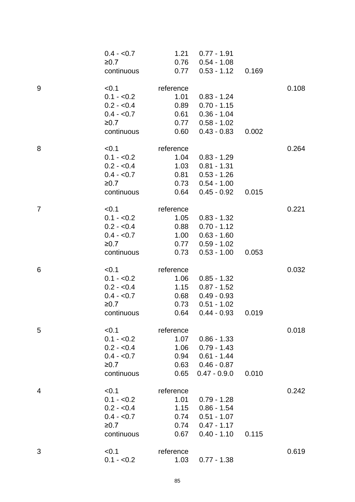|                | $0.4 - 0.7$          | 1.21              | $0.77 - 1.91$        |       |       |
|----------------|----------------------|-------------------|----------------------|-------|-------|
|                | ≥0.7                 | 0.76              | $0.54 - 1.08$        |       |       |
|                | continuous           | 0.77              | $0.53 - 1.12$        | 0.169 |       |
| 9              | < 0.1                | reference         |                      |       | 0.108 |
|                | $0.1 - 0.2$          | 1.01              | $0.83 - 1.24$        |       |       |
|                | $0.2 - 0.4$          | 0.89              | $0.70 - 1.15$        |       |       |
|                | $0.4 - 0.7$          | 0.61              | $0.36 - 1.04$        |       |       |
|                | ≥0.7                 | 0.77              | $0.58 - 1.02$        |       |       |
|                | continuous           | 0.60              | $0.43 - 0.83$        | 0.002 |       |
| 8              | < 0.1                | reference         |                      |       | 0.264 |
|                | $0.1 - 0.2$          | 1.04              | $0.83 - 1.29$        |       |       |
|                | $0.2 - 0.4$          | 1.03              | $0.81 - 1.31$        |       |       |
|                | $0.4 - 0.7$          | 0.81              | $0.53 - 1.26$        |       |       |
|                | ≥0.7                 | 0.73              | $0.54 - 1.00$        |       |       |
|                | continuous           | 0.64              | $0.45 - 0.92$        | 0.015 |       |
| $\overline{7}$ | < 0.1                | reference         |                      |       | 0.221 |
|                | $0.1 - 0.2$          | 1.05              | $0.83 - 1.32$        |       |       |
|                | $0.2 - 0.4$          | 0.88              | $0.70 - 1.12$        |       |       |
|                | $0.4 - 0.7$          | 1.00              | $0.63 - 1.60$        |       |       |
|                | ≥0.7                 | 0.77              | $0.59 - 1.02$        |       |       |
|                | continuous           | 0.73              | $0.53 - 1.00$        | 0.053 |       |
| 6              | < 0.1                | reference         |                      |       | 0.032 |
|                | $0.1 - 0.2$          | 1.06              | $0.85 - 1.32$        |       |       |
|                | $0.2 - 0.4$          | 1.15              | $0.87 - 1.52$        |       |       |
|                | $0.4 - 0.7$          | 0.68              | $0.49 - 0.93$        |       |       |
|                | ≥0.7                 | 0.73              | $0.51 - 1.02$        |       |       |
|                | continuous           | 0.64              | $0.44 - 0.93$        | 0.019 |       |
| 5              | < 0.1                | reference         |                      |       | 0.018 |
|                | $0.1 - 0.2$          | 1.07              | $0.86 - 1.33$        |       |       |
|                | $0.2 - 0.4$          | 1.06              | $0.79 - 1.43$        |       |       |
|                | $0.4 - 0.7$          |                   | $0.94$ $0.61 - 1.44$ |       |       |
|                | ≥0.7                 |                   | $0.63$ $0.46 - 0.87$ |       |       |
|                | continuous           | 0.65              | $0.47 - 0.9.0$       | 0.010 |       |
| 4              | < 0.1                | reference         |                      |       | 0.242 |
|                | $0.1 - 0.2$          | 1.01              | $0.79 - 1.28$        |       |       |
|                | $0.2 - 0.4$          | 1.15              | $0.86 - 1.54$        |       |       |
|                | $0.4 - 0.7$          | 0.74              | $0.51 - 1.07$        |       |       |
|                | ≥0.7                 |                   | $0.74$ $0.47 - 1.17$ |       |       |
|                | continuous           | 0.67              | $0.40 - 1.10$        | 0.115 |       |
| 3              |                      |                   |                      |       |       |
|                |                      |                   |                      |       |       |
|                | < 0.1<br>$0.1 - 0.2$ | reference<br>1.03 | $0.77 - 1.38$        |       | 0.619 |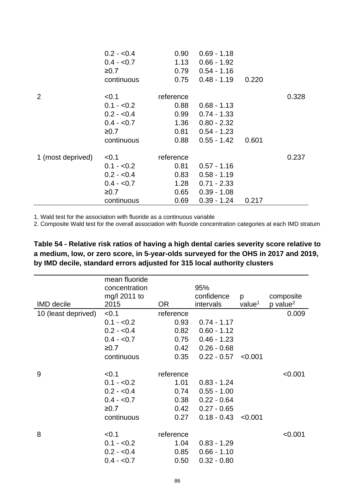|                   | $0.2 - 0.4$ | 0.90              | $0.69 - 1.18$ |       |       |
|-------------------|-------------|-------------------|---------------|-------|-------|
|                   | $0.4 - 0.7$ | 1.13              | $0.66 - 1.92$ |       |       |
|                   | ≥0.7        | 0.79              | $0.54 - 1.16$ |       |       |
|                   | continuous  | 0.75              | $0.48 - 1.19$ | 0.220 |       |
| $\overline{2}$    | < 0.1       | reference         |               |       | 0.328 |
|                   | $0.1 - 0.2$ | 0.88              | $0.68 - 1.13$ |       |       |
|                   | $0.2 - 0.4$ | 0.99 <sub>0</sub> | $0.74 - 1.33$ |       |       |
|                   | $0.4 - 0.7$ | 1.36              | $0.80 - 2.32$ |       |       |
|                   | ≥0.7        | 0.81              | $0.54 - 1.23$ |       |       |
|                   | continuous  | 0.88              | $0.55 - 1.42$ | 0.601 |       |
| 1 (most deprived) | < 0.1       | reference         |               |       | 0.237 |
|                   | $0.1 - 0.2$ | 0.81              | $0.57 - 1.16$ |       |       |
|                   | $0.2 - 0.4$ | 0.83              | $0.58 - 1.19$ |       |       |
|                   | $0.4 - 0.7$ | 1.28              | $0.71 - 2.33$ |       |       |
|                   | ≥0.7        | 0.65              | $0.39 - 1.08$ |       |       |
|                   | continuous  | 0.69              | $0.39 - 1.24$ | 0.217 |       |

|                     | mean fluoride |           |               |                    |                        |
|---------------------|---------------|-----------|---------------|--------------------|------------------------|
|                     | concentration |           | 95%           |                    |                        |
|                     | mg/l 2011 to  |           | confidence    | p                  | composite              |
| <b>IMD</b> decile   | 2015          | <b>OR</b> | intervals     | value <sup>1</sup> | $p$ value <sup>2</sup> |
| 10 (least deprived) | < 0.1         | reference |               |                    | 0.009                  |
|                     | $0.1 - 0.2$   | 0.93      | $0.74 - 1.17$ |                    |                        |
|                     | $0.2 - 0.4$   | 0.82      | $0.60 - 1.12$ |                    |                        |
|                     | $0.4 - 0.7$   | 0.75      | $0.46 - 1.23$ |                    |                        |
|                     | ≥0.7          | 0.42      | $0.26 - 0.68$ |                    |                        |
|                     | continuous    | 0.35      | $0.22 - 0.57$ | < 0.001            |                        |
|                     |               |           |               |                    |                        |
| 9                   | < 0.1         | reference |               |                    | < 0.001                |
|                     | $0.1 - 0.2$   | 1.01      | $0.83 - 1.24$ |                    |                        |
|                     | $0.2 - 0.4$   | 0.74      | $0.55 - 1.00$ |                    |                        |
|                     | $0.4 - 0.7$   | 0.38      | $0.22 - 0.64$ |                    |                        |
|                     | ≥0.7          | 0.42      | $0.27 - 0.65$ |                    |                        |
|                     | continuous    | 0.27      | $0.18 - 0.43$ | < 0.001            |                        |
| 8                   | < 0.1         | reference |               |                    | < 0.001                |
|                     | $0.1 - 0.2$   | 1.04      | $0.83 - 1.29$ |                    |                        |
|                     |               |           |               |                    |                        |
|                     | $0.2 - 0.4$   | 0.85      | $0.66 - 1.10$ |                    |                        |
|                     | $0.4 - 0.7$   | 0.50      | $0.32 - 0.80$ |                    |                        |

**Table 54 - Relative risk ratios of having a high dental caries severity score relative to a medium, low, or zero score, in 5-year-olds surveyed for the OHS in 2017 and 2019, by IMD decile, standard errors adjusted for 315 local authority clusters**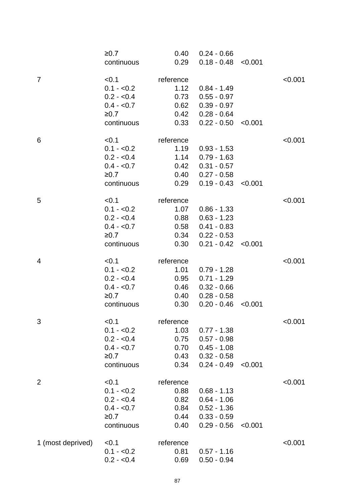|                   | ≥0.7<br>continuous   | 0.40<br>0.29      | $0.24 - 0.66$<br>$0.18 - 0.48$ | < 0.001 |         |
|-------------------|----------------------|-------------------|--------------------------------|---------|---------|
| $\overline{7}$    | < 0.1<br>$0.1 - 0.2$ | reference<br>1.12 | $0.84 - 1.49$                  |         | < 0.001 |
|                   | $0.2 - 0.4$          | 0.73              | $0.55 - 0.97$                  |         |         |
|                   | $0.4 - 0.7$          | 0.62              | $0.39 - 0.97$                  |         |         |
|                   | ≥0.7                 | 0.42              | $0.28 - 0.64$                  |         |         |
|                   | continuous           | 0.33              | $0.22 - 0.50$                  | < 0.001 |         |
| 6                 | < 0.1                | reference         |                                |         | < 0.001 |
|                   | $0.1 - 0.2$          | 1.19              | $0.93 - 1.53$                  |         |         |
|                   | $0.2 - 0.4$          | 1.14              | $0.79 - 1.63$                  |         |         |
|                   | $0.4 - 0.7$          | 0.42              | $0.31 - 0.57$                  |         |         |
|                   | ≥0.7                 | 0.40              | $0.27 - 0.58$                  |         |         |
|                   | continuous           | 0.29              | $0.19 - 0.43$                  | < 0.001 |         |
| 5                 | < 0.1                | reference         |                                |         | < 0.001 |
|                   | $0.1 - 0.2$          | 1.07              | $0.86 - 1.33$                  |         |         |
|                   | $0.2 - 0.4$          | 0.88              | $0.63 - 1.23$                  |         |         |
|                   | $0.4 - 0.7$          | 0.58              | $0.41 - 0.83$                  |         |         |
|                   | ≥0.7                 | 0.34              | $0.22 - 0.53$                  |         |         |
|                   | continuous           | 0.30              | $0.21 - 0.42$                  | < 0.001 |         |
|                   |                      |                   |                                |         |         |
| 4                 | < 0.1                | reference         |                                |         | < 0.001 |
|                   | $0.1 - 0.2$          | 1.01              | $0.79 - 1.28$                  |         |         |
|                   | $0.2 - 0.4$          | 0.95              | $0.71 - 1.29$                  |         |         |
|                   | $0.4 - 0.7$          | 0.46              | $0.32 - 0.66$                  |         |         |
|                   | ≥0.7                 | 0.40              | $0.28 - 0.58$                  |         |         |
|                   | continuous           | 0.30              | $0.20 - 0.46$                  | < 0.001 |         |
| 3                 | < 0.1                | reference         |                                |         | < 0.001 |
|                   | $0.1 - 0.2$          | 1.03              | $0.77 - 1.38$                  |         |         |
|                   | $0.2 - 0.4$          | 0.75              | $0.57 - 0.98$                  |         |         |
|                   | $0.4 - 0.7$          | 0.70              | $0.45 - 1.08$                  |         |         |
|                   | ≥0.7                 | 0.43              | $0.32 - 0.58$                  |         |         |
|                   | continuous           | 0.34              | $0.24 - 0.49$                  | < 0.001 |         |
|                   |                      |                   |                                |         |         |
| $\overline{2}$    | < 0.1                | reference         |                                |         | < 0.001 |
|                   | $0.1 - 0.2$          | 0.88              | $0.68 - 1.13$                  |         |         |
|                   | $0.2 - 0.4$          | 0.82              | $0.64 - 1.06$                  |         |         |
|                   | $0.4 - 0.7$          | 0.84              | $0.52 - 1.36$                  |         |         |
|                   | ≥0.7                 | 0.44              | $0.33 - 0.59$                  |         |         |
|                   | continuous           | 0.40              | $0.29 - 0.56$                  | < 0.001 |         |
| 1 (most deprived) | < 0.1                | reference         |                                |         | < 0.001 |
|                   | $0.1 - 0.2$          | 0.81              | $0.57 - 1.16$                  |         |         |
|                   | $0.2 - 0.4$          | 0.69              | $0.50 - 0.94$                  |         |         |
|                   |                      |                   |                                |         |         |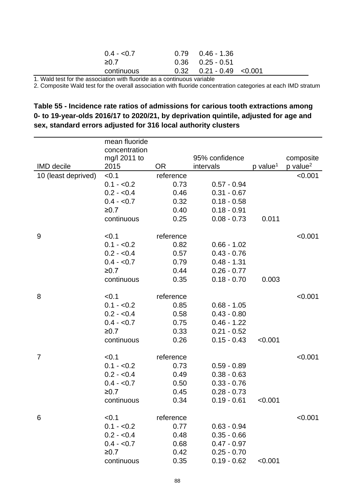| $0.4 - 0.7$ | $0.79$ $0.46 - 1.36$         |  |
|-------------|------------------------------|--|
| $\geq 0.7$  | $0.36$ $0.25 - 0.51$         |  |
| continuous  | $0.32$ $0.21 - 0.49$ < 0.001 |  |

2. Composite Wald test for the overall association with fluoride concentration categories at each IMD stratum

#### **Table 55 - Incidence rate ratios of admissions for carious tooth extractions among 0- to 19-year-olds 2016/17 to 2020/21, by deprivation quintile, adjusted for age and sex, standard errors adjusted for 316 local authority clusters**

|                     | mean fluoride |           |                |                      |                      |
|---------------------|---------------|-----------|----------------|----------------------|----------------------|
|                     | concentration |           |                |                      |                      |
|                     | mg/l 2011 to  |           | 95% confidence |                      | composite            |
| <b>IMD</b> decile   | 2015          | <b>OR</b> | intervals      | p value <sup>1</sup> | p value <sup>2</sup> |
| 10 (least deprived) | < 0.1         | reference |                |                      | < 0.001              |
|                     | $0.1 - 0.2$   | 0.73      | $0.57 - 0.94$  |                      |                      |
|                     | $0.2 - 0.4$   | 0.46      | $0.31 - 0.67$  |                      |                      |
|                     | $0.4 - 0.7$   | 0.32      | $0.18 - 0.58$  |                      |                      |
|                     | ≥0.7          | 0.40      | $0.18 - 0.91$  |                      |                      |
|                     | continuous    | 0.25      | $0.08 - 0.73$  | 0.011                |                      |
| 9                   | < 0.1         | reference |                |                      | < 0.001              |
|                     | $0.1 - 0.2$   | 0.82      | $0.66 - 1.02$  |                      |                      |
|                     | $0.2 - 0.4$   | 0.57      | $0.43 - 0.76$  |                      |                      |
|                     | $0.4 - 0.7$   | 0.79      | $0.48 - 1.31$  |                      |                      |
|                     | ≥0.7          | 0.44      | $0.26 - 0.77$  |                      |                      |
|                     | continuous    | 0.35      | $0.18 - 0.70$  | 0.003                |                      |
|                     |               |           |                |                      |                      |
| 8                   | < 0.1         | reference |                |                      | < 0.001              |
|                     | $0.1 - 0.2$   | 0.85      | $0.68 - 1.05$  |                      |                      |
|                     | $0.2 - 0.4$   | 0.58      | $0.43 - 0.80$  |                      |                      |
|                     | $0.4 - 0.7$   | 0.75      | $0.46 - 1.22$  |                      |                      |
|                     | ≥0.7          | 0.33      | $0.21 - 0.52$  |                      |                      |
|                     | continuous    | 0.26      | $0.15 - 0.43$  | < 0.001              |                      |
| 7                   | < 0.1         | reference |                |                      | < 0.001              |
|                     | $0.1 - 0.2$   | 0.73      | $0.59 - 0.89$  |                      |                      |
|                     | $0.2 - 0.4$   | 0.49      | $0.38 - 0.63$  |                      |                      |
|                     | $0.4 - 0.7$   | 0.50      | $0.33 - 0.76$  |                      |                      |
|                     | ≥0.7          | 0.45      | $0.28 - 0.73$  |                      |                      |
|                     | continuous    | 0.34      | $0.19 - 0.61$  | < 0.001              |                      |
|                     |               |           |                |                      |                      |
| 6                   | < 0.1         | reference |                |                      | < 0.001              |
|                     | $0.1 - 0.2$   | 0.77      | $0.63 - 0.94$  |                      |                      |
|                     | $0.2 - 0.4$   | 0.48      | $0.35 - 0.66$  |                      |                      |
|                     | $0.4 - 0.7$   | 0.68      | $0.47 - 0.97$  |                      |                      |
|                     | ≥0.7          | 0.42      | $0.25 - 0.70$  |                      |                      |
|                     | continuous    | 0.35      | $0.19 - 0.62$  | < 0.001              |                      |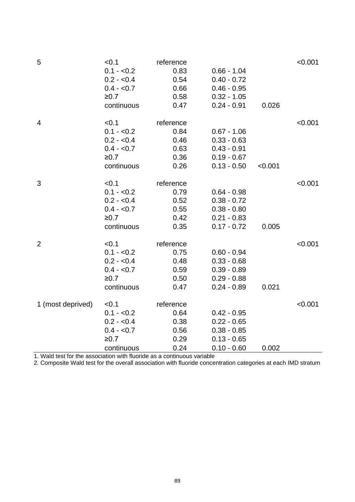| 5                 | < 0.1<br>$0.1 - 0.2$<br>$0.2 - 0.4$<br>$0.4 - 0.7$<br>≥0.7<br>continuous   | reference<br>0.83<br>0.54<br>0.66<br>0.58<br>0.47 | $0.66 - 1.04$<br>$0.40 - 0.72$<br>$0.46 - 0.95$<br>$0.32 - 1.05$<br>$0.24 - 0.91$ | 0.026   | < 0.001 |
|-------------------|----------------------------------------------------------------------------|---------------------------------------------------|-----------------------------------------------------------------------------------|---------|---------|
| 4                 | < 0.1<br>$0.1 - 0.2$<br>$0.2 - 0.4$<br>$0.4 - 0.7$<br>≥0.7<br>continuous   | reference<br>0.84<br>0.46<br>0.63<br>0.36<br>0.26 | $0.67 - 1.06$<br>$0.33 - 0.63$<br>$0.43 - 0.91$<br>$0.19 - 0.67$<br>$0.13 - 0.50$ | < 0.001 | < 0.001 |
| 3                 | < 0.1<br>$0.1 - 0.2$<br>$0.2 - 0.4$<br>$0.4 - 0.7$<br>≥0.7<br>continuous   | reference<br>0.79<br>0.52<br>0.55<br>0.42<br>0.35 | $0.64 - 0.98$<br>$0.38 - 0.72$<br>$0.38 - 0.80$<br>$0.21 - 0.83$<br>$0.17 - 0.72$ | 0.005   | < 0.001 |
| $\overline{2}$    | < 0.1<br>$0.1 - 0.2$<br>$0.2 - 0.4$<br>$0.4 - 0.7$<br>$≥0.7$<br>continuous | reference<br>0.75<br>0.48<br>0.59<br>0.50<br>0.47 | $0.60 - 0.94$<br>$0.33 - 0.68$<br>$0.39 - 0.89$<br>$0.29 - 0.88$<br>$0.24 - 0.89$ | 0.021   | < 0.001 |
| 1 (most deprived) | < 0.1<br>$0.1 - 0.2$<br>$0.2 - 0.4$<br>$0.4 - 0.7$<br>≥0.7<br>continuous   | reference<br>0.64<br>0.38<br>0.56<br>0.29<br>0.24 | $0.42 - 0.95$<br>$0.22 - 0.65$<br>$0.38 - 0.85$<br>$0.13 - 0.65$<br>$0.10 - 0.60$ | 0.002   | < 0.001 |